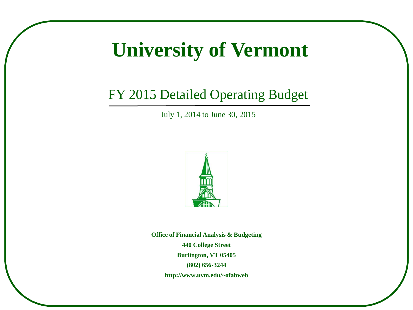# **University of Vermont**

# FY 2015 Detailed Operating Budget

July 1, 2014 to June 30, 2015



**Office of Financial Analysis & Budgeting 440 College Street Burlington, VT 05405 (802) 656-3244 http://www.uvm.edu/~ofabweb**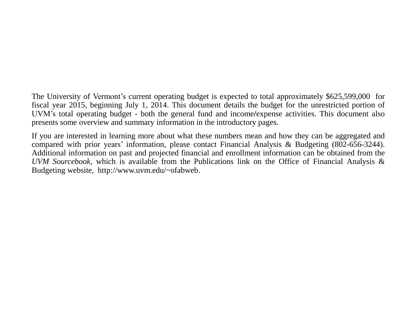The University of Vermont's current operating budget is expected to total approximately \$625,599,000 for fiscal year 2015, beginning July 1, 2014. This document details the budget for the unrestricted portion of UVM's total operating budget - both the general fund and income**/**expense activities. This document also presents some overview and summary information in the introductory pages.

If you are interested in learning more about what these numbers mean and how they can be aggregated and compared with prior years' information, please contact Financial Analysis & Budgeting (802-656-3244). Additional information on past and projected financial and enrollment information can be obtained from the *UVM Sourcebook,* which is available from the Publications link on the Office of Financial Analysis & Budgeting website, http://www.uvm.edu/~ofabweb.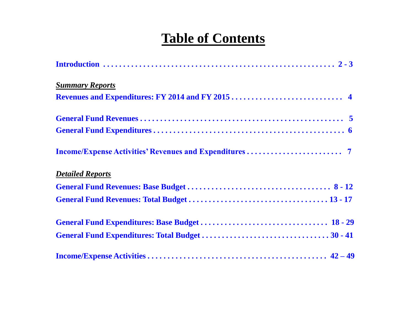# **Table of Contents**

| <b>Summary Reports</b>  |
|-------------------------|
|                         |
|                         |
|                         |
|                         |
| <b>Detailed Reports</b> |
|                         |
|                         |
|                         |
|                         |
|                         |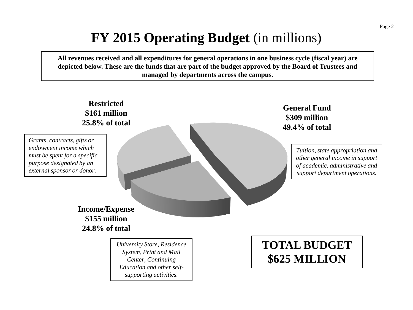# **FY 2015 Operating Budget** (in millions)

<span id="page-3-0"></span>**All revenues received and all expenditures for general operations in one business cycle (fiscal year) are depicted below. These are the funds that are part of the budget approved by the Board of Trustees and managed by departments across the campus**.

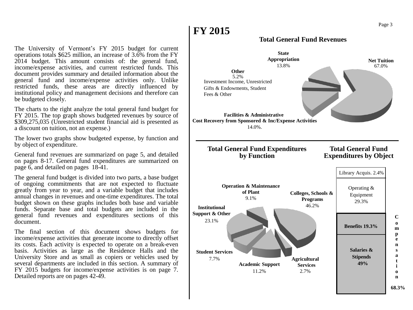The University of Vermont's FY 2015 budget for current operations totals \$625 million, an increase of 3.6% from the FY 2014 budget. This amount consists of: the general fund, income/expense activities, and current restricted funds. This document provides summary and detailed information about the general fund and income/expense activities only. Unlike restricted funds, these areas are directly influenced by institutional policy and management decisions and therefore can be budgeted closely.

The charts to the right analyze the total general fund budget for FY 2015. The top graph shows budgeted revenues by source of \$309,275,035 (Unrestricted student financial aid is presented as a discount on tuition, not an expense.)

The lower two graphs show budgeted expense, by function and by object of expenditure.

General fund revenues are summarized on page 5, and detailed on pages 8-17. General fund expenditures are summarized on page 6, and detailed on pages 18-41.

The general fund budget is divided into two parts, a base budget of ongoing commitments that are not expected to fluctuate greatly from year to year, and a variable budget that includes annual changes in revenues and one-time expenditures. The total budget shown on these graphs includes both base and variable funds. Separate base and total budgets are included in the general fund revenues and expenditures sections of this document.

The final section of this document shows budgets for income/expense activities that generate income to directly offset its costs. Each activity is expected to operate on a break-even basis. Activities as large as the Residence Halls and the University Store and as small as copiers or vehicles used by several departments are included in this section. A summary of FY 2015 budgets for income/expense activities is on page 7. Detailed reports are on pages 42-49.

#### **Total General Fund Revenues**

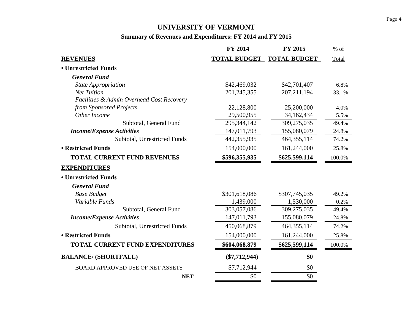## **UNIVERSITY OF VERMONT**

## **Summary of Revenues and Expenditures: FY 2014 and FY 2015**

<span id="page-5-0"></span>

|                                           | <b>FY 2014</b>      | <b>FY 2015</b>      | $%$ of    |
|-------------------------------------------|---------------------|---------------------|-----------|
| <b>REVENUES</b>                           | <b>TOTAL BUDGET</b> | <b>TOTAL BUDGET</b> | Total     |
| • Unrestricted Funds                      |                     |                     |           |
| <b>General Fund</b>                       |                     |                     |           |
| <b>State Appropriation</b>                | \$42,469,032        | \$42,701,407        | 6.8%      |
| <b>Net Tuition</b>                        | 201,245,355         | 207, 211, 194       | 33.1%     |
| Facilities & Admin Overhead Cost Recovery |                     |                     |           |
| from Sponsored Projects                   | 22,128,800          | 25,200,000          | 4.0%      |
| Other Income                              | 29,500,955          | 34,162,434          | 5.5%      |
| Subtotal, General Fund                    | 295,344,142         | 309,275,035         | 49.4%     |
| <b>Income/Expense Activities</b>          | 147,011,793         | 155,080,079         | 24.8%     |
| Subtotal, Unrestricted Funds              | 442,355,935         | 464, 355, 114       | 74.2%     |
| • Restricted Funds                        | 154,000,000         | 161,244,000         | 25.8%     |
| <b>TOTAL CURRENT FUND REVENUES</b>        | \$596,355,935       | \$625,599,114       | $100.0\%$ |
| <b>EXPENDITURES</b>                       |                     |                     |           |
| • Unrestricted Funds                      |                     |                     |           |
| <b>General Fund</b>                       |                     |                     |           |
| <b>Base Budget</b>                        | \$301,618,086       | \$307,745,035       | 49.2%     |
| Variable Funds                            | 1,439,000           | 1,530,000           | 0.2%      |
| Subtotal, General Fund                    | 303,057,086         | 309,275,035         | 49.4%     |
| <b>Income/Expense Activities</b>          | 147,011,793         | 155,080,079         | 24.8%     |
| Subtotal, Unrestricted Funds              | 450,068,879         | 464, 355, 114       | 74.2%     |
| <b>• Restricted Funds</b>                 | 154,000,000         | 161,244,000         | 25.8%     |
| <b>TOTAL CURRENT FUND EXPENDITURES</b>    | \$604,068,879       | \$625,599,114       | 100.0%    |
| <b>BALANCE/ (SHORTFALL)</b>               | $(\$7,712,944)$     | \$0                 |           |
| <b>BOARD APPROVED USE OF NET ASSETS</b>   | \$7,712,944         | \$0                 |           |
| <b>NET</b>                                | \$0                 | \$0                 |           |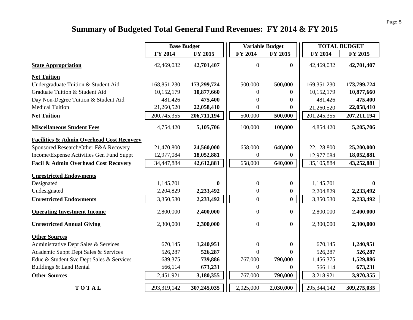## **Summary of Budgeted Total General Fund Revenues: FY 2014 & FY 2015**

<span id="page-6-0"></span>

|                                                      | <b>Base Budget</b> |             | <b>Variable Budget</b> |                  | <b>TOTAL BUDGET</b> |               |
|------------------------------------------------------|--------------------|-------------|------------------------|------------------|---------------------|---------------|
|                                                      | FY 2014            | FY 2015     | FY 2014                | FY 2015          | FY 2014             | FY 2015       |
| <b>State Appropriation</b>                           | 42,469,032         | 42,701,407  | $\overline{0}$         | $\bf{0}$         | 42,469,032          | 42,701,407    |
| <b>Net Tuition</b>                                   |                    |             |                        |                  |                     |               |
| Undergraduate Tuition & Student Aid                  | 168,851,230        | 173,299,724 | 500,000                | 500,000          | 169, 351, 230       | 173,799,724   |
| Graduate Tuition & Student Aid                       | 10,152,179         | 10,877,660  | 0                      | 0                | 10,152,179          | 10,877,660    |
| Day Non-Degree Tuition & Student Aid                 | 481,426            | 475,400     | $\Omega$               | 0                | 481,426             | 475,400       |
| <b>Medical Tuition</b>                               | 21,260,520         | 22,058,410  | $\overline{0}$         | 0                | 21,260,520          | 22,058,410    |
| <b>Net Tuition</b>                                   | 200,745,355        | 206,711,194 | 500,000                | 500,000          | 201,245,355         | 207, 211, 194 |
| <b>Miscellaneous Student Fees</b>                    | 4,754,420          | 5,105,706   | 100,000                | 100,000          | 4,854,420           | 5,205,706     |
| <b>Facilities &amp; Admin Overhead Cost Recovery</b> |                    |             |                        |                  |                     |               |
| Sponsored Research/Other F&A Recovery                | 21,470,800         | 24,560,000  | 658,000                | 640,000          | 22,128,800          | 25,200,000    |
| Income/Expense Activities Gen Fund Suppt             | 12,977,084         | 18,052,881  | $\boldsymbol{0}$       | 0                | 12,977,084          | 18,052,881    |
| Facil & Admin Overhead Cost Recovery                 | 34,447,884         | 42,612,881  | 658,000                | 640,000          | 35,105,884          | 43,252,881    |
| <b>Unrestricted Endowments</b>                       |                    |             |                        |                  |                     |               |
| Designated                                           | 1,145,701          | $\bf{0}$    | $\boldsymbol{0}$       | $\bf{0}$         | 1,145,701           | 0             |
| Undesignated                                         | 2,204,829          | 2,233,492   | $\boldsymbol{0}$       | $\boldsymbol{0}$ | 2,204,829           | 2,233,492     |
| <b>Unrestricted Endowments</b>                       | 3,350,530          | 2,233,492   | $\boldsymbol{0}$       | $\mathbf{0}$     | 3,350,530           | 2,233,492     |
| <b>Operating Investment Income</b>                   | 2,800,000          | 2,400,000   | $\boldsymbol{0}$       | $\bf{0}$         | 2,800,000           | 2,400,000     |
| <b>Unrestricted Annual Giving</b>                    | 2,300,000          | 2,300,000   | $\overline{0}$         | $\boldsymbol{0}$ | 2,300,000           | 2,300,000     |
| <b>Other Sources</b>                                 |                    |             |                        |                  |                     |               |
| Administrative Dept Sales & Services                 | 670,145            | 1,240,951   | $\overline{0}$         | $\boldsymbol{0}$ | 670,145             | 1,240,951     |
| Academic Suppt Dept Sales & Services                 | 526,287            | 526,287     | $\theta$               | 0                | 526,287             | 526,287       |
| Educ & Student Svc Dept Sales & Services             | 689,375            | 739,886     | 767,000                | 790,000          | 1,456,375           | 1,529,886     |
| Buildings & Land Rental                              | 566,114            | 673,231     | $\Omega$               | 0                | 566,114             | 673,231       |
| <b>Other Sources</b>                                 | 2,451,921          | 3,180,355   | 767,000                | 790,000          | 3,218,921           | 3,970,355     |
| TOTAL                                                | 293,319,142        | 307,245,035 | 2,025,000              | 2,030,000        | 295, 344, 142       | 309,275,035   |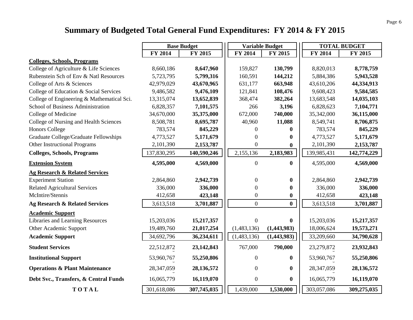## **Summary of Budgeted Total General Fund Expenditures: FY 2014 & FY 2015**

<span id="page-7-0"></span>

|                                            | <b>Base Budget</b> |              | <b>Variable Budget</b> |                                      |             | <b>TOTAL BUDGET</b> |
|--------------------------------------------|--------------------|--------------|------------------------|--------------------------------------|-------------|---------------------|
|                                            | FY 2014            | FY 2015      | FY 2014                | FY 2015                              | FY 2014     | FY 2015             |
| <b>Colleges, Schools, Programs</b>         |                    |              |                        |                                      |             |                     |
| College of Agriculture & Life Sciences     | 8,660,186          | 8,647,960    | 159,827                | 130,799                              | 8,820,013   | 8,778,759           |
| Rubenstein Sch of Env & Natl Resources     | 5,723,795          | 5,799,316    | 160,591                | 144,212                              | 5,884,386   | 5,943,528           |
| College of Arts & Sciences                 | 42,979,029         | 43,670,965   | 631,177                | 663,948                              | 43,610,206  | 44,334,913          |
| College of Education & Social Services     | 9,486,582          | 9,476,109    | 121,841                | 108,476                              | 9,608,423   | 9,584,585           |
| College of Engineering & Mathematical Sci. | 13,315,074         | 13,652,839   | 368,474                | 382,264                              | 13,683,548  | 14,035,103          |
| School of Business Administration          | 6,828,357          | 7,101,575    | 266                    | 3,196                                | 6,828,623   | 7,104,771           |
| College of Medicine                        | 34,670,000         | 35,375,000   | 672,000                | 740,000                              | 35,342,000  | 36,115,000          |
| College of Nursing and Health Sciences     | 8,508,781          | 8,695,787    | 40,960                 | 11,088                               | 8,549,741   | 8,706,875           |
| <b>Honors College</b>                      | 783,574            | 845,229      |                        | $\mathbf{0}$<br>$\bf{0}$             | 783,574     | 845,229             |
| Graduate College/Graduate Fellowships      | 4,773,527          | 5,171,679    |                        | $\bf{0}$<br>$\boldsymbol{0}$         | 4,773,527   | 5,171,679           |
| Other Instructional Programs               | 2,101,390          | 2,153,787    |                        | $\boldsymbol{0}$<br>$\boldsymbol{0}$ | 2,101,390   | 2,153,787           |
| <b>Colleges, Schools, Programs</b>         | 137,830,295        | 140,590,246  | 2,155,136              | 2,183,983                            | 139,985,431 | 142,774,229         |
| <b>Extension System</b>                    | 4,595,000          | 4,569,000    |                        | $\boldsymbol{0}$<br>$\bf{0}$         | 4,595,000   | 4,569,000           |
| <b>Ag Research &amp; Related Services</b>  |                    |              |                        |                                      |             |                     |
| <b>Experiment Station</b>                  | 2,864,860          | 2,942,739    |                        | $\boldsymbol{0}$<br>$\bf{0}$         | 2,864,860   | 2,942,739           |
| <b>Related Agricultural Services</b>       | 336,000            | 336,000      |                        | $\boldsymbol{0}$<br>$\boldsymbol{0}$ | 336,000     | 336,000             |
| McIntire/Stennis                           | 412,658            | 423,148      |                        | $\boldsymbol{0}$<br>$\boldsymbol{0}$ | 412,658     | 423,148             |
| Ag Research & Related Services             | 3,613,518          | 3,701,887    |                        | $\overline{0}$<br>$\bf{0}$           | 3,613,518   | 3,701,887           |
| <b>Academic Support</b>                    |                    |              |                        |                                      |             |                     |
| Libraries and Learning Resources           | 15,203,036         | 15,217,357   |                        | $\overline{0}$<br>$\bf{0}$           | 15,203,036  | 15,217,357          |
| Other Academic Support                     | 19,489,760         | 21,017,254   | (1,483,136)            | (1,443,983)                          | 18,006,624  | 19,573,271          |
| <b>Academic Support</b>                    | 34,692,796         | 36,234,611   | (1,483,136)            | (1,443,983)                          | 33,209,660  | 34,790,628          |
| <b>Student Services</b>                    | 22,512,872         | 23, 142, 843 | 767,000                | 790,000                              | 23,279,872  | 23,932,843          |
| <b>Institutional Support</b>               | 53,960,767         | 55,250,806   |                        | $\boldsymbol{0}$<br>$\bf{0}$         | 53,960,767  | 55,250,806          |
| <b>Operations &amp; Plant Maintenance</b>  | 28,347,059         | 28, 136, 572 |                        | $\boldsymbol{0}$<br>$\bf{0}$         | 28,347,059  | 28, 136, 572        |
| Debt Svc., Transfers, & Central Funds      | 16,065,779         | 16,119,070   |                        | $\boldsymbol{0}$<br>$\bf{0}$         | 16,065,779  | 16,119,070          |
| TOTAL                                      | 301,618,086        | 307,745,035  | 1,439,000              | 1,530,000                            | 303,057,086 | 309,275,035         |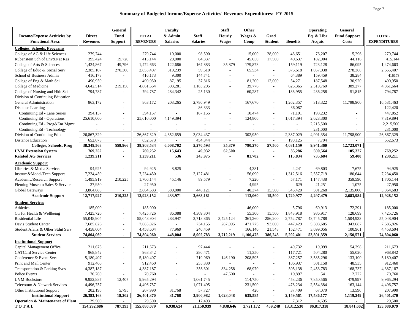<span id="page-8-0"></span>

|                                             |                 | General                  |                 | Faculty                  |                          | <b>Staff</b>             | Other                    |                          |                    | <b>Operating</b> | General                  |                     |
|---------------------------------------------|-----------------|--------------------------|-----------------|--------------------------|--------------------------|--------------------------|--------------------------|--------------------------|--------------------|------------------|--------------------------|---------------------|
| <b>Income/Expense Actitivies by</b>         | <b>Direct</b>   | Fund                     | <b>TOTAL</b>    | & Admin                  | <b>Staff</b>             | <b>Hourly</b>            | Wages &                  | Grad                     |                    | Eq. & Libr       | <b>Fund Support</b>      | <b>TOTAL</b>        |
| <b>Functional Area:</b>                     | <b>Revenues</b> | <b>Support</b>           | <b>REVENUES</b> | <b>Salaries</b>          | <b>Salaries</b>          | <b>Wages</b>             | Comp                     | <b>Student</b>           | <b>Benefits</b>    | Acquis           | Costs                    | <b>EXPENDITURES</b> |
| <b>Colleges, Schools, Programs</b>          |                 |                          |                 |                          |                          |                          |                          |                          |                    |                  |                          |                     |
| College of AG & Life Sciences               | 279,744         | $\sim$                   | 279,744         | 10,000                   | 98,590                   |                          | 15,000                   | 28,000                   | 46,651             | 76,207           | 5,296                    | 279,744             |
| Rubenstein Sch of Env&Nat Res               | 395,424         | 19,720                   | 415,144         | 20,000                   | 64,337                   | $\sim$                   | 45,650                   | 17,500                   | 40,637             | 182,904          | 44,116                   | 415,144             |
| College of Arts & Sciences                  | 1,424,867       | 49,796                   | 1,474,663       | 122,686                  | 167,883                  | 35,879                   | 179,873                  | $\sim$                   | 159,119            | 723,128          | 86,095                   | 1,474,663           |
| College of Educ & Social Serv               | 2,385,107       | 270,300                  | 2,655,407       | 819,239                  | 59,610                   | $\sim$                   | 65,534                   | $\sim$                   | 375,618            | 1,057,038        | 278,368                  | 2,655,407           |
| School of Business Admin                    | 416,173         | $\sim$                   | 416,173         | 9,300                    | 144,741                  |                          | $\sim$                   | $\sim$                   | 64,389             | 159,459          | 38,284                   | 416173              |
| College of Eng & Math Sci                   | 490,950         | $\sim$                   | 490,950         | 87,195                   | 37,816                   |                          | 81,200                   | 12,000                   | 54,271             | 187,548          | 30,920                   | 490,950             |
| College of Medicine                         | 4,642,514       | 219,150                  | 4,861,664       | 303,281                  | 1,183,205                |                          | 39,776                   | $\overline{\phantom{a}}$ | 626,365            | 2,319,760        | 389,277                  | 4,861,664           |
| College of Nursing and Hlth Sci             | 794,787         | $\overline{\phantom{a}}$ | 794,787         | 284,342                  | 25,130                   |                          | 60,287                   | $\overline{\phantom{a}}$ | 136,955            | 236,258          | 51,815                   | 794,787             |
| Division of Continuing Education            |                 |                          |                 |                          |                          |                          |                          |                          |                    |                  |                          |                     |
| General Administration                      | 863,172         | $\sim$                   | 863,172         | 203,265                  | 2,780,949                |                          | 167,670                  | $\overline{\phantom{a}}$ | 1,262,357          | 318,322          | 11,798,900               | 16,531,463          |
| Distance Learning                           | $\sim$          |                          |                 | $\overline{a}$           | 86,333                   |                          | $\sim$                   |                          | 36,087             | $\sim$           |                          | 122,420             |
| Continuing Ed - Lane Series                 | 394,157         | $\sim$                   | 394,157         | $\overline{a}$           | 167,155                  |                          | 10,474                   | $\sim$                   | 71,191             | 198,232          | $\overline{\phantom{a}}$ | 447,052             |
| Continuing Ed - Operations                  | 25,610,000      | $\sim$                   | 25,610,000      | 4,149,394                | $\overline{a}$           |                          | 124,806                  | $\sim$                   | 1,017,394          | 2,028,300        | $\overline{\phantom{a}}$ | 7,319,894           |
| Continuing Ed - Prog&Enr Mgmt               |                 | $\sim$                   |                 |                          |                          |                          |                          |                          |                    | 2,215,500        |                          | 2,215,500           |
| Continuing Ed - Technology                  |                 | $\sim$                   |                 |                          |                          |                          | $\overline{\phantom{a}}$ |                          | $\sim$             | 231,000          |                          | 231,000             |
| Division of Continuing Educ                 | 26,867,329      | $\sim$                   | 26,867,329      | 4,352,659                | 3,034,437                | $\sim$                   | 302,950                  | $\sim$                   | 2,387,029          | 4,991,354        | 11,798,900               | 26,867,329          |
| <b>Distance Education</b>                   | 652,673         | $\sim$                   | 652,673         | $\overline{\phantom{a}}$ | 454,844                  | $\overline{\phantom{a}}$ | $\overline{\phantom{a}}$ | $\overline{\phantom{a}}$ | 190,125            | 7,704            |                          | 652,673             |
| Colleges, Schools, Prog                     | 38,349,568      | 558,966                  | 38,908,534      | 6,008,702                | 5,270,593                | 35,879                   | 790,270                  | 57,500                   | 4,081,159          | 9,941,360        | 12,723,071               |                     |
| <b>UVM Extension System</b>                 | 769,252         | $\blacksquare$           | 769,252         | 15,643                   | 49,932                   | 62,500                   |                          | $\blacksquare$           | 35,286             | 500,564          | 105,327                  | 769,252             |
| <b>Related AG Services</b>                  | 1,239,211       | $\blacksquare$           | 1,239,211       | 536                      | 245,975                  | $\blacksquare$           | 81,782                   | $\blacksquare$           | 115,834            | 735,684          | 59,400                   | 1,239,211           |
| <b>Academic Support</b>                     |                 |                          |                 |                          |                          |                          |                          |                          |                    |                  |                          |                     |
| Libraries & Media Services                  | 94,925          | $\sim$                   | 94,925          | 8,825                    |                          |                          | 4,381                    | $\overline{\phantom{a}}$ | 4,241              | 69,803           | 7,675                    | 94,925              |
| Instrum&Model/Tech Support                  | 7,234,450       |                          | 7,234,450       | $\sim$                   | 3,127,481                |                          | 56,090                   | $\overline{\phantom{a}}$ | 1,312,516          | 2,557,719        | 180,644                  | 7,234,450           |
| Academic/Research Support                   | 1,495,919       | 210,225                  | 1,706,144       | 45,146                   | 89,579                   |                          | 7,220                    | $\sim$                   | 57,171             | 1,147,438        | 359,590                  | 1,706,144           |
| Fleming Museum Sales & Service              | 27,950          | $\sim$                   | 27,950          | $\sim$                   | $\overline{\phantom{a}}$ |                          | 4,995                    | $\sim$                   | 629                | 21,251           | 1,075                    | 27,950              |
| Global Gateways                             | 3,864,683       | $\overline{\phantom{a}}$ | 3,864,683       | 380,000                  | 446,121                  |                          | 40,374                   | 15,500                   | 346,420            | 501,268          | 2,135,000                | 3,864,683           |
| <b>Academic Support</b>                     | 12,717,927      | 210,225                  | 12,928,152      | 433,971                  | 3,663,181                | $\blacksquare$           | 113,060                  | 15,500                   | 1,720,977          | 4,297,479        | 2,683,984                | 12,928,152          |
| <b>Student Services</b>                     |                 |                          |                 |                          |                          |                          |                          |                          |                    |                  |                          |                     |
| Athletics                                   | 185,000         | $\sim$                   | 185,000         |                          |                          |                          | 46,000                   | $\sim$                   | 5,796              | 60,913           | 72,291                   | 185,000             |
| Ctr for Health & Wellbeing                  | 7,425,726       | $\sim$                   | 7,425,726       | 86,088                   | 4,309,304                | $\sim$                   | 55,300                   | 15,500                   | 1,843,918          | 986,917          | 128,699                  | 7,425,726           |
| <b>Residential Life</b>                     | 55,048,904      | $\sim$                   | 55,048,904      | 283,947                  | 2,718,865                | 3,425,124                | 361,260                  | 256,200                  | 2,752,787          | 43,745,788       | 1,504,933                | 55,048,904          |
| Davis Student Center                        | 7,685,826       | $\overline{\phantom{a}}$ | 7,685,826       | $\overline{\phantom{a}}$ | 734,155                  | 287,095                  | 471,775                  | 93,000                   | 447,429            | 5,308,685        | 343,687                  | 7,685,826           |
| Student Afairs & Other Stdnt Serv           | 4,458,604       |                          | 4,458,604       | 77,969                   | 240,459                  |                          | 166,140                  | 21,548                   | 152,471            | 3,699,056        | 100,961                  | 4,458,604           |
| <b>Student Services</b>                     | 74,804,060      | $\blacksquare$           | 74,804,060      | 448,004                  | 8,002,783                | 3,712,219                | 1,100,475                | 386,248                  | 5,202,401          | 53,801,359       | 2,150,571                | 74,804,060          |
| <b>Institutional Support</b>                |                 |                          |                 |                          |                          |                          |                          |                          |                    |                  |                          |                     |
| Capital Management Office                   | 211,673         | $\sim$                   | 211,673         |                          | 97,444                   |                          |                          |                          | 40,732             | 19,099           | 54,398                   | 211,673             |
| <b>CATCard Service Center</b>               | 968,842         | $\sim$                   | 968,842         |                          | 280,471                  |                          | 11,350                   |                          | 117,721            | 504,280          | 55,020                   | 968,842             |
| Conference & Event Svcs                     | 5,180,407       |                          | 5,180,407       |                          | 719,969                  | 146,190                  | 208,595                  |                          | 387,257            | 3,585,296        | 133,100                  | 5,180,407           |
| Print and Mail Center                       | 912,460         | $\overline{\phantom{a}}$ | 912,460         | $\overline{\phantom{a}}$ | 255,830                  | $\sim$                   | $\sim$                   | $\overline{\phantom{a}}$ | 106,937            | 501,158          | 48,535                   | 912,460             |
| Transportation & Parking Svcs               | 4,387,187       | $\overline{\phantom{a}}$ | 4,387,187       |                          | 356,301                  | 834,258                  | 68,970                   | $\overline{\phantom{a}}$ | 505,138            | 2,453,783        | 168,737                  | 4,387,187           |
| Police Events                               | 70,760          | $\overline{\phantom{a}}$ | 70,760          |                          | $\sim$                   | 47,600                   |                          |                          | 19,897             | 541              | 2,722                    | 70,760              |
| <b>UVM Bookstore</b>                        | 9,952,887       | 12,407                   | 9,965,294       | $\overline{\phantom{a}}$ | 1,061,745                | $\overline{\phantom{a}}$ | 114,750                  | $\overline{\phantom{a}}$ | 458,236            | 7,850,566        | 479,997                  | 9,965,294           |
| Telecomm & Network Services                 | 4,496,757       | $\sim$                   | 4,496,757       | $\overline{\phantom{a}}$ | 1,071,495                | $\overline{\phantom{a}}$ | 231,500                  | $\overline{\phantom{a}}$ | 476,234            | 2,554,384        | 163,144                  | 4,496,757           |
| Other Institutional Support                 | 202,195         | 5,795                    | 207,990         | 31,768                   | 57,727                   |                          | 420                      |                          | 37,409             | 67,070           | 13,596                   | 207,990             |
| <b>Institutional Support</b>                | 26,383,168      | 18,202                   | 26,401,370      | 31,768                   | 3,900,982                | 1,028,048                | 635,585                  | $\blacksquare$           | 2,149,561          | 17,536,177       | 1,119,249                | 26,401,370          |
| <b>Operation &amp; Maintenance of Plant</b> | 29,500          |                          | 29,500          | $\sim$                   | 17,493                   | $\sim$                   | $\sim$                   | $\sim$                   | 7,312              | 4,695            |                          | 29,500              |
| TOTAL                                       | 154,292,686     | 787,393                  | 155,080,079     | 6,938,624                | 21,150,939               | 4,838,646                | 2,721,172                |                          | 459,248 13,312,530 | 86,817,318       | 18,841,602               | 155,080,079         |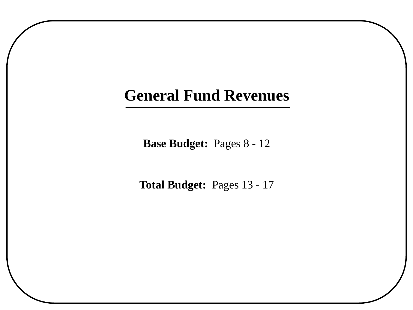# **General Fund Revenues**

**Base Budget:** Pages 8 - 12

**Total Budget:** Pages 13 - 17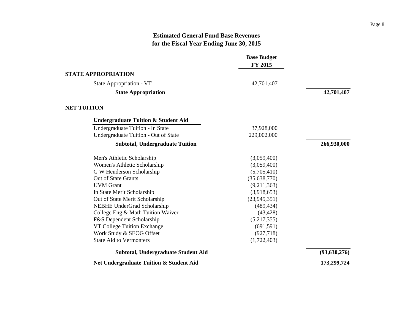<span id="page-10-0"></span>

|                                                | <b>Base Budget</b><br>FY 2015 |                |
|------------------------------------------------|-------------------------------|----------------|
| <b>STATE APPROPRIATION</b>                     |                               |                |
| State Appropriation - VT                       | 42,701,407                    |                |
| <b>State Appropriation</b>                     |                               | 42,701,407     |
| <b>NET TUITION</b>                             |                               |                |
| <b>Undergraduate Tuition &amp; Student Aid</b> |                               |                |
| Undergraduate Tuition - In State               | 37,928,000                    |                |
| Undergraduate Tuition - Out of State           | 229,002,000                   |                |
| <b>Subtotal, Undergraduate Tuition</b>         |                               | 266,930,000    |
| Men's Athletic Scholarship                     | (3,059,400)                   |                |
| Women's Athletic Scholarship                   | (3,059,400)                   |                |
| G W Henderson Scholarship                      | (5,705,410)                   |                |
| Out of State Grants                            | (35,638,770)                  |                |
| <b>UVM</b> Grant                               | (9,211,363)                   |                |
| In State Merit Scholarship                     | (3,918,653)                   |                |
| Out of State Merit Scholarship                 | (23, 945, 351)                |                |
| NEBHE UnderGrad Scholarship                    | (489, 434)                    |                |
| College Eng & Math Tuition Waiver              | (43, 428)                     |                |
| F&S Dependent Scholarship                      | (5,217,355)                   |                |
| VT College Tuition Exchange                    | (691, 591)                    |                |
| Work Study & SEOG Offset                       | (927, 718)                    |                |
| <b>State Aid to Vermonters</b>                 | (1,722,403)                   |                |
| <b>Subtotal, Undergraduate Student Aid</b>     |                               | (93, 630, 276) |
| Net Undergraduate Tuition & Student Aid        |                               | 173,299,724    |
|                                                |                               |                |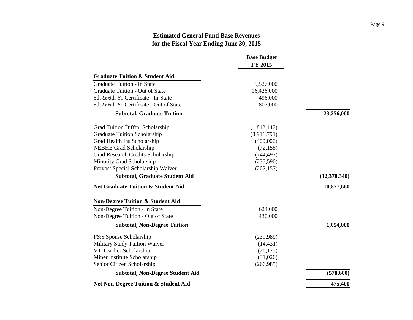|                                                 | <b>Base Budget</b> |                |
|-------------------------------------------------|--------------------|----------------|
|                                                 | FY 2015            |                |
| <b>Graduate Tuition &amp; Student Aid</b>       |                    |                |
| <b>Graduate Tuition - In State</b>              | 5,527,000          |                |
| Graduate Tuition - Out of State                 | 16,426,000         |                |
| 5th & 6th Yr Certificate - In-State             | 496,000            |                |
| 5th & 6th Yr Certificate - Out of State         | 807,000            |                |
| <b>Subtotal, Graduate Tuition</b>               |                    | 23,256,000     |
| Grad Tuition Difftnl Scholarship                | (1,812,147)        |                |
| <b>Graduate Tuition Scholarship</b>             | (8,911,791)        |                |
| Grad Health Ins Scholarship                     | (400,000)          |                |
| <b>NEBHE Grad Scholarship</b>                   | (72, 158)          |                |
| Grad Research Credits Scholarship               | (744, 497)         |                |
| Minority Grad Scholarship                       | (235,590)          |                |
| Provost Special Scholarship Waiver              | (202, 157)         |                |
| <b>Subtotal, Graduate Student Aid</b>           |                    | (12, 378, 340) |
| <b>Net Graduate Tuition &amp; Student Aid</b>   |                    | 10,877,660     |
| <b>Non-Degree Tuition &amp; Student Aid</b>     |                    |                |
| Non-Degree Tuition - In State                   | 624,000            |                |
| Non-Degree Tuition - Out of State               | 430,000            |                |
| <b>Subtotal, Non-Degree Tuition</b>             |                    | 1,054,000      |
| F&S Spouse Scholarship                          | (239,989)          |                |
| Military Study Tuition Waiver                   | (14, 431)          |                |
| VT Teacher Scholarship                          | (26, 175)          |                |
| Miner Institute Scholarship                     | (31,020)           |                |
| Senior Citizen Scholarship                      | (266,985)          |                |
| <b>Subtotal, Non-Degree Student Aid</b>         |                    | (578,600)      |
| <b>Net Non-Degree Tuition &amp; Student Aid</b> |                    | 475,400        |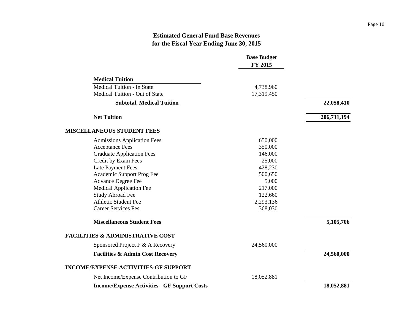|                                                     | <b>Base Budget</b><br>FY 2015 |             |
|-----------------------------------------------------|-------------------------------|-------------|
| <b>Medical Tuition</b>                              |                               |             |
| Medical Tuition - In State                          | 4,738,960                     |             |
| Medical Tuition - Out of State                      | 17,319,450                    |             |
| <b>Subtotal, Medical Tuition</b>                    |                               | 22,058,410  |
| <b>Net Tuition</b>                                  |                               | 206,711,194 |
| <b>MISCELLANEOUS STUDENT FEES</b>                   |                               |             |
| <b>Admissions Application Fees</b>                  | 650,000                       |             |
| <b>Acceptance Fees</b>                              | 350,000                       |             |
| <b>Graduate Application Fees</b>                    | 146,000                       |             |
| Credit by Exam Fees                                 | 25,000                        |             |
| <b>Late Payment Fees</b>                            | 428,230                       |             |
| Academic Support Prog Fee                           | 500,650                       |             |
| <b>Advance Degree Fee</b>                           | 5,000                         |             |
| <b>Medical Application Fee</b>                      | 217,000                       |             |
| <b>Study Abroad Fee</b>                             | 122,660                       |             |
| <b>Athletic Student Fee</b>                         | 2,293,136                     |             |
| <b>Career Services Fes</b>                          | 368,030                       |             |
| <b>Miscellaneous Student Fees</b>                   |                               | 5,105,706   |
| <b>FACILITIES &amp; ADMINISTRATIVE COST</b>         |                               |             |
| Sponsored Project F & A Recovery                    | 24,560,000                    |             |
| <b>Facilities &amp; Admin Cost Recovery</b>         |                               | 24,560,000  |
| <b>INCOME/EXPENSE ACTIVITIES-GF SUPPORT</b>         |                               |             |
| Net Income/Expense Contribution to GF               | 18,052,881                    |             |
| <b>Income/Expense Activities - GF Support Costs</b> |                               | 18,052,881  |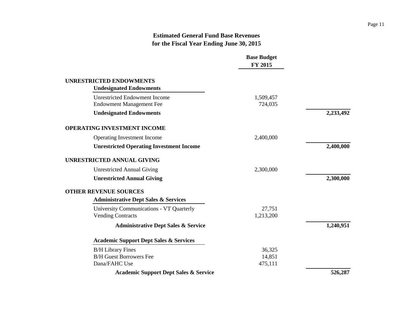|                                                                         | <b>Base Budget</b><br>FY 2015 |           |
|-------------------------------------------------------------------------|-------------------------------|-----------|
| <b>UNRESTRICTED ENDOWMENTS</b>                                          |                               |           |
| <b>Undesignated Endowments</b>                                          |                               |           |
| <b>Unrestricted Endowment Income</b><br><b>Endowment Management Fee</b> | 1,509,457<br>724,035          |           |
| <b>Undesignated Endowments</b>                                          |                               | 2,233,492 |
| <b>OPERATING INVESTMENT INCOME</b>                                      |                               |           |
| Operating Investment Income                                             | 2,400,000                     |           |
| <b>Unrestricted Operating Investment Income</b>                         |                               | 2,400,000 |
| <b>UNRESTRICTED ANNUAL GIVING</b>                                       |                               |           |
| <b>Unrestricted Annual Giving</b>                                       | 2,300,000                     |           |
| <b>Unrestricted Annual Giving</b>                                       |                               | 2,300,000 |
| <b>OTHER REVENUE SOURCES</b>                                            |                               |           |
| <b>Administrative Dept Sales &amp; Services</b>                         |                               |           |
| University Communications - VT Quarterly                                | 27,751                        |           |
| <b>Vending Contracts</b>                                                | 1,213,200                     |           |
| <b>Administrative Dept Sales &amp; Service</b>                          |                               | 1,240,951 |
| <b>Academic Support Dept Sales &amp; Services</b>                       |                               |           |
| <b>B/H Library Fines</b>                                                | 36,325                        |           |
| <b>B/H Guest Borrowers Fee</b>                                          | 14,851                        |           |
| Dana/FAHC Use                                                           | 475,111                       |           |
| <b>Academic Support Dept Sales &amp; Service</b>                        |                               | 526,287   |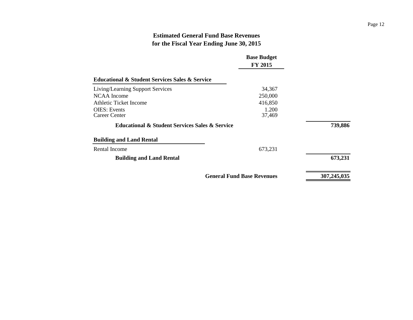|                                                               | <b>Base Budget</b><br>FY 2015     |             |
|---------------------------------------------------------------|-----------------------------------|-------------|
| <b>Educational &amp; Student Services Sales &amp; Service</b> |                                   |             |
| <b>Living/Learning Support Services</b>                       | 34,367                            |             |
| NCAA Income                                                   | 250,000                           |             |
| Athletic Ticket Income                                        | 416,850                           |             |
| OIES: Events<br>Career Center                                 | 1.200<br>37,469                   |             |
| <b>Educational &amp; Student Services Sales &amp; Service</b> |                                   | 739,886     |
| <b>Building and Land Rental</b>                               |                                   |             |
| Rental Income                                                 | 673,231                           |             |
| <b>Building and Land Rental</b>                               |                                   | 673,231     |
|                                                               | <b>General Fund Base Revenues</b> | 307,245,035 |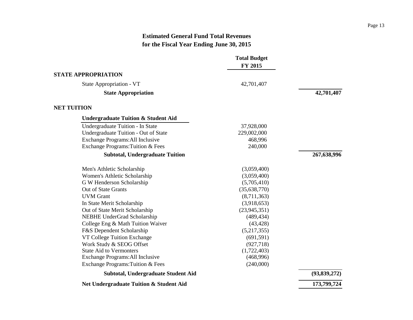<span id="page-15-0"></span>

|                                                    | <b>Total Budget</b><br>FY 2015 |                |
|----------------------------------------------------|--------------------------------|----------------|
| <b>STATE APPROPRIATION</b>                         |                                |                |
| State Appropriation - VT                           | 42,701,407                     |                |
| <b>State Appropriation</b>                         |                                | 42,701,407     |
| <b>NET TUITION</b>                                 |                                |                |
| <b>Undergraduate Tuition &amp; Student Aid</b>     |                                |                |
| Undergraduate Tuition - In State                   | 37,928,000                     |                |
| Undergraduate Tuition - Out of State               | 229,002,000                    |                |
| Exchange Programs: All Inclusive                   | 468,996                        |                |
| Exchange Programs: Tuition & Fees                  | 240,000                        |                |
| <b>Subtotal, Undergraduate Tuition</b>             |                                | 267,638,996    |
| Men's Athletic Scholarship                         | (3,059,400)                    |                |
| Women's Athletic Scholarship                       | (3,059,400)                    |                |
| G W Henderson Scholarship                          | (5,705,410)                    |                |
| Out of State Grants                                | (35,638,770)                   |                |
| <b>UVM</b> Grant                                   | (8,711,363)                    |                |
| In State Merit Scholarship                         | (3,918,653)                    |                |
| Out of State Merit Scholarship                     | (23, 945, 351)                 |                |
| NEBHE UnderGrad Scholarship                        | (489, 434)                     |                |
| College Eng & Math Tuition Waiver                  | (43, 428)                      |                |
| F&S Dependent Scholarship                          | (5,217,355)                    |                |
| VT College Tuition Exchange                        | (691, 591)                     |                |
| Work Study & SEOG Offset                           | (927, 718)                     |                |
| <b>State Aid to Vermonters</b>                     | (1,722,403)                    |                |
| Exchange Programs: All Inclusive                   | (468,996)                      |                |
| Exchange Programs: Tuition & Fees                  | (240,000)                      |                |
| Subtotal, Undergraduate Student Aid                |                                | (93, 839, 272) |
| <b>Net Undergraduate Tuition &amp; Student Aid</b> |                                | 173,799,724    |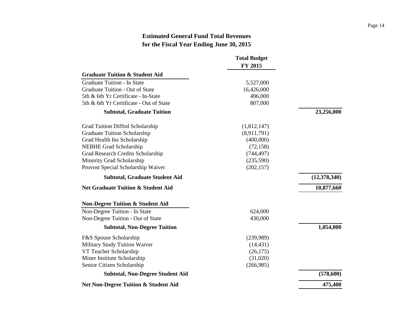|                                                 | <b>Total Budget</b> |                |
|-------------------------------------------------|---------------------|----------------|
|                                                 | FY 2015             |                |
| <b>Graduate Tuition &amp; Student Aid</b>       |                     |                |
| <b>Graduate Tuition - In State</b>              | 5,527,000           |                |
| Graduate Tuition - Out of State                 | 16,426,000          |                |
| 5th & 6th Yr Certificate - In-State             | 496,000             |                |
| 5th & 6th Yr Certificate - Out of State         | 807,000             |                |
| <b>Subtotal, Graduate Tuition</b>               |                     | 23,256,000     |
| Grad Tuition Difftnl Scholarship                | (1,812,147)         |                |
| Graduate Tuition Scholarship                    | (8,911,791)         |                |
| Grad Health Ins Scholarship                     | (400,000)           |                |
| <b>NEBHE Grad Scholarship</b>                   | (72, 158)           |                |
| Grad Research Credits Scholarship               | (744, 497)          |                |
| Minority Grad Scholarship                       | (235,590)           |                |
| Provost Special Scholarship Waiver              | (202, 157)          |                |
| <b>Subtotal, Graduate Student Aid</b>           |                     | (12, 378, 340) |
| <b>Net Graduate Tuition &amp; Student Aid</b>   |                     | 10,877,660     |
| <b>Non-Degree Tuition &amp; Student Aid</b>     |                     |                |
| Non-Degree Tuition - In State                   | 624,000             |                |
| Non-Degree Tuition - Out of State               | 430,000             |                |
| <b>Subtotal, Non-Degree Tuition</b>             |                     | 1,054,000      |
| F&S Spouse Scholarship                          | (239,989)           |                |
| Military Study Tuition Waiver                   | (14, 431)           |                |
| VT Teacher Scholarship                          | (26, 175)           |                |
| Miner Institute Scholarship                     | (31,020)            |                |
| Senior Citizen Scholarship                      | (266,985)           |                |
| <b>Subtotal, Non-Degree Student Aid</b>         |                     | (578, 600)     |
| <b>Net Non-Degree Tuition &amp; Student Aid</b> |                     | 475,400        |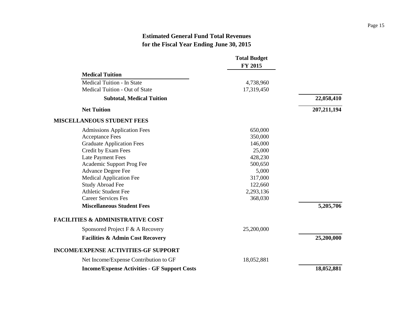|                                                     | <b>Total Budget</b><br>FY 2015 |               |
|-----------------------------------------------------|--------------------------------|---------------|
| <b>Medical Tuition</b>                              |                                |               |
| <b>Medical Tuition - In State</b>                   | 4,738,960                      |               |
| Medical Tuition - Out of State                      | 17,319,450                     |               |
| <b>Subtotal, Medical Tuition</b>                    |                                | 22,058,410    |
| <b>Net Tuition</b>                                  |                                | 207, 211, 194 |
| <b>MISCELLANEOUS STUDENT FEES</b>                   |                                |               |
| <b>Admissions Application Fees</b>                  | 650,000                        |               |
| <b>Acceptance Fees</b>                              | 350,000                        |               |
| <b>Graduate Application Fees</b>                    | 146,000                        |               |
| Credit by Exam Fees                                 | 25,000                         |               |
| <b>Late Payment Fees</b>                            | 428,230                        |               |
| Academic Support Prog Fee                           | 500,650                        |               |
| <b>Advance Degree Fee</b>                           | 5,000                          |               |
| <b>Medical Application Fee</b>                      | 317,000                        |               |
| <b>Study Abroad Fee</b>                             | 122,660                        |               |
| <b>Athletic Student Fee</b>                         | 2,293,136                      |               |
| <b>Career Services Fes</b>                          | 368,030                        |               |
| <b>Miscellaneous Student Fees</b>                   |                                | 5,205,706     |
| <b>FACILITIES &amp; ADMINISTRATIVE COST</b>         |                                |               |
| Sponsored Project F & A Recovery                    | 25,200,000                     |               |
| <b>Facilities &amp; Admin Cost Recovery</b>         |                                | 25,200,000    |
| <b>INCOME/EXPENSE ACTIVITIES-GF SUPPORT</b>         |                                |               |
| Net Income/Expense Contribution to GF               | 18,052,881                     |               |
| <b>Income/Expense Activities - GF Support Costs</b> |                                | 18,052,881    |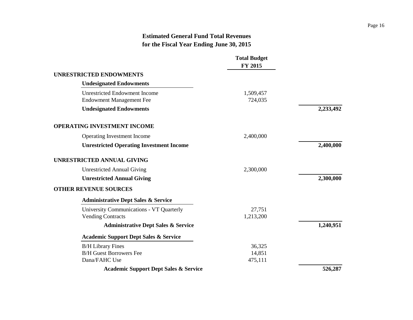|                                                                         | <b>Total Budget</b><br>FY 2015 |           |
|-------------------------------------------------------------------------|--------------------------------|-----------|
| <b>UNRESTRICTED ENDOWMENTS</b>                                          |                                |           |
| <b>Undesignated Endowments</b>                                          |                                |           |
| <b>Unrestricted Endowment Income</b><br><b>Endowment Management Fee</b> | 1,509,457<br>724,035           |           |
| <b>Undesignated Endowments</b>                                          |                                | 2,233,492 |
| <b>OPERATING INVESTMENT INCOME</b>                                      |                                |           |
| Operating Investment Income                                             | 2,400,000                      |           |
| <b>Unrestricted Operating Investment Income</b>                         |                                | 2,400,000 |
| <b>UNRESTRICTED ANNUAL GIVING</b>                                       |                                |           |
| <b>Unrestricted Annual Giving</b>                                       | 2,300,000                      |           |
| <b>Unrestricted Annual Giving</b>                                       |                                | 2,300,000 |
| <b>OTHER REVENUE SOURCES</b>                                            |                                |           |
| <b>Administrative Dept Sales &amp; Service</b>                          |                                |           |
| University Communications - VT Quarterly<br><b>Vending Contracts</b>    | 27,751<br>1,213,200            |           |
| <b>Administrative Dept Sales &amp; Service</b>                          |                                | 1,240,951 |
| <b>Academic Support Dept Sales &amp; Service</b>                        |                                |           |
| <b>B/H</b> Library Fines                                                | 36,325                         |           |
| <b>B/H Guest Borrowers Fee</b>                                          | 14,851                         |           |
| Dana/FAHC Use                                                           | 475,111                        |           |
| <b>Academic Support Dept Sales &amp; Service</b>                        |                                | 526,287   |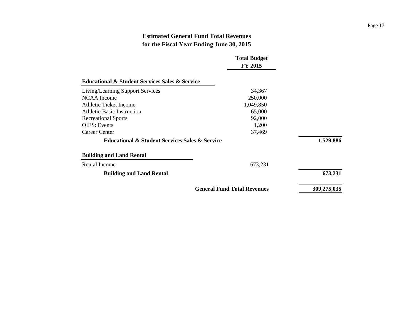|                                                               | <b>Total Budget</b>                |             |
|---------------------------------------------------------------|------------------------------------|-------------|
|                                                               | FY 2015                            |             |
| <b>Educational &amp; Student Services Sales &amp; Service</b> |                                    |             |
| <b>Living/Learning Support Services</b>                       | 34,367                             |             |
| NCAA Income                                                   | 250,000                            |             |
| <b>Athletic Ticket Income</b>                                 | 1,049,850                          |             |
| <b>Athletic Basic Instruction</b>                             | 65,000                             |             |
| <b>Recreational Sports</b>                                    | 92,000                             |             |
| <b>OIES</b> : Events                                          | 1,200                              |             |
| Career Center                                                 | 37,469                             |             |
| <b>Educational &amp; Student Services Sales &amp; Service</b> |                                    | 1,529,886   |
| <b>Building and Land Rental</b>                               |                                    |             |
| Rental Income                                                 | 673,231                            |             |
| <b>Building and Land Rental</b>                               |                                    | 673,231     |
|                                                               | <b>General Fund Total Revenues</b> | 309,275,035 |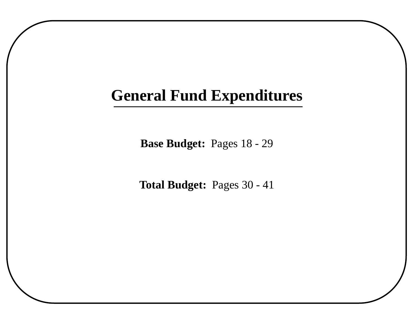# **General Fund Expenditures**

**Base Budget:** Pages 18 - 29

**Total Budget:** Pages 30 - 41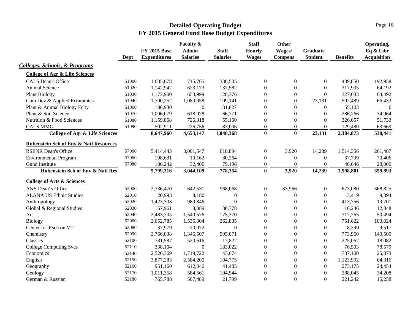<span id="page-21-0"></span>

|                                                   |       |                     | Faculty &        |                  | <b>Staff</b>     | <b>Other</b>     |                  |                 | Operating,         |
|---------------------------------------------------|-------|---------------------|------------------|------------------|------------------|------------------|------------------|-----------------|--------------------|
|                                                   |       | <b>FY 2015 Base</b> | <b>Admin</b>     | <b>Staff</b>     | <b>Hourly</b>    | Wages/           | Graduate         |                 | Eq & Libr          |
|                                                   | Dept  | <b>Expenditures</b> | <b>Salaries</b>  | <b>Salaries</b>  | <b>Wages</b>     | <b>Compens</b>   | <b>Student</b>   | <b>Benefits</b> | <b>Acquisition</b> |
| Colleges, Schools, & Programs                     |       |                     |                  |                  |                  |                  |                  |                 |                    |
| <b>College of Agr &amp; Life Sciences</b>         |       |                     |                  |                  |                  |                  |                  |                 |                    |
| <b>CALS Dean's Office</b>                         | 51000 | 1,685,078           | 715,765          | 336,505          | $\boldsymbol{0}$ | $\theta$         | $\mathbf{0}$     | 439,850         | 192,958            |
| Animal Science                                    | 51020 | 1,142,942           | 623,173          | 137,582          | $\boldsymbol{0}$ | $\boldsymbol{0}$ | $\boldsymbol{0}$ | 317,995         | 64,192             |
| <b>Plant Biology</b>                              | 51030 | 1,173,900           | 653,999          | 128,376          | $\overline{0}$   | $\theta$         | $\boldsymbol{0}$ | 327,033         | 64,492             |
| Com Dev & Applied Economics                       | 51040 | 1,790,252           | 1,089,058        | 109,141          | $\overline{0}$   | $\theta$         | 23,131           | 502,489         | 66,433             |
| Plant & Animal Biology Felty                      | 51060 | 186,930             | $\mathbf{0}$     | 131,827          | $\boldsymbol{0}$ | $\theta$         | $\theta$         | 55,103          | $\boldsymbol{0}$   |
| Plant & Soil Science                              | 51070 | 1,006,079           | 618,078          | 66,771           | $\overline{0}$   | $\boldsymbol{0}$ | $\boldsymbol{0}$ | 286,266         | 34,964             |
| Nutrition & Food Sciences                         | 51080 | 1,159,868           | 726,318          | 55,160           | $\overline{0}$   | $\boldsymbol{0}$ | $\boldsymbol{0}$ | 326,657         | 51,733             |
| <b>CALS MMG</b>                                   | 51090 | 502,911             | 226,756          | 83,006           | $\boldsymbol{0}$ | $\boldsymbol{0}$ | $\boldsymbol{0}$ | 129,480         | 63,669             |
| <b>College of Agr &amp; Life Sciences</b>         |       | 8,647,960           | 4,653,147        | 1,048,368        | $\bf{0}$         | $\bf{0}$         | 23,131           | 2,384,873       | 538,441            |
| <b>Rubenstein Sch of Env &amp; Natl Resources</b> |       |                     |                  |                  |                  |                  |                  |                 |                    |
| <b>RSENR Dean's Office</b>                        | 57000 | 5,414,443           | 3,001,547        | 618,894          | $\boldsymbol{0}$ | 3,920            | 14,239           | 1,514,356       | 261,487            |
| <b>Environmental Program</b>                      | 57060 | 198,631             | 10,162           | 80,264           | $\boldsymbol{0}$ | $\boldsymbol{0}$ | $\boldsymbol{0}$ | 37,799          | 70,406             |
| Gund Institute                                    | 57080 | 186,242             | 32,400           | 79,196           | $\overline{0}$   | $\mathbf{0}$     | $\overline{0}$   | 46,646          | 28,000             |
| <b>Rubenstein Sch of Env &amp; Natl Res</b>       |       | 5,799,316           | 3,044,109        | 778,354          | $\bf{0}$         | 3,920            | 14,239           | 1,598,801       | 359,893            |
| <b>College of Arts &amp; Sciences</b>             |       |                     |                  |                  |                  |                  |                  |                 |                    |
| A&S Dean's Office                                 | 52000 | 2,736,470           | 642,531          | 968,068          | $\boldsymbol{0}$ | 83,966           | $\boldsymbol{0}$ | 673,080         | 368,825            |
| <b>ALANA US Ethnic Studies</b>                    | 52010 | 20,993              | 8,180            | $\boldsymbol{0}$ | $\boldsymbol{0}$ | $\boldsymbol{0}$ | $\boldsymbol{0}$ | 3,419           | 9,394              |
| Anthropology                                      | 52020 | 1,423,303           | 989,846          | $\overline{0}$   | $\boldsymbol{0}$ | $\boldsymbol{0}$ | $\boldsymbol{0}$ | 413,756         | 19,701             |
| Global & Regional Studies                         | 52030 | 67,961              | 8,089            | 30,778           | $\boldsymbol{0}$ | $\boldsymbol{0}$ | $\boldsymbol{0}$ | 16,246          | 12,848             |
| Art                                               | 52040 | 2,483,705           | 1,540,576        | 175,370          | $\boldsymbol{0}$ | $\boldsymbol{0}$ | $\boldsymbol{0}$ | 717,265         | 50,494             |
| <b>Biology</b>                                    | 52060 | 2,652,785           | 1,535,304        | 262,835          | $\boldsymbol{0}$ | $\boldsymbol{0}$ | $\boldsymbol{0}$ | 751,622         | 103,024            |
| Center for Rsch on VT                             | 52080 | 37,979              | 20,072           | $\boldsymbol{0}$ | $\boldsymbol{0}$ | $\boldsymbol{0}$ | $\boldsymbol{0}$ | 8,390           | 9,517              |
| Chemistry                                         | 52090 | 2,766,038           | 1,346,507        | 505,071          | $\boldsymbol{0}$ | $\boldsymbol{0}$ | $\boldsymbol{0}$ | 773,960         | 140,500            |
| Classics                                          | 52100 | 781,587             | 520,616          | 17,822           | $\boldsymbol{0}$ | $\boldsymbol{0}$ | $\boldsymbol{0}$ | 225,067         | 18,082             |
| <b>College Computing Svcs</b>                     | 52110 | 338,104             | $\boldsymbol{0}$ | 183,022          | $\boldsymbol{0}$ | $\boldsymbol{0}$ | $\boldsymbol{0}$ | 76,503          | 78,579             |
| Economics                                         | 52140 | 2,526,369           | 1,719,722        | 43,674           | $\boldsymbol{0}$ | $\boldsymbol{0}$ | $\boldsymbol{0}$ | 737,100         | 25,873             |
| English                                           | 52150 | 3,877,283           | 2,584,200        | 104,775          | $\boldsymbol{0}$ | $\boldsymbol{0}$ | $\boldsymbol{0}$ | 1,123,992       | 64,316             |
| Geography                                         | 52160 | 951,160             | 612,046          | 41,485           | $\boldsymbol{0}$ | $\boldsymbol{0}$ | $\boldsymbol{0}$ | 273,175         | 24,454             |
| Geology                                           | 52170 | 1,011,358           | 584,561          | 104,544          | $\boldsymbol{0}$ | $\boldsymbol{0}$ | $\mathbf{0}$     | 288,045         | 34,208             |
| German & Russian                                  | 52180 | 765,788             | 507,489          | 21,799           | $\overline{0}$   | $\theta$         | $\Omega$         | 221,242         | 15,258             |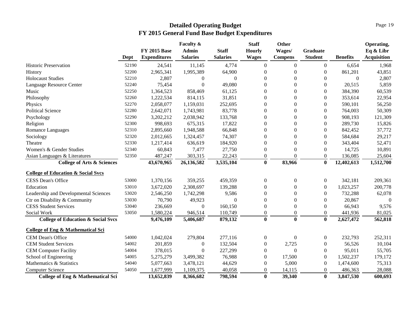|                                               |       |                     | Faculty &        |                 | <b>Staff</b>     | <b>Other</b>     |                  |                 | Operating,         |
|-----------------------------------------------|-------|---------------------|------------------|-----------------|------------------|------------------|------------------|-----------------|--------------------|
|                                               |       | <b>FY 2015 Base</b> | <b>Admin</b>     | <b>Staff</b>    | Hourly           | Wages/           | <b>Graduate</b>  |                 | Eq & Libr          |
|                                               | Dept  | <b>Expenditures</b> | <b>Salaries</b>  | <b>Salaries</b> | <b>Wages</b>     | <b>Compens</b>   | <b>Student</b>   | <b>Benefits</b> | <b>Acquisition</b> |
| <b>Historic Preservation</b>                  | 52190 | 24,541              | 11,145           | 4,774           | $\mathbf{0}$     | $\boldsymbol{0}$ | $\boldsymbol{0}$ | 6,654           | 1,968              |
| History                                       | 52200 | 2,965,341           | 1,995,389        | 64,900          | $\overline{0}$   | $\Omega$         | $\boldsymbol{0}$ | 861,201         | 43,851             |
| <b>Holocaust Studies</b>                      | 52210 | 2,807               | $\boldsymbol{0}$ | $\overline{0}$  | $\theta$         | $\Omega$         | $\mathbf{0}$     | $\mathbf{0}$    | 2,807              |
| Language Resource Center                      | 52240 | 75,454              | $\mathbf{0}$     | 49,080          | $\theta$         | $\Omega$         | $\boldsymbol{0}$ | 20,515          | 5,859              |
| Music                                         | 52250 | 1,364,523           | 858,469          | 61,125          | $\theta$         | $\boldsymbol{0}$ | $\boldsymbol{0}$ | 384,390         | 60,539             |
| Philosophy                                    | 52260 | 1,222,534           | 814,115          | 31,851          | $\theta$         | $\Omega$         | $\boldsymbol{0}$ | 353,614         | 22,954             |
| Physics                                       | 52270 | 2,058,077           | 1,159,031        | 252,695         | $\boldsymbol{0}$ | $\boldsymbol{0}$ | $\boldsymbol{0}$ | 590,101         | 56,250             |
| <b>Political Science</b>                      | 52280 | 2,642,071           | 1,743,981        | 83,778          | $\boldsymbol{0}$ | $\boldsymbol{0}$ | $\boldsymbol{0}$ | 764,003         | 50,309             |
| Psychology                                    | 52290 | 3,202,212           | 2,038,942        | 133,768         | $\boldsymbol{0}$ | $\boldsymbol{0}$ | $\boldsymbol{0}$ | 908,193         | 121,309            |
| Religion                                      | 52300 | 998,693             | 675,315          | 17,822          | $\boldsymbol{0}$ | $\boldsymbol{0}$ | $\boldsymbol{0}$ | 289,730         | 15,826             |
| Romance Languages                             | 52310 | 2,895,660           | 1,948,588        | 66,848          | $\boldsymbol{0}$ | $\boldsymbol{0}$ | $\overline{0}$   | 842,452         | 37,772             |
| Sociology                                     | 52320 | 2,012,665           | 1,324,457        | 74,307          | $\boldsymbol{0}$ | $\Omega$         | $\boldsymbol{0}$ | 584,684         | 29,217             |
| Theatre                                       | 52330 | 1,217,414           | 636,619          | 184,920         | $\boldsymbol{0}$ | $\boldsymbol{0}$ | $\boldsymbol{0}$ | 343,404         | 52,471             |
| Women's & Gender Studies                      | 52340 | 60,843              | 7,477            | 27,750          | $\overline{0}$   | $\Omega$         | $\overline{0}$   | 14,725          | 10,891             |
| Asian Languages & Literatures                 | 52350 | 487,247             | 303,315          | 22,243          | $\overline{0}$   | $\Omega$         | $\overline{0}$   | 136,085         | 25,604             |
| <b>College of Arts &amp; Sciences</b>         |       | 43,670,965          | 26,136,582       | 3,535,104       | $\bf{0}$         | 83,966           | $\bf{0}$         | 12,402,613      | 1,512,700          |
| <b>College of Education &amp; Social Svcs</b> |       |                     |                  |                 |                  |                  |                  |                 |                    |
| <b>CESS Dean's Office</b>                     | 53000 | 1,370,156           | 359,255          | 459,359         | $\boldsymbol{0}$ | $\boldsymbol{0}$ | $\boldsymbol{0}$ | 342,181         | 209,361            |
| Education                                     | 53010 | 3,672,020           | 2,308,697        | 139,288         | $\theta$         | $\Omega$         | $\boldsymbol{0}$ | 1,023,257       | 200,778            |
| Leadership and Developmental Sciences         | 53020 | 2,546,250           | 1,742,298        | 9,586           | $\overline{0}$   | $\mathbf{0}$     | $\overline{0}$   | 732,288         | 62,078             |
| Ctr on Disability & Community                 | 53030 | 70,790              | 49,923           | $\theta$        | $\theta$         | $\Omega$         | $\boldsymbol{0}$ | 20,867          | $\theta$           |
| <b>CESS Student Services</b>                  | 53040 | 236,669             | $\boldsymbol{0}$ | 160,150         | $\overline{0}$   | $\mathbf{0}$     | $\overline{0}$   | 66,943          | 9,576              |
| Social Work                                   | 53050 | 1,580,224           | 946,514          | 110,749         | $\theta$         | $\Omega$         | $\theta$         | 441,936         | 81,025             |
| <b>College of Education &amp; Social Svcs</b> |       | 9,476,109           | 5,406,687        | 879,132         | $\bf{0}$         | $\mathbf{0}$     | $\bf{0}$         | 2,627,472       | 562,818            |
| <b>College of Eng &amp; Mathematical Sci</b>  |       |                     |                  |                 |                  |                  |                  |                 |                    |
| CEM Dean's Office                             | 54000 | 1,042,024           | 279,804          | 277,116         | $\boldsymbol{0}$ | $\Omega$         | $\overline{0}$   | 232,793         | 252,311            |
| <b>CEM Student Services</b>                   | 54002 | 201,859             | $\boldsymbol{0}$ | 132,504         | $\boldsymbol{0}$ | 2,725            | $\overline{0}$   | 56,526          | 10,104             |
| <b>CEM Computer Facility</b>                  | 54004 | 378,015             | $\mathbf{0}$     | 227,299         | $\theta$         | $\Omega$         | $\boldsymbol{0}$ | 95,011          | 55,705             |
| School of Engineering                         | 54005 | 5,275,279           | 3,499,382        | 76,988          | $\overline{0}$   | 17,500           | $\boldsymbol{0}$ | 1,502,237       | 179,172            |
| Mathematics & Statistics                      | 54040 | 5,077,663           | 3,478,121        | 44,629          | $\theta$         | 5,000            | $\boldsymbol{0}$ | 1,474,600       | 75,313             |
| <b>Computer Science</b>                       | 54050 | 1,677,999           | 1,109,375        | 40,058          | $\Omega$         | 14,115           | $\boldsymbol{0}$ | 486,363         | 28,088             |
| College of Eng & Mathematical Sci             |       | 13,652,839          | 8,366,682        | 798,594         | $\mathbf{0}$     | 39,340           | $\mathbf{0}$     | 3,847,530       | 600,693            |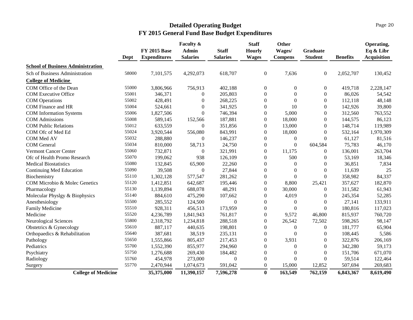|                                          |       | <b>FY 2015 Base</b> | Faculty &<br><b>Admin</b> | <b>Staff</b>    | <b>Staff</b><br><b>Hourly</b> | Other<br>Wages/  | <b>Graduate</b>  |                 | Operating,<br>Eq & Libr |
|------------------------------------------|-------|---------------------|---------------------------|-----------------|-------------------------------|------------------|------------------|-----------------|-------------------------|
|                                          | Dept  | <b>Expenditures</b> | <b>Salaries</b>           | <b>Salaries</b> | <b>Wages</b>                  | <b>Compens</b>   | <b>Student</b>   | <b>Benefits</b> | <b>Acquisition</b>      |
| <b>School of Business Administration</b> |       |                     |                           |                 |                               |                  |                  |                 |                         |
| Sch of Business Administration           | 58000 | 7,101,575           | 4,292,073                 | 618,707         | $\overline{0}$                | 7,636            | $\overline{0}$   | 2,052,707       | 130,452                 |
| <b>College of Medicine</b>               |       |                     |                           |                 |                               |                  |                  |                 |                         |
| COM Office of the Dean                   | 55000 | 3,806,966           | 756,913                   | 402,188         | $\boldsymbol{0}$              | $\boldsymbol{0}$ | 0                | 419,718         | 2,228,147               |
| <b>COM Executive Office</b>              | 55001 | 346,371             | $\overline{0}$            | 205,803         | $\boldsymbol{0}$              | $\Omega$         | $\boldsymbol{0}$ | 86,026          | 54,542                  |
| <b>COM</b> Operations                    | 55002 | 428,491             | $\boldsymbol{0}$          | 268,225         | $\boldsymbol{0}$              | $\boldsymbol{0}$ | $\boldsymbol{0}$ | 112,118         | 48,148                  |
| COM Finance and HR                       | 55004 | 524,661             | $\theta$                  | 341,925         | $\overline{0}$                | 10               | $\overline{0}$   | 142,926         | 39,800                  |
| <b>COM</b> Information Systems           | 55006 | 1,827,506           | $\Omega$                  | 746,394         | $\overline{0}$                | 5,000            | $\overline{0}$   | 312,560         | 763,552                 |
| <b>COM</b> Admissions                    | 55008 | 589,145             | 152,566                   | 187,881         | $\boldsymbol{0}$              | 18,000           | $\boldsymbol{0}$ | 144,575         | 86,123                  |
| <b>COM Public Relations</b>              | 55012 | 633,559             | $\overline{0}$            | 351,856         | 0                             | 13,000           | $\overline{0}$   | 148,714         | 119,989                 |
| COM Ofc of Med Ed                        | 55024 | 3,920,544           | 556,080                   | 843,991         | $\overline{0}$                | 18,000           | $\overline{0}$   | 532,164         | 1,970,309               |
| COM Med AV                               | 55032 | 288,880             | $\boldsymbol{0}$          | 146,237         | $\boldsymbol{0}$              | $\boldsymbol{0}$ | $\boldsymbol{0}$ | 61,127          | 81,516                  |
| <b>COM</b> General                       | 55034 | 810,000             | 58,713                    | 24,750          | $\boldsymbol{0}$              | $\mathbf{0}$     | 604,584          | 75,783          | 46,170                  |
| <b>Vermont Cancer Center</b>             | 55060 | 732,871             | $\boldsymbol{0}$          | 321,991         | $\overline{0}$                | 11,175           | $\theta$         | 136,001         | 263,704                 |
| Ofc of Health Promo Research             | 55070 | 199,062             | 938                       | 126,109         | $\boldsymbol{0}$              | 500              | 0                | 53,169          | 18,346                  |
| <b>Medical Biostatistics</b>             | 55080 | 132,845             | 65,900                    | 22,260          | $\boldsymbol{0}$              | $\mathbf{0}$     | $\overline{0}$   | 36,851          | 7,834                   |
| Continuing Med Education                 | 55090 | 39,508              | $\overline{0}$            | 27,844          | $\overline{0}$                | $\mathbf{0}$     | $\boldsymbol{0}$ | 11,639          | 25                      |
| Biochemistry                             | 55110 | 1,302,128           | 577,547                   | 281,262         | $\boldsymbol{0}$              | $\Omega$         | $\theta$         | 358,982         | 84,337                  |
| COM Microbio & Molec Genetics            | 55120 | 1,412,851           | 642,687                   | 195,446         | 0                             | 8,800            | 25,421           | 357,627         | 182,870                 |
| Pharmacology                             | 55130 | 1,139,894           | 688,078                   | 48,291          | $\overline{0}$                | 30,000           | $\theta$         | 311,582         | 61,943                  |
| Molecular Physlgy & Biophysics           | 55140 | 884,610             | 475,290                   | 107,662         | $\overline{0}$                | 4,019            | $\overline{0}$   | 245,354         | 52,285                  |
| Anesthesiology                           | 55500 | 285,552             | 124,500                   | $\Omega$        | 0                             | $\boldsymbol{0}$ | $\theta$         | 27,141          | 133,911                 |
| Family Medicine                          | 55510 | 928,311             | 456,513                   | 173,959         | $\overline{0}$                | $\mathbf{0}$     | $\boldsymbol{0}$ | 180,816         | 117,023                 |
| Medicine                                 | 55520 | 4,236,789           | 1,841,943                 | 761,817         | $\overline{0}$                | 9,572            | 46,800           | 815,937         | 760,720                 |
| Neurological Sciences                    | 55800 | 2,318,792           | 1,234,818                 | 288,518         | 0                             | 26,542           | 72,502           | 598,265         | 98,147                  |
| Obstetrics & Gynecology                  | 55610 | 887,117             | 440,635                   | 198,801         | $\overline{0}$                | $\mathbf{0}$     | $\boldsymbol{0}$ | 181,777         | 65,904                  |
| Orthopaedics & Rehabilitation            | 55640 | 387,681             | 38,519                    | 235,131         | $\overline{0}$                | $\theta$         | $\boldsymbol{0}$ | 108,445         | 5,586                   |
| Pathology                                | 55650 | 1,555,866           | 805,437                   | 217,453         | 0                             | 3,931            | 0                | 322,876         | 206,169                 |
| Pediatrics                               | 55700 | 1,552,390           | 855,977                   | 294,960         | $\overline{0}$                | $\mathbf{0}$     | $\overline{0}$   | 342,280         | 59,173                  |
| Psychiatry                               | 55750 | 1,276,688           | 269,430                   | 184,482         | $\overline{0}$                | $\mathbf{0}$     | $\overline{0}$   | 151,706         | 671,070                 |
| Radiology                                | 55760 | 454,978             | 273,000                   | $\mathbf{0}$    | $\overline{0}$                | $\boldsymbol{0}$ | $\boldsymbol{0}$ | 59,514          | 122,464                 |
| Surgery                                  | 55770 | 2,470,944           | 1,074,673                 | 591,042         | $\mathbf{0}$                  | 15,000           | 12,852           | 507,694         | 269,683                 |
| <b>College of Medicine</b>               |       | 35,375,000          | 11,390,157                | 7,596,278       | $\bf{0}$                      | 163,549          | 762,159          | 6,843,367       | 8,619,490               |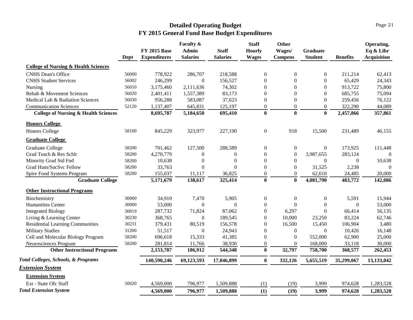|                                                 | Dept  | <b>FY 2015 Base</b><br><b>Expenditures</b> | Faculty &<br>Admin<br><b>Salaries</b> | <b>Staff</b><br><b>Salaries</b> | <b>Staff</b><br><b>Hourly</b><br><b>Wages</b> | <b>Other</b><br>Wages/<br><b>Compens</b> | Graduate<br><b>Student</b> | <b>Benefits</b>  | Operating,<br>Eq & Libr<br><b>Acquisition</b> |
|-------------------------------------------------|-------|--------------------------------------------|---------------------------------------|---------------------------------|-----------------------------------------------|------------------------------------------|----------------------------|------------------|-----------------------------------------------|
| <b>College of Nursing &amp; Health Sciences</b> |       |                                            |                                       |                                 |                                               |                                          |                            |                  |                                               |
| <b>CNHS</b> Dean's Office                       | 56000 | 778,922                                    | 286,707                               | 218,588                         | $\boldsymbol{0}$                              | $\boldsymbol{0}$                         | $\overline{0}$             | 211,214          | 62,413                                        |
| <b>CNHS Student Services</b>                    | 56002 | 246,299                                    | $\Omega$                              | 156,527                         | $\boldsymbol{0}$                              | $\Omega$                                 | $\Omega$                   | 65,429           | 24,343                                        |
| Nursing                                         | 56010 | 3,175,460                                  | 2,111,636                             | 74,302                          | $\Omega$                                      | $\Omega$                                 | $\theta$                   | 913,722          | 75,800                                        |
| Rehab & Movement Sciences                       | 56020 | 2,401,411                                  | 1,557,389                             | 83,173                          | $\mathbf{0}$                                  | $\Omega$                                 | $\Omega$                   | 685,755          | 75,094                                        |
| Medical Lab & Radiation Sciences                | 56030 | 956,288                                    | 583,087                               | 37,623                          | $\mathbf{0}$                                  | $\mathbf{0}$                             | $\Omega$                   | 259,456          | 76,122                                        |
| <b>Communication Sciences</b>                   | 52120 | 1,137,407                                  | 645,831                               | 125,197                         | $\boldsymbol{0}$                              | $\boldsymbol{0}$                         | $\mathbf{0}$               | 322,290          | 44,089                                        |
| <b>College of Nursing &amp; Health Sciences</b> |       | 8,695,787                                  | 5,184,650                             | 695,410                         | $\bf{0}$                                      | $\bf{0}$                                 | $\bf{0}$                   | 2,457,866        | 357,861                                       |
| <b>Honors College</b>                           |       |                                            |                                       |                                 |                                               |                                          |                            |                  |                                               |
| <b>Honors College</b>                           | 58100 | 845,229                                    | 323,977                               | 227,190                         | $\boldsymbol{0}$                              | 918                                      | 15,500                     | 231,489          | 46,155                                        |
| <b>Graduate College</b>                         |       |                                            |                                       |                                 |                                               |                                          |                            |                  |                                               |
| <b>Graduate College</b>                         | 58200 | 701,462                                    | 127,500                               | 288,589                         | $\boldsymbol{0}$                              | $\boldsymbol{0}$                         | $\boldsymbol{0}$           | 173,925          | 111,448                                       |
| Grad Teach & Res Schlr                          | 58200 | 4,270,779                                  | $\boldsymbol{0}$                      | $\Omega$                        | $\boldsymbol{0}$                              | $\boldsymbol{0}$                         | 3,987,655                  | 283,124          | $\Omega$                                      |
| Minority Grad Std Fnd                           | 58200 | 10,638                                     | $\boldsymbol{0}$                      | $\overline{0}$                  | $\boldsymbol{0}$                              | $\boldsymbol{0}$                         | $\theta$                   | $\theta$         | 10,638                                        |
| Grad Hum/SocSvc Fellow                          | 58200 | 33,763                                     | $\boldsymbol{0}$                      | $\Omega$                        | $\boldsymbol{0}$                              | $\boldsymbol{0}$                         | 31,525                     | 2,238            | $\Omega$                                      |
| Spire Food Systems Program                      | 58200 | 155,037                                    | 11,117                                | 36,825                          | $\boldsymbol{0}$                              | $\overline{0}$                           | 62,610                     | 24,485           | 20,000                                        |
| <b>Graduate College</b>                         |       | 5,171,679                                  | 138,617                               | 325,414                         | $\bf{0}$                                      | $\bf{0}$                                 | 4,081,790                  | 483,772          | 142,086                                       |
| <b>Other Instructional Programs</b>             |       |                                            |                                       |                                 |                                               |                                          |                            |                  |                                               |
| Biochemistry                                    | 30000 | 34,910                                     | 7,470                                 | 5,905                           | $\boldsymbol{0}$                              | $\boldsymbol{0}$                         | $\overline{0}$             | 5,591            | 15,944                                        |
| Humanities Center                               | 30000 | 53,000                                     | $\overline{0}$                        | $\mathbf{0}$                    | $\boldsymbol{0}$                              | $\overline{0}$                           | $\boldsymbol{0}$           | $\boldsymbol{0}$ | 53,000                                        |
| <b>Integrated Biology</b>                       | 30019 | 287,732                                    | 71,824                                | 87,062                          | $\boldsymbol{0}$                              | 6,297                                    | $\overline{0}$             | 66,414           | 56,135                                        |
| Living & Learning Center                        | 30230 | 368,765                                    | $\boldsymbol{0}$                      | 189,545                         | $\Omega$                                      | 10,000                                   | 23,250                     | 83,224           | 62,746                                        |
| Residential Learning Communities                | 30231 | 379,431                                    | 80,519                                | 156,578                         | $\Omega$                                      | 16,500                                   | 15,450                     | 106,904          | 3,480                                         |
| <b>Military Studies</b>                         | 31200 | 51,517                                     | $\Omega$                              | 24,943                          | $\overline{0}$                                | $\boldsymbol{0}$                         | $\Omega$                   | 10,426           | 16,148                                        |
| Cell and Molecular Biology Program              | 58200 | 696,618                                    | 15,333                                | 41,385                          | $\boldsymbol{0}$                              | $\overline{0}$                           | 552,000                    | 62,900           | 25,000                                        |
| Neurosciences Program                           | 58200 | 281,814                                    | 11,766                                | 38,930                          | $\boldsymbol{0}$                              | $\boldsymbol{0}$                         | 168,000                    | 33,118           | 30,000                                        |
| <b>Other Instructional Programs</b>             |       | 2,153,787                                  | 186,912                               | 544,348                         | $\bf{0}$                                      | 32,797                                   | 758,700                    | 368,577          | 262,453                                       |
| Total Colleges, Schools, & Programs             |       | 140,590,246                                | 69,123,593                            | 17,046,899                      | $\bf{0}$                                      | 332,126                                  | 5,655,519                  | 35,299,067       | 13,133,042                                    |
| <b>Extension System</b>                         |       |                                            |                                       |                                 |                                               |                                          |                            |                  |                                               |
| <b>Extension System</b>                         |       |                                            |                                       |                                 |                                               |                                          |                            |                  |                                               |
| Ext - State Ofc Staff                           | 50020 | 4,569,000                                  | 796,977                               | 1,509,888                       | (1)                                           | (19)                                     | 3,999                      | 974,628          | 1,283,528                                     |
| <b>Total Extension System</b>                   |       | 4,569,000                                  | 796,977                               | 1,509,888                       | (1)                                           | (19)                                     | 3,999                      | 974,628          | 1,283,528                                     |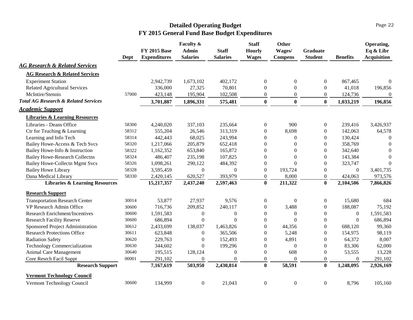|                                                 | Dept  | <b>FY 2015 Base</b><br><b>Expenditures</b> | Faculty &<br><b>Admin</b><br><b>Salaries</b> | <b>Staff</b><br><b>Salaries</b> | <b>Staff</b><br><b>Hourly</b><br><b>Wages</b> | <b>Other</b><br>Wages/<br><b>Compens</b> | <b>Graduate</b><br><b>Student</b> | <b>Benefits</b>  | Operating,<br>Eq & Libr<br><b>Acquisition</b> |
|-------------------------------------------------|-------|--------------------------------------------|----------------------------------------------|---------------------------------|-----------------------------------------------|------------------------------------------|-----------------------------------|------------------|-----------------------------------------------|
| <b>AG Research &amp; Related Services</b>       |       |                                            |                                              |                                 |                                               |                                          |                                   |                  |                                               |
| <b>AG Research &amp; Related Services</b>       |       |                                            |                                              |                                 |                                               |                                          |                                   |                  |                                               |
| <b>Experiment Station</b>                       |       | 2,942,739                                  | 1,673,102                                    | 402,172                         | $\boldsymbol{0}$                              | $\boldsymbol{0}$                         | $\boldsymbol{0}$                  | 867,465          | $\theta$                                      |
| <b>Related Agricultural Services</b>            |       | 336,000                                    | 27,325                                       | 70,801                          | $\boldsymbol{0}$                              | $\boldsymbol{0}$                         | $\boldsymbol{0}$                  | 41,018           | 196,856                                       |
| McIntire/Stennis                                | 57000 | 423,148                                    | 195,904                                      | 102,508                         | $\boldsymbol{0}$                              | $\boldsymbol{0}$                         | $\boldsymbol{0}$                  | 124,736          | $\Omega$                                      |
| <b>Total AG Research &amp; Related Services</b> |       | 3,701,887                                  | 1,896,331                                    | 575,481                         | $\bf{0}$                                      | $\bf{0}$                                 | $\bf{0}$                          | 1,033,219        | 196,856                                       |
| <b>Academic Support</b>                         |       |                                            |                                              |                                 |                                               |                                          |                                   |                  |                                               |
| <b>Libraries &amp; Learning Resources</b>       |       |                                            |                                              |                                 |                                               |                                          |                                   |                  |                                               |
| Libraries - Deans Office                        | 58300 | 4,240,020                                  | 337,103                                      | 235,664                         | $\overline{0}$                                | 900                                      | $\overline{0}$                    | 239,416          | 3,426,937                                     |
| Ctr for Teaching & Learning                     | 58312 | 555,204                                    | 26,546                                       | 313,319                         | $\overline{0}$                                | 8,698                                    | $\theta$                          | 142,063          | 64,578                                        |
| Learning and Info Tech                          | 58314 | 442,443                                    | 68,025                                       | 243,994                         | $\overline{0}$                                | $\overline{0}$                           | $\Omega$                          | 130,424          | $\Omega$                                      |
| Bailey Howe-Access & Tech Svcs                  | 58320 | 1,217,066                                  | 205,879                                      | 652,418                         | $\overline{0}$                                | $\mathbf{0}$                             | $\theta$                          | 358,769          | $\Omega$                                      |
| Bailey Howe-Info & Instruction                  | 58322 | 1,162,352                                  | 653,840                                      | 165,872                         | $\boldsymbol{0}$                              | $\mathbf{0}$                             | $\theta$                          | 342,640          | $\Omega$                                      |
| <b>Bailey Howe-Research Collectns</b>           | 58324 | 486,407                                    | 235,198                                      | 107,825                         | $\boldsymbol{0}$                              | $\theta$                                 | $\mathbf{0}$                      | 143,384          | $\theta$                                      |
| <b>Bailey Howe-Collectn Mgmt Svcs</b>           | 58326 | 1,098,261                                  | 290,122                                      | 484,392                         | $\boldsymbol{0}$                              | $\theta$                                 | $\theta$                          | 323,747          | $\overline{0}$                                |
| <b>Bailey Howe Library</b>                      | 58328 | 3,595,459                                  | $\overline{0}$                               | $\overline{0}$                  | $\boldsymbol{0}$                              | 193,724                                  | $\Omega$                          | $\boldsymbol{0}$ | 3,401,735                                     |
| Dana Medical Library                            | 58330 | 2,420,145                                  | 620,527                                      | 393,979                         | $\boldsymbol{0}$                              | 8,000                                    | $\theta$                          | 424,063          | 973,576                                       |
| <b>Libraries &amp; Learning Resources</b>       |       | 15,217,357                                 | 2,437,240                                    | 2,597,463                       | $\mathbf{0}$                                  | 211,322                                  | $\mathbf{0}$                      | 2,104,506        | 7,866,826                                     |
| <b>Research Support</b>                         |       |                                            |                                              |                                 |                                               |                                          |                                   |                  |                                               |
| <b>Transportation Research Center</b>           | 30014 | 53,877                                     | 27,937                                       | 9,576                           | $\overline{0}$                                | $\boldsymbol{0}$                         | $\mathbf{0}$                      | 15,680           | 684                                           |
| VP Research Admin Office                        | 30600 | 716,736                                    | 209,852                                      | 240,117                         | $\boldsymbol{0}$                              | 3,488                                    | $\boldsymbol{0}$                  | 188,087          | 75,192                                        |
| <b>Research Enrichment/Incentives</b>           | 30600 | 1,591,583                                  | $\theta$                                     | $\theta$                        | $\overline{0}$                                | $\theta$                                 | $\boldsymbol{0}$                  | $\overline{0}$   | 1,591,583                                     |
| <b>Research Facility Reserve</b>                | 30600 | 686,894                                    | $\Omega$                                     | $\Omega$                        | $\Omega$                                      | $\Omega$                                 | $\Omega$                          | $\Omega$         | 686,894                                       |
| Sponsored Project Administration                | 30612 | 2,433,699                                  | 138,037                                      | 1,463,826                       | $\boldsymbol{0}$                              | 44,356                                   | $\boldsymbol{0}$                  | 688,120          | 99,360                                        |
| <b>Research Protections Office</b>              | 30611 | 623,848                                    | $\boldsymbol{0}$                             | 365,506                         | $\overline{0}$                                | 5,248                                    | $\theta$                          | 154,975          | 98,119                                        |
| <b>Radiation Safety</b>                         | 30620 | 229,763                                    | $\overline{0}$                               | 152,493                         | $\overline{0}$                                | 4,891                                    | $\theta$                          | 64,372           | 8,007                                         |
| <b>Technology Commercialization</b>             | 30630 | 344,602                                    | $\theta$                                     | 199,296                         | $\boldsymbol{0}$                              | $\boldsymbol{0}$                         | $\boldsymbol{0}$                  | 83,306           | 62,000                                        |
| Animal Care Management                          | 30640 | 195,515                                    | 128,124                                      | $\mathbf{0}$                    | $\boldsymbol{0}$                              | 608                                      | $\theta$                          | 53,555           | 13,228                                        |
| Core Resrch Facil Suppt                         | 00001 | 291,102                                    | $\theta$                                     | $\mathbf{0}$                    | $\boldsymbol{0}$                              | $\boldsymbol{0}$                         | $\boldsymbol{0}$                  | $\mathbf{0}$     | 291,102                                       |
| <b>Research Support</b>                         |       | 7,167,619                                  | 503,950                                      | 2,430,814                       | $\bf{0}$                                      | 58,591                                   | $\bf{0}$                          | 1,248,095        | 2,926,169                                     |
| <b>Vermont Technology Council</b>               |       |                                            |                                              |                                 |                                               |                                          |                                   |                  |                                               |
| Vermont Technology Council                      | 30600 | 134,999                                    | $\mathbf{0}$                                 | 21,043                          | $\boldsymbol{0}$                              | $\boldsymbol{0}$                         | $\boldsymbol{0}$                  | 8,796            | 105,160                                       |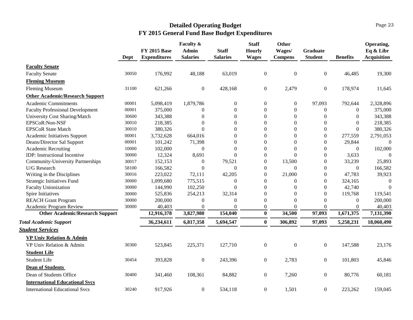|                                          | Dept  | <b>FY 2015 Base</b><br><b>Expenditures</b> | Faculty &<br><b>Admin</b><br><b>Salaries</b> | <b>Staff</b><br><b>Salaries</b> | <b>Staff</b><br><b>Hourly</b><br><b>Wages</b> | Other<br>Wages/<br><b>Compens</b> | <b>Graduate</b><br><b>Student</b> | <b>Benefits</b>  | Operating,<br>Eq & Libr<br><b>Acquisition</b> |
|------------------------------------------|-------|--------------------------------------------|----------------------------------------------|---------------------------------|-----------------------------------------------|-----------------------------------|-----------------------------------|------------------|-----------------------------------------------|
| <b>Faculty Senate</b>                    |       |                                            |                                              |                                 |                                               |                                   |                                   |                  |                                               |
| <b>Faculty Senate</b>                    | 30050 | 176,992                                    | 48,188                                       | 63,019                          | $\boldsymbol{0}$                              | $\boldsymbol{0}$                  | $\boldsymbol{0}$                  | 46,485           | 19,300                                        |
| <b>Fleming Museum</b>                    |       |                                            |                                              |                                 |                                               |                                   |                                   |                  |                                               |
| <b>Fleming Museum</b>                    | 31100 | 621,266                                    | $\mathbf{0}$                                 | 428,168                         | $\boldsymbol{0}$                              | 2,479                             | $\boldsymbol{0}$                  | 178,974          | 11,645                                        |
| <b>Other Academic/Research Support</b>   |       |                                            |                                              |                                 |                                               |                                   |                                   |                  |                                               |
| <b>Academic Commitments</b>              | 00001 | 5,098,419                                  | 1,879,786                                    | $\boldsymbol{0}$                | $\boldsymbol{0}$                              | $\boldsymbol{0}$                  | 97,093                            | 792,644          | 2,328,896                                     |
| <b>Faculty Professional Development</b>  | 00001 | 375,000                                    | $\theta$                                     | $\boldsymbol{0}$                | $\Omega$                                      | $\boldsymbol{0}$                  | $\theta$                          | $\Omega$         | 375,000                                       |
| University Cost Sharing/Match            | 30600 | 343,388                                    | $\Omega$                                     | $\Omega$                        | $\Omega$                                      | $\boldsymbol{0}$                  | $\Omega$                          | $\Omega$         | 343,388                                       |
| EPSCoR:Non-NSF                           | 30010 | 218,385                                    | $\Omega$                                     | $\Omega$                        | $\Omega$                                      | $\Omega$                          | $\boldsymbol{0}$                  | $\Omega$         | 218,385                                       |
| <b>EPSCoR State Match</b>                | 30010 | 380,326                                    | $\overline{0}$                               | $\boldsymbol{0}$                | $\boldsymbol{0}$                              | $\boldsymbol{0}$                  | $\boldsymbol{0}$                  | $\boldsymbol{0}$ | 380,326                                       |
| Academic Initiatives Support             | 00001 | 3,732,628                                  | 664,016                                      | $\theta$                        | $\mathbf{0}$                                  | $\boldsymbol{0}$                  | $\boldsymbol{0}$                  | 277,559          | 2,791,053                                     |
| Deans/Director Sal Support               | 00001 | 101,242                                    | 71,398                                       | $\mathbf{0}$                    | $\boldsymbol{0}$                              | $\boldsymbol{0}$                  | $\boldsymbol{0}$                  | 29,844           | $\overline{0}$                                |
| <b>Academic Recruiting</b>               | 10000 | 102,000                                    | $\overline{0}$                               | $\boldsymbol{0}$                | $\boldsymbol{0}$                              | $\theta$                          | $\theta$                          | $\mathbf{0}$     | 102,000                                       |
| IDP: Instructional Incentive             | 30000 | 12,324                                     | 8,691                                        | $\overline{0}$                  | $\boldsymbol{0}$                              | $\overline{0}$                    | $\boldsymbol{0}$                  | 3,633            | $\Omega$                                      |
| <b>Community-University Partnerships</b> | 30017 | 152,153                                    | $\overline{0}$                               | 79,521                          | $\boldsymbol{0}$                              | 13,500                            | $\boldsymbol{0}$                  | 33,239           | 25,893                                        |
| U/G Research                             | 58100 | 166,582                                    | $\theta$                                     | $\boldsymbol{0}$                | $\boldsymbol{0}$                              | $\boldsymbol{0}$                  | $\boldsymbol{0}$                  | $\theta$         | 166,582                                       |
| Writing in the Disciplines               | 30016 | 223,022                                    | 72,111                                       | 42,205                          | $\boldsymbol{0}$                              | 21,000                            | $\boldsymbol{0}$                  | 47,783           | 39,923                                        |
| <b>Strategic Initiatives Fund</b>        | 30000 | 1,099,680                                  | 775,515                                      | $\boldsymbol{0}$                | $\overline{0}$                                | $\mathbf{0}$                      | $\Omega$                          | 324,165          | $\boldsymbol{0}$                              |
| <b>Faculty Unionization</b>              | 30000 | 144,990                                    | 102,250                                      | $\Omega$                        | $\Omega$                                      | $\theta$                          | $\Omega$                          | 42,740           | $\theta$                                      |
| Spire Initiatives                        | 30000 | 525,836                                    | 254,213                                      | 32,314                          | $\Omega$                                      | $\Omega$                          | $\Omega$                          | 119,768          | 119,541                                       |
| <b>REACH Grant Program</b>               | 30000 | 200,000                                    | $\theta$                                     | $\Omega$                        | $\boldsymbol{0}$                              | $\Omega$                          | $\Omega$                          | $\Omega$         | 200,000                                       |
| Academic Program Review                  | 30000 | 40,403                                     | $\boldsymbol{0}$                             | $\Omega$                        | $\boldsymbol{0}$                              | $\Omega$                          | $\Omega$                          | $\Omega$         | 40,403                                        |
| <b>Other Academic/Research Support</b>   |       | 12,916,378                                 | 3,827,980                                    | 154,040                         | $\bf{0}$                                      | 34,500                            | 97,093                            | 1,671,375        | 7,131,390                                     |
| <b>Total Academic Support</b>            |       | 36,234,611                                 | 6,817,358                                    | 5,694,547                       | $\bf{0}$                                      | 306,892                           | 97,093                            | 5,258,231        | 18,060,490                                    |
| <b>Student Services</b>                  |       |                                            |                                              |                                 |                                               |                                   |                                   |                  |                                               |
| <b>VP Univ Relation &amp; Admin</b>      |       |                                            |                                              |                                 |                                               |                                   |                                   |                  |                                               |
| VP Univ Relation & Admin                 | 30300 | 523,845                                    | 225,371                                      | 127,710                         | $\boldsymbol{0}$                              | $\mathbf{0}$                      | $\boldsymbol{0}$                  | 147,588          | 23,176                                        |
| <b>Student Life</b>                      |       |                                            |                                              |                                 |                                               |                                   |                                   |                  |                                               |
| <b>Student Life</b>                      | 30454 | 393,828                                    | $\mathbf{0}$                                 | 243,396                         | $\boldsymbol{0}$                              | 2,783                             | $\overline{0}$                    | 101,803          | 45,846                                        |
| <b>Dean of Students</b>                  |       |                                            |                                              |                                 |                                               |                                   |                                   |                  |                                               |
| Dean of Students Office                  | 30400 | 341,460                                    | 108,361                                      | 84,882                          | $\boldsymbol{0}$                              | 7,260                             | $\boldsymbol{0}$                  | 80,776           | 60,181                                        |
| <b>International Educational Svcs</b>    |       |                                            |                                              |                                 |                                               |                                   |                                   |                  |                                               |
| <b>International Educational Svcs</b>    | 30240 | 917,926                                    | $\boldsymbol{0}$                             | 534,118                         | $\boldsymbol{0}$                              | 1,501                             | $\boldsymbol{0}$                  | 223,262          | 159,045                                       |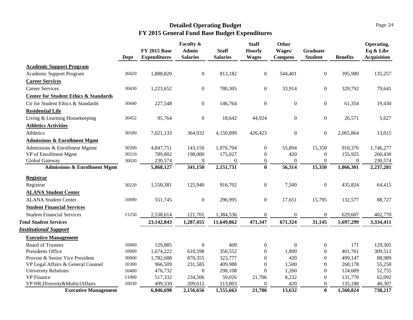|                                                  | Dept  | <b>FY 2015 Base</b><br><b>Expenditures</b> | Faculty &<br><b>Admin</b><br><b>Salaries</b> | <b>Staff</b><br><b>Salaries</b> | <b>Staff</b><br><b>Hourly</b><br><b>Wages</b> | Other<br>Wages/<br><b>Compens</b> | <b>Graduate</b><br><b>Student</b> | <b>Benefits</b> | Operating,<br>Eq & Libr<br><b>Acquisition</b> |
|--------------------------------------------------|-------|--------------------------------------------|----------------------------------------------|---------------------------------|-----------------------------------------------|-----------------------------------|-----------------------------------|-----------------|-----------------------------------------------|
| <b>Academic Support Program</b>                  |       |                                            |                                              |                                 |                                               |                                   |                                   |                 |                                               |
| Academic Support Program                         | 30420 | 1,888,820                                  | $\overline{0}$                               | 813,182                         | $\overline{0}$                                | 544,401                           | $\boldsymbol{0}$                  | 395,980         | 135,257                                       |
| <b>Career Services</b>                           |       |                                            |                                              |                                 |                                               |                                   |                                   |                 |                                               |
| <b>Career Services</b>                           | 30430 | 1,223,652                                  | $\boldsymbol{0}$                             | 780,305                         | $\boldsymbol{0}$                              | 33,914                            | $\boldsymbol{0}$                  | 329,792         | 79,641                                        |
| <b>Center for Student Ethics &amp; Standards</b> |       |                                            |                                              |                                 |                                               |                                   |                                   |                 |                                               |
| Ctr for Student Ethics & Standards               | 30440 | 227,548                                    | $\boldsymbol{0}$                             | 146,764                         | $\boldsymbol{0}$                              | $\boldsymbol{0}$                  | $\boldsymbol{0}$                  | 61,354          | 19,430                                        |
| <b>Residential Life</b>                          |       |                                            |                                              |                                 |                                               |                                   |                                   |                 |                                               |
| Living & Learning Housekeeping                   | 30452 | 95,764                                     | $\boldsymbol{0}$                             | 18,642                          | 44,924                                        | $\boldsymbol{0}$                  | $\boldsymbol{0}$                  | 26,571          | 5,627                                         |
| <b>Athletics Activities</b>                      |       |                                            |                                              |                                 |                                               |                                   |                                   |                 |                                               |
| Athletics                                        | 30500 | 7,021,133                                  | 364,932                                      | 4,150,899                       | 426,423                                       | $\boldsymbol{0}$                  | $\boldsymbol{0}$                  | 2,065,864       | 13,015                                        |
| <b>Admissions &amp; Enrollment Mgmt</b>          |       |                                            |                                              |                                 |                                               |                                   |                                   |                 |                                               |
| Admissions & Enrollment Mgmnt                    | 30200 | 4,847,751                                  | 143,150                                      | 1,976,704                       | $\overline{0}$                                | 55,894                            | 15,350                            | 910,376         | 1,746,277                                     |
| VP of Enrollment Mgmt                            | 30210 | 789,802                                    | 198,000                                      | 175,027                         | $\overline{0}$                                | 420                               | $\overline{0}$                    | 155,925         | 260,430                                       |
| Global Gateway                                   | 30020 | 230,574                                    | $\Omega$                                     | $\Omega$                        | $\overline{0}$                                | $\Omega$                          | $\boldsymbol{0}$                  | $\Omega$        | 230,574                                       |
| <b>Admissions &amp; Enrollment Mgmt</b>          |       | 5,868,127                                  | 341,150                                      | 2,151,731                       | $\bf{0}$                                      | 56,314                            | 15,350                            | 1,066,301       | 2,237,281                                     |
| <b>Registrar</b>                                 |       |                                            |                                              |                                 |                                               |                                   |                                   |                 |                                               |
| Registrar                                        | 30220 | 1,550,381                                  | 125,940                                      | 916,702                         | $\boldsymbol{0}$                              | 7,500                             | $\boldsymbol{0}$                  | 435,824         | 64,415                                        |
| <b>ALANA Student Center</b>                      |       |                                            |                                              |                                 |                                               |                                   |                                   |                 |                                               |
| <b>ALANA Student Center</b>                      | 10090 | 551,745                                    | $\boldsymbol{0}$                             | 296,995                         | $\overline{0}$                                | 17,651                            | 15,795                            | 132,577         | 88,727                                        |
| <b>Student Financial Services</b>                |       |                                            |                                              |                                 |                                               |                                   |                                   |                 |                                               |
| <b>Student Financial Services</b>                | 11250 | 2,538,614                                  | 121,701                                      | 1,384,536                       | $\overline{0}$                                | $\boldsymbol{0}$                  | $\mathbf{0}$                      | 629,607         | 402,770                                       |
| <b>Total Student Services</b>                    |       | 23, 142, 843                               | 1,287,455                                    | 11,649,862                      | 471,347                                       | 671,324                           | 31,145                            | 5,697,299       | 3,334,411                                     |
| <b>Institutional Support</b>                     |       |                                            |                                              |                                 |                                               |                                   |                                   |                 |                                               |
| <b>Executive Management</b>                      |       |                                            |                                              |                                 |                                               |                                   |                                   |                 |                                               |
| <b>Board of Trustees</b>                         | 10000 | 129,885                                    | $\Omega$                                     | 409                             | $\overline{0}$                                | $\boldsymbol{0}$                  | $\overline{0}$                    | 171             | 129,305                                       |
| Presidents Office                                | 10000 | 1,674,222                                  | 610,598                                      | 350,552                         | $\overline{0}$                                | 1,800                             | $\overline{0}$                    | 401,761         | 309,511                                       |
| Provost & Senior Vice President                  | 30000 | 1,782,688                                  | 870,355                                      | 323,777                         | $\overline{0}$                                | 420                               | $\overline{0}$                    | 499,147         | 88,989                                        |
| VP Legal Affairs & General Counsel               | 10300 | 966,509                                    | 231,585                                      | 409,988                         | $\Omega$                                      | 1,500                             | $\Omega$                          | 268,178         | 55,258                                        |
| <b>University Relations</b>                      | 10400 | 476,732                                    | $\Omega$                                     | 298,108                         | $\Omega$                                      | 1,260                             | $\theta$                          | 124,609         | 52,755                                        |
| <b>VP</b> Finance                                | 11000 | 517,332                                    | 234,506                                      | 59,026                          | 21,706                                        | 8,232                             | $\boldsymbol{0}$                  | 131,770         | 62,092                                        |
| VP HR, Diversity & MulticlAffairs                | 10030 | 499,330                                    | 209,612                                      | 113,803                         | $\boldsymbol{0}$                              | 420                               | $\boldsymbol{0}$                  | 135,188         | 40,307                                        |
| <b>Executive Management</b>                      |       | 6,046,698                                  | 2,156,656                                    | 1,555,663                       | 21,706                                        | 13,632                            | $\bf{0}$                          | 1,560,824       | 738,217                                       |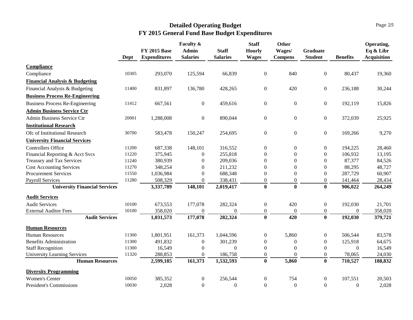|                                           |       |                     | Faculty &        |                 | <b>Staff</b>     | Other            |                  |                  | Operating,         |
|-------------------------------------------|-------|---------------------|------------------|-----------------|------------------|------------------|------------------|------------------|--------------------|
|                                           |       | <b>FY 2015 Base</b> | <b>Admin</b>     | <b>Staff</b>    | <b>Hourly</b>    | Wages/           | <b>Graduate</b>  |                  | Eq & Libr          |
|                                           | Dept  | <b>Expenditures</b> | <b>Salaries</b>  | <b>Salaries</b> | <b>Wages</b>     | <b>Compens</b>   | <b>Student</b>   | <b>Benefits</b>  | <b>Acquisition</b> |
| <b>Compliance</b>                         |       |                     |                  |                 |                  |                  |                  |                  |                    |
| Compliance                                | 10305 | 293,070             | 125,594          | 66,839          | $\boldsymbol{0}$ | 840              | $\boldsymbol{0}$ | 80,437           | 19,360             |
| <b>Financial Analysis &amp; Budgeting</b> |       |                     |                  |                 |                  |                  |                  |                  |                    |
| Financial Analysis & Budgeting            | 11400 | 831,897             | 136,780          | 428,265         | $\boldsymbol{0}$ | 420              | $\boldsymbol{0}$ | 236,188          | 30,244             |
| <b>Business Process Re-Engineering</b>    |       |                     |                  |                 |                  |                  |                  |                  |                    |
| <b>Business Process Re-Engineering</b>    | 11412 | 667,561             | $\boldsymbol{0}$ | 459,616         | $\boldsymbol{0}$ | $\boldsymbol{0}$ | $\boldsymbol{0}$ | 192,119          | 15,826             |
| <b>Admin Business Service Ctr</b>         |       |                     |                  |                 |                  |                  |                  |                  |                    |
| Admin Business Service Ctr                | 20001 | 1,288,008           | $\overline{0}$   | 890,044         | $\overline{0}$   | $\overline{0}$   | $\overline{0}$   | 372,039          | 25,925             |
| <b>Institutional Research</b>             |       |                     |                  |                 |                  |                  |                  |                  |                    |
| Ofc of Institutional Research             | 30700 | 583,478             | 150,247          | 254,695         | $\boldsymbol{0}$ | $\overline{0}$   | $\boldsymbol{0}$ | 169,266          | 9,270              |
| <b>University Financial Services</b>      |       |                     |                  |                 |                  |                  |                  |                  |                    |
| <b>Controllers Office</b>                 | 11200 | 687,338             | 148,101          | 316,552         | $\boldsymbol{0}$ | 0                | $\overline{0}$   | 194,225          | 28,460             |
| Financial Reporting & Acct Svcs           | 11220 | 375,945             | $\boldsymbol{0}$ | 255,818         | $\mathbf{0}$     | $\overline{0}$   | $\boldsymbol{0}$ | 106,932          | 13,195             |
| <b>Treasury and Tax Services</b>          | 11240 | 380,939             | $\overline{0}$   | 209,036         | $\boldsymbol{0}$ | 0                | $\boldsymbol{0}$ | 87,377           | 84,526             |
| <b>Cost Accounting Services</b>           | 11270 | 348,254             | $\overline{0}$   | 211,232         | $\boldsymbol{0}$ | 0                | $\boldsymbol{0}$ | 88,295           | 48,727             |
| <b>Procurement Services</b>               | 11550 | 1,036,984           | $\boldsymbol{0}$ | 688,348         | $\overline{0}$   | 0                | $\boldsymbol{0}$ | 287,729          | 60,907             |
| <b>Payroll Services</b>                   | 11280 | 508,329             | $\boldsymbol{0}$ | 338,431         | $\Omega$         | $\Omega$         | $\Omega$         | 141,464          | 28,434             |
| <b>University Financial Services</b>      |       | 3,337,789           | 148,101          | 2,019,417       | $\mathbf{0}$     | $\bf{0}$         | $\bf{0}$         | 906,022          | 264,249            |
| <b>Audit Services</b>                     |       |                     |                  |                 |                  |                  |                  |                  |                    |
| <b>Audit Services</b>                     | 10100 | 673,553             | 177,078          | 282,324         | $\boldsymbol{0}$ | 420              | $\boldsymbol{0}$ | 192,030          | 21,701             |
| <b>External Auditor Fees</b>              | 10100 | 358,020             | $\boldsymbol{0}$ | $\Omega$        | $\boldsymbol{0}$ | $\boldsymbol{0}$ | $\boldsymbol{0}$ | $\Omega$         | 358,020            |
| <b>Audit Services</b>                     |       | 1,031,573           | 177,078          | 282,324         | $\bf{0}$         | 420              | $\bf{0}$         | 192,030          | 379,721            |
| <b>Human Resources</b>                    |       |                     |                  |                 |                  |                  |                  |                  |                    |
| <b>Human Resources</b>                    | 11300 | 1,801,951           | 161,373          | 1,044,596       | $\boldsymbol{0}$ | 5,860            | $\overline{0}$   | 506,544          | 83,578             |
| <b>Benefits Administration</b>            | 11300 | 491,832             | $\boldsymbol{0}$ | 301,239         | $\overline{0}$   | $\mathbf{0}$     | $\overline{0}$   | 125,918          | 64,675             |
| <b>Staff Recognition</b>                  | 11300 | 16,549              | $\boldsymbol{0}$ | $\Omega$        | $\Omega$         | $\theta$         | $\Omega$         | $\Omega$         | 16,549             |
| <b>University Learning Services</b>       | 11320 | 288,853             | $\boldsymbol{0}$ | 186,758         | $\overline{0}$   | $\Omega$         | $\overline{0}$   | 78,065           | 24,030             |
| <b>Human Resources</b>                    |       | 2,599,185           | 161,373          | 1,532,593       | $\mathbf{0}$     | 5,860            | $\bf{0}$         | 710,527          | 188,832            |
| <b>Diversity Programming</b>              |       |                     |                  |                 |                  |                  |                  |                  |                    |
| <b>Women's Center</b>                     | 10050 | 385,352             | $\boldsymbol{0}$ | 256,544         | $\boldsymbol{0}$ | 754              | $\overline{0}$   | 107,551          | 20,503             |
| <b>President's Commissions</b>            | 10030 | 2,028               | $\boldsymbol{0}$ | $\theta$        | $\Omega$         | $\boldsymbol{0}$ | $\Omega$         | $\boldsymbol{0}$ | 2,028              |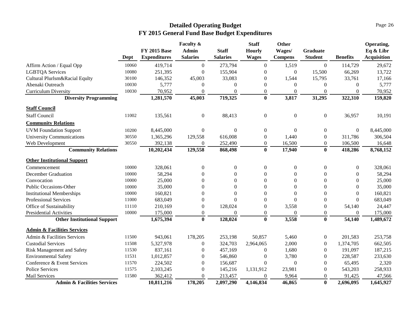|                                        |       |                     | <b>Faculty &amp;</b> |                 | <b>Staff</b>     | Other            |                  |                  | Operating,         |
|----------------------------------------|-------|---------------------|----------------------|-----------------|------------------|------------------|------------------|------------------|--------------------|
|                                        |       | <b>FY 2015 Base</b> | <b>Admin</b>         | <b>Staff</b>    | <b>Hourly</b>    | Wages/           | Graduate         |                  | Eq & Libr          |
|                                        | Dept  | <b>Expenditures</b> | <b>Salaries</b>      | <b>Salaries</b> | <b>Wages</b>     | <b>Compens</b>   | <b>Student</b>   | <b>Benefits</b>  | <b>Acquisition</b> |
| Affirm Action / Equal Opp              | 10060 | 419,714             | $\boldsymbol{0}$     | 273,794         | $\theta$         | 1,519            | $\boldsymbol{0}$ | 114,729          | 29,672             |
| <b>LGBTQA Services</b>                 | 10080 | 251,395             | $\overline{0}$       | 155,904         | $\theta$         | $\theta$         | 15,500           | 66,269           | 13,722             |
| Cultural Plurlsm&Racial Equlty         | 30100 | 146,352             | 45,003               | 33,083          | $\Omega$         | 1,544            | 15,795           | 33,761           | 17,166             |
| Abenaki Outreach                       | 10030 | 5,777               | $\theta$             | $\Omega$        | $\Omega$         | $\Omega$         | $\theta$         | $\Omega$         | 5,777              |
| Curriculum Diversity                   | 10030 | 70,952              | $\theta$             | $\theta$        | $\Omega$         | $\theta$         | $\boldsymbol{0}$ | $\theta$         | 70,952             |
| <b>Diversity Programming</b>           |       | 1,281,570           | 45,003               | 719,325         | $\bf{0}$         | 3,817            | 31,295           | 322,310          | 159,820            |
| <b>Staff Council</b>                   |       |                     |                      |                 |                  |                  |                  |                  |                    |
| <b>Staff Council</b>                   | 11002 | 135,561             | $\boldsymbol{0}$     | 88,413          | $\boldsymbol{0}$ | $\boldsymbol{0}$ | $\boldsymbol{0}$ | 36,957           | 10,191             |
| <b>Community Relations</b>             |       |                     |                      |                 |                  |                  |                  |                  |                    |
| <b>UVM Foundation Support</b>          | 10200 | 8,445,000           | $\boldsymbol{0}$     | $\Omega$        | $\overline{0}$   | $\boldsymbol{0}$ | $\overline{0}$   | $\boldsymbol{0}$ | 8,445,000          |
| <b>University Communications</b>       | 30550 | 1,365,296           | 129,558              | 616,008         | $\theta$         | 1,440            | $\boldsymbol{0}$ | 311,786          | 306,504            |
| Web Development                        | 30550 | 392,138             | $\theta$             | 252,490         | $\overline{0}$   | 16,500           | $\theta$         | 106,500          | 16,648             |
| <b>Community Relations</b>             |       | 10,202,434          | 129,558              | 868,498         | $\bf{0}$         | 17,940           | $\bf{0}$         | 418,286          | 8,768,152          |
| <b>Other Institutional Support</b>     |       |                     |                      |                 |                  |                  |                  |                  |                    |
| Commencement                           | 10000 | 328,061             | $\boldsymbol{0}$     | $\theta$        | $\boldsymbol{0}$ | $\boldsymbol{0}$ | $\boldsymbol{0}$ | $\boldsymbol{0}$ | 328,061            |
| December Graduation                    | 10000 | 58,294              | $\theta$             | 0               | $\Omega$         | $\theta$         | $\theta$         | $\Omega$         | 58,294             |
| Convocation                            | 10000 | 25,000              | $\overline{0}$       | 0               | $\Omega$         | $\theta$         | $\theta$         | $\overline{0}$   | 25,000             |
| Public Occasions-Other                 | 10000 | 35,000              | $\theta$             | 0               | $\theta$         | $\theta$         | $\theta$         | $\Omega$         | 35,000             |
| <b>Institutional Memberships</b>       | 10000 | 160,821             | $\boldsymbol{0}$     | $\Omega$        | $\theta$         | $\theta$         | $\theta$         | $\theta$         | 160,821            |
| Professional Services                  | 11000 | 683,049             | $\overline{0}$       | $\Omega$        | $\Omega$         | $\theta$         | $\Omega$         | $\Omega$         | 683,049            |
| Office of Sustainability               | 11110 | 210,169             | $\boldsymbol{0}$     | 128,024         | $\overline{0}$   | 3,558            | $\boldsymbol{0}$ | 54,140           | 24,447             |
| <b>Presidential Activities</b>         | 10000 | 175,000             | $\boldsymbol{0}$     | $\Omega$        | $\overline{0}$   | $\theta$         | $\boldsymbol{0}$ | $\Omega$         | 175,000            |
| <b>Other Institutional Support</b>     |       | 1,675,394           | $\bf{0}$             | 128,024         | $\mathbf{0}$     | 3,558            | $\bf{0}$         | 54,140           | 1,489,672          |
| <b>Admin &amp; Facilities Services</b> |       |                     |                      |                 |                  |                  |                  |                  |                    |
| Admin & Facilities Services            | 11500 | 943,061             | 178,205              | 253,198         | 50,857           | 5,460            | $\boldsymbol{0}$ | 201,583          | 253,758            |
| <b>Custodial Services</b>              | 11508 | 5,327,978           | $\boldsymbol{0}$     | 324,703         | 2,964,065        | 2,000            | $\boldsymbol{0}$ | 1,374,705        | 662,505            |
| <b>Risk Management and Safety</b>      | 11530 | 837,161             | $\boldsymbol{0}$     | 457,169         | $\overline{0}$   | 1,680            | $\boldsymbol{0}$ | 191,097          | 187,215            |
| <b>Environmental Safety</b>            | 11531 | 1,012,857           | $\theta$             | 546,860         | $\mathbf{0}$     | 3,780            | $\theta$         | 228,587          | 233,630            |
| Conference & Event Services            | 11570 | 224,502             | $\boldsymbol{0}$     | 156,687         | $\Omega$         | $\boldsymbol{0}$ | $\boldsymbol{0}$ | 65,495           | 2,320              |
| Police Services                        | 11575 | 2,103,245           | $\boldsymbol{0}$     | 145,216         | 1,131,912        | 23,981           | $\boldsymbol{0}$ | 543,203          | 258,933            |
| Mail Services                          | 11580 | 362,412             | $\boldsymbol{0}$     | 213,457         | $\Omega$         | 9,964            | $\theta$         | 91,425           | 47,566             |
| <b>Admin &amp; Facilities Services</b> |       | 10,811,216          | 178,205              | 2,097,290       | 4,146,834        | 46,865           | $\bf{0}$         | 2,696,095        | 1,645,927          |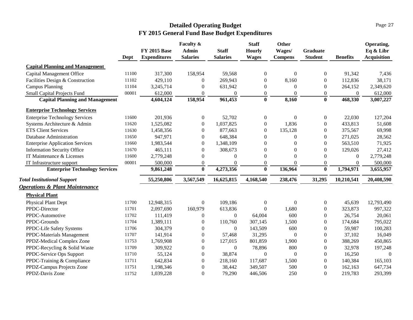|                                           |       | <b>FY 2015 Base</b> | Faculty &<br><b>Admin</b> | <b>Staff</b>     | <b>Staff</b><br><b>Hourly</b> | <b>Other</b><br>Wages/ | <b>Graduate</b>  |                  | Operating,<br>Eq & Libr |
|-------------------------------------------|-------|---------------------|---------------------------|------------------|-------------------------------|------------------------|------------------|------------------|-------------------------|
|                                           | Dept  | <b>Expenditures</b> | <b>Salaries</b>           | <b>Salaries</b>  | <b>Wages</b>                  | <b>Compens</b>         | <b>Student</b>   | <b>Benefits</b>  | <b>Acquisition</b>      |
| <b>Capital Planning and Management</b>    |       |                     |                           |                  |                               |                        |                  |                  |                         |
| Capital Management Office                 | 11100 | 317,300             | 158,954                   | 59,568           | $\boldsymbol{0}$              | $\mathbf{0}$           | $\overline{0}$   | 91,342           | 7,436                   |
| Facilities Design & Construction          | 11102 | 429,110             | $\overline{0}$            | 269,943          | $\mathbf{0}$                  | 8,160                  | $\boldsymbol{0}$ | 112,836          | 38,171                  |
| <b>Campus Planning</b>                    | 11104 | 3,245,714           | $\theta$                  | 631,942          | $\Omega$                      | $\Omega$               | $\Omega$         | 264,152          | 2,349,620               |
| Small Capital Projects Fund               | 00001 | 612,000             | $\boldsymbol{0}$          | $\boldsymbol{0}$ | $\boldsymbol{0}$              | $\mathbf{0}$           | $\boldsymbol{0}$ | $\boldsymbol{0}$ | 612,000                 |
| <b>Capital Planning and Management</b>    |       | 4,604,124           | 158,954                   | 961,453          | $\bf{0}$                      | 8,160                  | $\bf{0}$         | 468,330          | 3,007,227               |
| <b>Enterprise Technology Services</b>     |       |                     |                           |                  |                               |                        |                  |                  |                         |
| <b>Enterprise Technology Services</b>     | 11600 | 201,936             | $\boldsymbol{0}$          | 52,702           | $\boldsymbol{0}$              | $\boldsymbol{0}$       | $\mathbf{0}$     | 22,030           | 127,204                 |
| Systems Architecture & Admin              | 11620 | 1,525,082           | $\overline{0}$            | 1,037,825        | $\boldsymbol{0}$              | 1,836                  | $\overline{0}$   | 433,813          | 51,608                  |
| <b>ETS Client Services</b>                | 11630 | 1,458,356           | $\overline{0}$            | 877,663          | $\overline{0}$                | 135,128                | $\overline{0}$   | 375,567          | 69,998                  |
| Database Administration                   | 11650 | 947,971             | $\Omega$                  | 648,384          | $\Omega$                      | $\Omega$               | $\Omega$         | 271,025          | 28,562                  |
| <b>Enterprise Application Services</b>    | 11660 | 1,983,544           | $\overline{0}$            | 1,348,109        | $\Omega$                      | $\Omega$               | $\Omega$         | 563,510          | 71,925                  |
| <b>Information Security Office</b>        | 11670 | 465,111             | $\overline{0}$            | 308,673          | $\Omega$                      | $\Omega$               | $\boldsymbol{0}$ | 129,026          | 27,412                  |
| IT Maintenance & Licenses                 | 11600 | 2,779,248           | $\theta$                  | $\Omega$         | $\Omega$                      | $\Omega$               | $\Omega$         | $\overline{0}$   | 2,779,248               |
| IT Infrastructure support                 | 00001 | 500,000             | $\theta$                  | $\theta$         | $\mathbf{0}$                  | $\Omega$               | $\mathbf{0}$     | $\boldsymbol{0}$ | 500,000                 |
| <b>Enterprise Technology Services</b>     |       | 9,861,248           | $\bf{0}$                  | 4,273,356        | $\mathbf{0}$                  | 136,964                | $\bf{0}$         | 1,794,971        | 3,655,957               |
| <b>Total Institutional Support</b>        |       | 55,250,806          | 3,567,549                 | 16,625,815       | 4,168,540                     | 238,476                | 31,295           | 10,210,541       | 20,408,590              |
| <b>Operations &amp; Plant Maintenance</b> |       |                     |                           |                  |                               |                        |                  |                  |                         |
| <b>Physical Plant</b>                     |       |                     |                           |                  |                               |                        |                  |                  |                         |
| Physical Plant Dept                       | 11700 | 12,948,315          | $\boldsymbol{0}$          | 109,186          | $\overline{0}$                | $\mathbf{0}$           | $\overline{0}$   | 45,639           | 12,793,490              |
| PPDC-Director                             | 11701 | 2,097,690           | 160,979                   | 613,836          | $\theta$                      | 1,680                  | $\overline{0}$   | 323,873          | 997,322                 |
| PPDC-Automotive                           | 11702 | 111,419             | $\overline{0}$            | $\overline{0}$   | 64,004                        | 600                    | $\Omega$         | 26,754           | 20,061                  |
| PPDC-Grounds                              | 11704 | 1,389,111           | $\overline{0}$            | 110,760          | 307,145                       | 1,500                  | $\Omega$         | 174,684          | 795,022                 |
| PPDC-Life Safety Systems                  | 11706 | 304,379             | $\theta$                  | $\overline{0}$   | 143,509                       | 600                    | $\overline{0}$   | 59,987           | 100,283                 |
| PPDC-Materials Management                 | 11707 | 141,914             | $\overline{0}$            | 57,468           | 31,295                        | $\mathbf{0}$           | $\Omega$         | 37,102           | 16,049                  |
| PPDZ-Medical Complex Zone                 | 11753 | 1,769,908           | $\overline{0}$            | 127,015          | 801,859                       | 1,900                  | $\Omega$         | 388,269          | 450,865                 |
| PPDC-Recycling & Solid Waste              | 11709 | 309,922             | $\theta$                  | $\theta$         | 78,896                        | 800                    | $\theta$         | 32,978           | 197,248                 |
| PPDC-Service Ops Support                  | 11710 | 55,124              | $\boldsymbol{0}$          | 38,874           | $\overline{0}$                | $\mathbf{0}$           | $\overline{0}$   | 16,250           | $\overline{0}$          |
| PPDC-Training & Compliance                | 11711 | 642,834             | $\theta$                  | 218,160          | 117,687                       | 1,500                  | $\Omega$         | 140,384          | 165,103                 |
| PPDZ-Campus Projects Zone                 | 11751 | 1,198,346           | $\theta$                  | 38,442           | 349,507                       | 500                    | $\theta$         | 162,163          | 647,734                 |
| PPDZ-Davis Zone                           | 11752 | 1,039,228           | $\theta$                  | 79,290           | 446,506                       | 250                    | $\Omega$         | 219,783          | 293,399                 |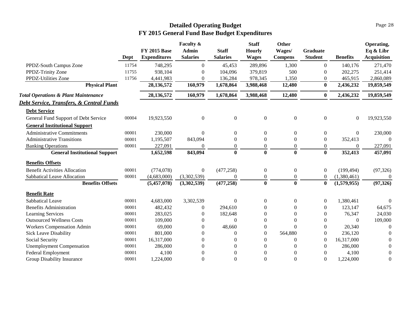|                                                     | Dept  | <b>FY 2015 Base</b><br><b>Expenditures</b> | Faculty &<br><b>Admin</b><br><b>Salaries</b> | <b>Staff</b><br><b>Salaries</b> | <b>Staff</b><br><b>Hourly</b><br><b>Wages</b> | Other<br>Wages/<br><b>Compens</b> | Graduate<br><b>Student</b> | <b>Benefits</b>  | Operating,<br>Eq & Libr<br><b>Acquisition</b> |
|-----------------------------------------------------|-------|--------------------------------------------|----------------------------------------------|---------------------------------|-----------------------------------------------|-----------------------------------|----------------------------|------------------|-----------------------------------------------|
| PPDZ-South Campus Zone                              | 11754 | 748,295                                    | $\overline{0}$                               | 45,453                          | 289,896                                       | 1,300                             | $\overline{0}$             | 140,176          | 271,470                                       |
| PPDZ-Trinity Zone                                   | 11755 | 938,104                                    | $\Omega$                                     | 104,096                         | 379,819                                       | 500                               | $\Omega$                   | 202,275          | 251,414                                       |
| PPDZ-Utilities Zone                                 | 11756 | 4,441,983                                  | $\Omega$                                     | 136,284                         | 978,345                                       | 1,350                             | $\theta$                   | 465,915          | 2,860,089                                     |
| <b>Physical Plant</b>                               |       | 28,136,572                                 | 160,979                                      | 1,678,864                       | 3,988,468                                     | 12,480                            | $\bf{0}$                   | 2,436,232        | 19,859,549                                    |
| <b>Total Operations &amp; Plant Maintenance</b>     |       | 28,136,572                                 | 160,979                                      | 1,678,864                       | 3,988,468                                     | 12,480                            | $\bf{0}$                   | 2,436,232        | 19,859,549                                    |
| <b>Debt Service, Transfers, &amp; Central Funds</b> |       |                                            |                                              |                                 |                                               |                                   |                            |                  |                                               |
| <b>Debt Service</b>                                 |       |                                            |                                              |                                 |                                               |                                   |                            |                  |                                               |
| General Fund Support of Debt Service                | 00004 | 19,923,550                                 | $\boldsymbol{0}$                             | $\boldsymbol{0}$                | $\boldsymbol{0}$                              | $\boldsymbol{0}$                  | $\boldsymbol{0}$           | $\boldsymbol{0}$ | 19,923,550                                    |
| <b>General Institutional Support</b>                |       |                                            |                                              |                                 |                                               |                                   |                            |                  |                                               |
| <b>Administrative Commitments</b>                   | 00001 | 230,000                                    | $\Omega$                                     | $\Omega$                        | $\theta$                                      | $\overline{0}$                    | $\overline{0}$             | $\theta$         | 230,000                                       |
| <b>Administrative Transitions</b>                   | 00001 | 1,195,507                                  | 843,094                                      | $\Omega$                        | $\theta$                                      | $\overline{0}$                    | $\overline{0}$             | 352,413          | 0                                             |
| <b>Banking Operations</b>                           | 00001 | 227,091                                    | $\Omega$                                     | $\theta$                        | $\theta$                                      | $\mathbf{0}$                      | $\boldsymbol{0}$           | $\theta$         | 227,091                                       |
| <b>General Institutional Support</b>                |       | 1,652,598                                  | 843,094                                      | $\bf{0}$                        | $\bf{0}$                                      | $\bf{0}$                          | $\bf{0}$                   | 352,413          | 457,091                                       |
| <b>Benefits Offsets</b>                             |       |                                            |                                              |                                 |                                               |                                   |                            |                  |                                               |
| <b>Benefit Activities Allocation</b>                | 00001 | (774, 078)                                 | $\boldsymbol{0}$                             | (477, 258)                      | $\boldsymbol{0}$                              | $\boldsymbol{0}$                  | $\boldsymbol{0}$           | (199, 494)       | (97, 326)                                     |
| Sabbatical Leave Allocation                         | 00001 | (4,683,000)                                | (3,302,539)                                  | 0                               | $\boldsymbol{0}$                              | $\boldsymbol{0}$                  | $\boldsymbol{0}$           | (1,380,461)      | $\theta$                                      |
| <b>Benefits Offsets</b>                             |       | (5,457,078)                                | (3,302,539)                                  | (477, 258)                      | $\mathbf{0}$                                  | $\mathbf{0}$                      | $\bf{0}$                   | (1,579,955)      | (97, 326)                                     |
| <b>Benefit Rate</b>                                 |       |                                            |                                              |                                 |                                               |                                   |                            |                  |                                               |
| Sabbatical Leave                                    | 00001 | 4,683,000                                  | 3,302,539                                    | $\overline{0}$                  | $\overline{0}$                                | $\boldsymbol{0}$                  | $\mathbf{0}$               | 1,380,461        | $\theta$                                      |
| <b>Benefits Administration</b>                      | 00001 | 482,432                                    | 0                                            | 294,610                         | 0                                             | 0                                 | $\overline{0}$             | 123,147          | 64,675                                        |
| Learning Services                                   | 00001 | 283,025                                    | 0                                            | 182,648                         | $\theta$                                      | $\Omega$                          | $\theta$                   | 76,347           | 24,030                                        |
| <b>Outsourced Wellness Costs</b>                    | 00001 | 109,000                                    | $\Omega$                                     | $\Omega$                        | $\mathbf{0}$                                  | $\theta$                          | $\overline{0}$             | $\Omega$         | 109,000                                       |
| Workers Compensation Admin                          | 00001 | 69,000                                     | $\Omega$                                     | 48,660                          | $\mathbf{0}$                                  | $\Omega$                          | $\theta$                   | 20,340           | $\Omega$                                      |
| <b>Sick Leave Disability</b>                        | 00001 | 801,000                                    | 0                                            | $\Omega$                        | $\Omega$                                      | 564,880                           | $\theta$                   | 236,120          | $\Omega$                                      |
| Social Security                                     | 00001 | 16,317,000                                 | $\Omega$                                     | $\Omega$                        | $\Omega$                                      | $\Omega$                          | $\overline{0}$             | 16,317,000       | $\Omega$                                      |
| <b>Unemployment Compensation</b>                    | 00001 | 286,000                                    | $\Omega$                                     | $\Omega$                        | $\Omega$                                      | $\Omega$                          | $\theta$                   | 286,000          | $\Omega$                                      |
| <b>Federal Employment</b>                           | 00001 | 4,100                                      | $\Omega$                                     | $\theta$                        | $\theta$                                      | $\theta$                          | $\overline{0}$             | 4,100            | $\mathbf{0}$                                  |
| Group Disability Insurance                          | 00001 | 1,224,000                                  | $\Omega$                                     | $\Omega$                        | $\theta$                                      | $\theta$                          | $\theta$                   | 1,224,000        | $\overline{0}$                                |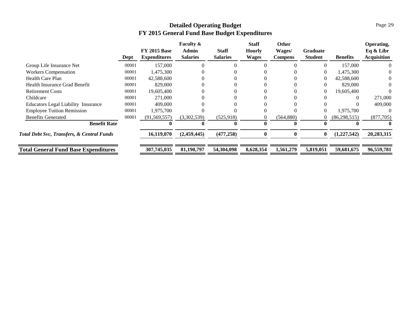|                                                       | Dept  | <b>FY 2015 Base</b><br><b>Expenditures</b> | <b>Faculty &amp;</b><br>Admin<br><b>Salaries</b> | <b>Staff</b><br><b>Salaries</b> | <b>Staff</b><br>Hourly<br><b>Wages</b> | <b>Other</b><br>Wages/<br><b>Compens</b> | <b>Graduate</b><br><b>Student</b> | <b>Benefits</b> | Operating,<br>Eq & Libr<br><b>Acquisition</b> |
|-------------------------------------------------------|-------|--------------------------------------------|--------------------------------------------------|---------------------------------|----------------------------------------|------------------------------------------|-----------------------------------|-----------------|-----------------------------------------------|
| Group Life Insurance Net                              | 00001 | 157,000                                    | $\Omega$                                         |                                 |                                        |                                          | 0                                 | 157,000         |                                               |
| <b>Workers Compensation</b>                           | 00001 | 1,475,300                                  |                                                  |                                 |                                        |                                          | 0                                 | 1,475,300       |                                               |
| <b>Health Care Plan</b>                               | 00001 | 42,588,600                                 |                                                  |                                 |                                        |                                          | $\theta$                          | 42,588,600      |                                               |
| Health Insurance Grad Benefit                         | 00001 | 829,000                                    |                                                  |                                 |                                        |                                          | 0                                 | 829,000         |                                               |
| <b>Retirement Costs</b>                               | 00001 | 19,605,400                                 |                                                  |                                 |                                        |                                          | $\theta$                          | 19,605,400      |                                               |
| Childcare                                             | 00001 | 271,000                                    |                                                  |                                 |                                        |                                          |                                   |                 | 271,000                                       |
| <b>Educators Legal Liability Insurance</b>            | 00001 | 409,000                                    |                                                  |                                 |                                        |                                          |                                   |                 | 409,000                                       |
| <b>Employee Tuition Remission</b>                     | 00001 | 1,975,700                                  |                                                  |                                 |                                        |                                          | $\overline{0}$                    | 1,975,700       |                                               |
| <b>Benefits Generated</b>                             | 00001 | (91, 569, 557)                             | (3,302,539)                                      | (525, 918)                      | $\Omega$                               | (564,880)                                | 0                                 | (86, 298, 515)  | (877,705)                                     |
| <b>Benefit Rate</b>                                   |       | $\mathbf{0}$                               | $\mathbf{0}$                                     | $\mathbf 0$                     | 0                                      | 0                                        | 0                                 |                 |                                               |
| <b>Total Debt Svc, Transfers, &amp; Central Funds</b> |       | 16,119,070                                 | (2,459,445)                                      | (477, 258)                      | $\mathbf{0}$                           | 0                                        | $\bf{0}$                          | (1,227,542)     | 20,283,315                                    |
| <b>Total General Fund Base Expenditures</b>           |       | 307,745,035                                | 81,190,797                                       | 54,304,098                      | 8,628,354                              | 1,561,279                                | 5,819,051                         | 59,681,675      | 96,559,781                                    |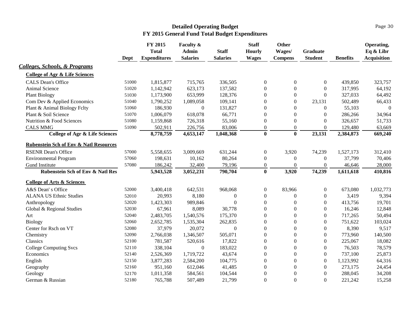#### Page 30

<span id="page-33-0"></span>

|                                                   | Dept  | FY 2015<br><b>Total</b><br><b>Expenditures</b> | Faculty &<br><b>Admin</b><br><b>Salaries</b> | <b>Staff</b><br><b>Salaries</b> | <b>Staff</b><br><b>Hourly</b><br><b>Wages</b> | Other<br>Wages/<br><b>Compens</b> | <b>Graduate</b><br><b>Student</b> | <b>Benefits</b> | Operating,<br>Eq & Libr<br><b>Acquisition</b> |
|---------------------------------------------------|-------|------------------------------------------------|----------------------------------------------|---------------------------------|-----------------------------------------------|-----------------------------------|-----------------------------------|-----------------|-----------------------------------------------|
| <b>Colleges, Schools, &amp; Programs</b>          |       |                                                |                                              |                                 |                                               |                                   |                                   |                 |                                               |
| <b>College of Agr &amp; Life Sciences</b>         |       |                                                |                                              |                                 |                                               |                                   |                                   |                 |                                               |
| <b>CALS Dean's Office</b>                         | 51000 | 1,815,877                                      | 715,765                                      | 336,505                         | $\boldsymbol{0}$                              | $\boldsymbol{0}$                  | $\overline{0}$                    | 439,850         | 323,757                                       |
| Animal Science                                    | 51020 | 1,142,942                                      | 623,173                                      | 137,582                         | $\boldsymbol{0}$                              | $\boldsymbol{0}$                  | $\boldsymbol{0}$                  | 317,995         | 64,192                                        |
| <b>Plant Biology</b>                              | 51030 | 1,173,900                                      | 653,999                                      | 128,376                         | $\boldsymbol{0}$                              | $\mathbf{0}$                      | $\overline{0}$                    | 327,033         | 64,492                                        |
| Com Dev & Applied Economics                       | 51040 | 1,790,252                                      | 1,089,058                                    | 109,141                         | $\boldsymbol{0}$                              | $\mathbf{0}$                      | 23,131                            | 502,489         | 66,433                                        |
| Plant & Animal Biology Felty                      | 51060 | 186,930                                        | $\overline{0}$                               | 131,827                         | $\boldsymbol{0}$                              | $\Omega$                          | $\overline{0}$                    | 55,103          | $\Omega$                                      |
| Plant & Soil Science                              | 51070 | 1,006,079                                      | 618,078                                      | 66,771                          | $\boldsymbol{0}$                              | $\boldsymbol{0}$                  | $\boldsymbol{0}$                  | 286,266         | 34,964                                        |
| Nutrition & Food Sciences                         | 51080 | 1,159,868                                      | 726,318                                      | 55,160                          | $\boldsymbol{0}$                              | $\boldsymbol{0}$                  | $\Omega$                          | 326,657         | 51,733                                        |
| <b>CALS MMG</b>                                   | 51090 | 502,911                                        | 226,756                                      | 83,006                          | $\boldsymbol{0}$                              | $\boldsymbol{0}$                  | $\mathbf{0}$                      | 129,480         | 63,669                                        |
| <b>College of Agr &amp; Life Sciences</b>         |       | 8,778,759                                      | 4,653,147                                    | 1,048,368                       | $\bf{0}$                                      | $\bf{0}$                          | 23,131                            | 2,384,873       | 669,240                                       |
| <b>Rubenstein Sch of Env &amp; Natl Resources</b> |       |                                                |                                              |                                 |                                               |                                   |                                   |                 |                                               |
| <b>RSENR Dean's Office</b>                        | 57000 | 5,558,655                                      | 3,009,669                                    | 631,244                         | $\boldsymbol{0}$                              | 3,920                             | 74,239                            | 1,527,173       | 312,410                                       |
| <b>Environmental Program</b>                      | 57060 | 198,631                                        | 10,162                                       | 80,264                          | $\mathbf{0}$                                  | $\mathbf{0}$                      | $\overline{0}$                    | 37,799          | 70,406                                        |
| Gund Institute                                    | 57080 | 186,242                                        | 32,400                                       | 79,196                          | $\mathbf{0}$                                  | $\mathbf{0}$                      | $\overline{0}$                    | 46,646          | 28,000                                        |
| <b>Rubenstein Sch of Env &amp; Natl Res</b>       |       | 5,943,528                                      | 3,052,231                                    | 790,704                         | $\mathbf{0}$                                  | 3,920                             | 74,239                            | 1,611,618       | 410,816                                       |
| <b>College of Arts &amp; Sciences</b>             |       |                                                |                                              |                                 |                                               |                                   |                                   |                 |                                               |
| A&S Dean's Office                                 | 52000 | 3,400,418                                      | 642,531                                      | 968,068                         | $\boldsymbol{0}$                              | 83,966                            | $\overline{0}$                    | 673,080         | 1,032,773                                     |
| <b>ALANA US Ethnic Studies</b>                    | 52010 | 20,993                                         | 8,180                                        | $\mathbf{0}$                    | $\boldsymbol{0}$                              | $\mathbf{0}$                      | $\overline{0}$                    | 3,419           | 9,394                                         |
| Anthropology                                      | 52020 | 1,423,303                                      | 989,846                                      | $\Omega$                        | $\Omega$                                      | $\Omega$                          | $\Omega$                          | 413,756         | 19,701                                        |
| Global & Regional Studies                         | 52030 | 67,961                                         | 8,089                                        | 30,778                          | $\Omega$                                      | $\Omega$                          | $\Omega$                          | 16,246          | 12,848                                        |
| Art                                               | 52040 | 2,483,705                                      | 1,540,576                                    | 175,370                         | $\boldsymbol{0}$                              | $\boldsymbol{0}$                  | $\boldsymbol{0}$                  | 717,265         | 50,494                                        |
| <b>Biology</b>                                    | 52060 | 2,652,785                                      | 1,535,304                                    | 262,835                         | $\boldsymbol{0}$                              | $\boldsymbol{0}$                  | $\boldsymbol{0}$                  | 751,622         | 103,024                                       |
| Center for Rsch on VT                             | 52080 | 37,979                                         | 20,072                                       | $\boldsymbol{0}$                | $\boldsymbol{0}$                              | $\boldsymbol{0}$                  | $\boldsymbol{0}$                  | 8,390           | 9,517                                         |
| Chemistry                                         | 52090 | 2,766,038                                      | 1,346,507                                    | 505,071                         | $\boldsymbol{0}$                              | $\boldsymbol{0}$                  | $\overline{0}$                    | 773,960         | 140,500                                       |
| Classics                                          | 52100 | 781,587                                        | 520,616                                      | 17,822                          | $\boldsymbol{0}$                              | $\boldsymbol{0}$                  | $\boldsymbol{0}$                  | 225,067         | 18,082                                        |
| <b>College Computing Svcs</b>                     | 52110 | 338,104                                        | $\overline{0}$                               | 183,022                         | $\boldsymbol{0}$                              | $\boldsymbol{0}$                  | $\boldsymbol{0}$                  | 76,503          | 78,579                                        |
| Economics                                         | 52140 | 2,526,369                                      | 1,719,722                                    | 43,674                          | $\boldsymbol{0}$                              | $\boldsymbol{0}$                  | $\boldsymbol{0}$                  | 737,100         | 25,873                                        |
| English                                           | 52150 | 3,877,283                                      | 2,584,200                                    | 104,775                         | $\boldsymbol{0}$                              | $\boldsymbol{0}$                  | $\boldsymbol{0}$                  | 1,123,992       | 64,316                                        |
| Geography                                         | 52160 | 951,160                                        | 612,046                                      | 41,485                          | $\boldsymbol{0}$                              | $\boldsymbol{0}$                  | $\boldsymbol{0}$                  | 273,175         | 24,454                                        |
| Geology                                           | 52170 | 1,011,358                                      | 584,561                                      | 104,544                         | $\boldsymbol{0}$                              | $\theta$                          | $\Omega$                          | 288,045         | 34,208                                        |
| German & Russian                                  | 52180 | 765,788                                        | 507,489                                      | 21,799                          | $\Omega$                                      | $\Omega$                          | $\Omega$                          | 221,242         | 15,258                                        |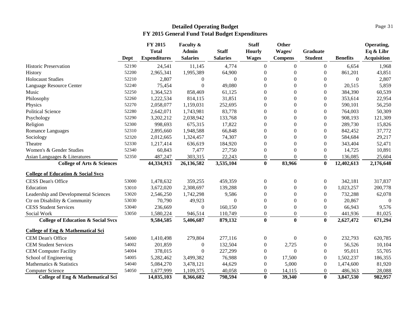|                                               |       | FY 2015<br><b>Total</b> | Faculty &<br>Admin | <b>Staff</b>    | <b>Staff</b><br><b>Hourly</b> | Other<br>Wages/  | <b>Graduate</b>  |                  | Operating,<br>Eq & Libr |
|-----------------------------------------------|-------|-------------------------|--------------------|-----------------|-------------------------------|------------------|------------------|------------------|-------------------------|
|                                               | Dept  | <b>Expenditures</b>     | <b>Salaries</b>    | <b>Salaries</b> | <b>Wages</b>                  | <b>Compens</b>   | <b>Student</b>   | <b>Benefits</b>  | <b>Acquisition</b>      |
| <b>Historic Preservation</b>                  | 52190 | 24,541                  | 11,145             | 4,774           | $\boldsymbol{0}$              | $\boldsymbol{0}$ | $\overline{0}$   | 6,654            | 1,968                   |
| History                                       | 52200 | 2,965,341               | 1,995,389          | 64,900          | $\theta$                      | $\theta$         | $\boldsymbol{0}$ | 861,201          | 43,851                  |
| <b>Holocaust Studies</b>                      | 52210 | 2,807                   | $\boldsymbol{0}$   | $\theta$        | $\theta$                      | $\theta$         | 0                | $\boldsymbol{0}$ | 2,807                   |
| Language Resource Center                      | 52240 | 75,454                  | $\boldsymbol{0}$   | 49,080          | $\theta$                      | $\boldsymbol{0}$ | 0                | 20,515           | 5,859                   |
| Music                                         | 52250 | 1,364,523               | 858,469            | 61,125          | $\theta$                      | $\theta$         | 0                | 384,390          | 60,539                  |
| Philosophy                                    | 52260 | 1,222,534               | 814,115            | 31,851          | $\theta$                      | $\boldsymbol{0}$ | $\overline{0}$   | 353,614          | 22,954                  |
| Physics                                       | 52270 | 2,058,077               | 1,159,031          | 252,695         | $\theta$                      | $\boldsymbol{0}$ | 0                | 590,101          | 56,250                  |
| <b>Political Science</b>                      | 52280 | 2,642,071               | 1,743,981          | 83,778          | $\theta$                      | $\boldsymbol{0}$ | 0                | 764,003          | 50,309                  |
| Psychology                                    | 52290 | 3,202,212               | 2,038,942          | 133,768         | $\theta$                      | $\theta$         | 0                | 908,193          | 121,309                 |
| Religion                                      | 52300 | 998,693                 | 675,315            | 17,822          | $\theta$                      | $\theta$         | 0                | 289,730          | 15,826                  |
| Romance Languages                             | 52310 | 2,895,660               | 1,948,588          | 66,848          | $\Omega$                      | $\theta$         | 0                | 842,452          | 37,772                  |
| Sociology                                     | 52320 | 2,012,665               | 1,324,457          | 74,307          | $\theta$                      | $\theta$         | 0                | 584,684          | 29,217                  |
| Theatre                                       | 52330 | 1,217,414               | 636,619            | 184,920         | $\Omega$                      | $\theta$         | 0                | 343,404          | 52,471                  |
| Women's & Gender Studies                      | 52340 | 60,843                  | 7,477              | 27,750          | $\theta$                      | $\boldsymbol{0}$ | 0                | 14,725           | 10,891                  |
| Asian Languages & Literatures                 | 52350 | 487,247                 | 303,315            | 22,243          | $\mathbf{0}$                  | $\Omega$         | 0                | 136,085          | 25,604                  |
| <b>College of Arts &amp; Sciences</b>         |       | 44,334,913              | 26,136,582         | 3,535,104       | $\bf{0}$                      | 83,966           | $\mathbf{0}$     | 12,402,613       | 2,176,648               |
| <b>College of Education &amp; Social Svcs</b> |       |                         |                    |                 |                               |                  |                  |                  |                         |
| <b>CESS Dean's Office</b>                     | 53000 | 1,478,632               | 359,255            | 459,359         | $\boldsymbol{0}$              | $\boldsymbol{0}$ | $\overline{0}$   | 342,181          | 317,837                 |
| Education                                     | 53010 | 3,672,020               | 2,308,697          | 139,288         | $\theta$                      | $\boldsymbol{0}$ | $\boldsymbol{0}$ | 1,023,257        | 200,778                 |
| Leadership and Developmental Sciences         | 53020 | 2,546,250               | 1,742,298          | 9,586           | $\theta$                      | $\boldsymbol{0}$ | 0                | 732,288          | 62,078                  |
| Ctr on Disability & Community                 | 53030 | 70,790                  | 49,923             | $\Omega$        | $\theta$                      | $\boldsymbol{0}$ | 0                | 20,867           | $\Omega$                |
| <b>CESS Student Services</b>                  | 53040 | 236,669                 | $\boldsymbol{0}$   | 160,150         | $\overline{0}$                | $\boldsymbol{0}$ | 0                | 66,943           | 9,576                   |
| Social Work                                   | 53050 | 1,580,224               | 946,514            | 110,749         | $\theta$                      | $\boldsymbol{0}$ | 0                | 441,936          | 81,025                  |
| <b>College of Education &amp; Social Svcs</b> |       | 9,584,585               | 5,406,687          | 879,132         | $\bf{0}$                      | $\bf{0}$         | $\bf{0}$         | 2,627,472        | 671,294                 |
| <b>College of Eng &amp; Mathematical Sci</b>  |       |                         |                    |                 |                               |                  |                  |                  |                         |
| CEM Dean's Office                             | 54000 | 1,410,498               | 279,804            | 277,116         | $\overline{0}$                | $\overline{0}$   | 0                | 232,793          | 620,785                 |
| <b>CEM Student Services</b>                   | 54002 | 201,859                 | $\boldsymbol{0}$   | 132,504         | $\boldsymbol{0}$              | 2,725            | $\boldsymbol{0}$ | 56,526           | 10,104                  |
| <b>CEM Computer Facility</b>                  | 54004 | 378,015                 | $\boldsymbol{0}$   | 227,299         | $\theta$                      | $\mathbf{0}$     | $\boldsymbol{0}$ | 95,011           | 55,705                  |
| School of Engineering                         | 54005 | 5,282,462               | 3,499,382          | 76,988          | $\theta$                      | 17,500           | $\boldsymbol{0}$ | 1,502,237        | 186,355                 |
| Mathematics & Statistics                      | 54040 | 5,084,270               | 3,478,121          | 44,629          | $\theta$                      | 5,000            | $\mathbf{0}$     | 1,474,600        | 81,920                  |
| <b>Computer Science</b>                       | 54050 | 1,677,999               | 1,109,375          | 40,058          | $\Omega$                      | 14,115           | 0                | 486,363          | 28,088                  |
| College of Eng & Mathematical Sci             |       | 14,035,103              | 8,366,682          | 798,594         | $\mathbf{0}$                  | 39,340           | $\mathbf{0}$     | 3,847,530        | 982,957                 |

Page 31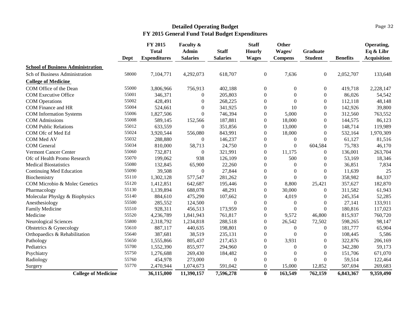#### Page 32

|                                          | Dept  | FY 2015<br><b>Total</b><br><b>Expenditures</b> | <b>Faculty &amp;</b><br>Admin<br><b>Salaries</b> | <b>Staff</b><br><b>Salaries</b> | <b>Staff</b><br><b>Hourly</b><br><b>Wages</b> | Other<br>Wages/<br><b>Compens</b> | <b>Graduate</b><br><b>Student</b> | <b>Benefits</b> | Operating,<br>Eq & Libr<br><b>Acquisition</b> |
|------------------------------------------|-------|------------------------------------------------|--------------------------------------------------|---------------------------------|-----------------------------------------------|-----------------------------------|-----------------------------------|-----------------|-----------------------------------------------|
| <b>School of Business Administration</b> |       |                                                |                                                  |                                 |                                               |                                   |                                   |                 |                                               |
| Sch of Business Administration           | 58000 | 7,104,771                                      | 4,292,073                                        | 618,707                         | $\boldsymbol{0}$                              | 7,636                             | $\boldsymbol{0}$                  | 2,052,707       | 133,648                                       |
| <b>College of Medicine</b>               |       |                                                |                                                  |                                 |                                               |                                   |                                   |                 |                                               |
| COM Office of the Dean                   | 55000 | 3,806,966                                      | 756,913                                          | 402,188                         | $\Omega$                                      | $\Omega$                          | $\theta$                          | 419,718         | 2,228,147                                     |
| <b>COM Executive Office</b>              | 55001 | 346,371                                        | $\overline{0}$                                   | 205,803                         | $\Omega$                                      | $\Omega$                          | $\overline{0}$                    | 86,026          | 54,542                                        |
| <b>COM</b> Operations                    | 55002 | 428,491                                        | $\mathbf{0}$                                     | 268,225                         | $\Omega$                                      | $\Omega$                          | $\theta$                          | 112,118         | 48,148                                        |
| COM Finance and HR                       | 55004 | 524,661                                        | $\mathbf{0}$                                     | 341,925                         | $\boldsymbol{0}$                              | 10                                | $\boldsymbol{0}$                  | 142,926         | 39,800                                        |
| <b>COM</b> Information Systems           | 55006 | 1,827,506                                      | $\Omega$                                         | 746,394                         | $\Omega$                                      | 5,000                             | $\theta$                          | 312,560         | 763,552                                       |
| <b>COM</b> Admissions                    | 55008 | 589,145                                        | 152,566                                          | 187,881                         | $\Omega$                                      | 18,000                            | $\theta$                          | 144,575         | 86,123                                        |
| <b>COM Public Relations</b>              | 55012 | 633,559                                        | $\overline{0}$                                   | 351,856                         | $\mathbf{0}$                                  | 13,000                            | $\boldsymbol{0}$                  | 148,714         | 119,989                                       |
| COM Ofc of Med Ed                        | 55024 | 3,920,544                                      | 556,080                                          | 843,991                         | $\Omega$                                      | 18,000                            | $\theta$                          | 532,164         | 1,970,309                                     |
| COM Med AV                               | 55032 | 288,880                                        | $\overline{0}$                                   | 146,237                         | $\Omega$                                      | $\mathbf{0}$                      | $\Omega$                          | 61,127          | 81,516                                        |
| <b>COM</b> General                       | 55034 | 810,000                                        | 58,713                                           | 24,750                          | $\mathbf{0}$                                  | $\Omega$                          | 604,584                           | 75,783          | 46,170                                        |
| <b>Vermont Cancer Center</b>             | 55060 | 732,871                                        | $\theta$                                         | 321,991                         | $\Omega$                                      | 11,175                            | $\Omega$                          | 136,001         | 263,704                                       |
| Ofc of Health Promo Research             | 55070 | 199,062                                        | 938                                              | 126,109                         | $\mathbf{0}$                                  | 500                               | $\overline{0}$                    | 53,169          | 18,346                                        |
| <b>Medical Biostatistics</b>             | 55080 | 132,845                                        | 65,900                                           | 22,260                          | $\mathbf{0}$                                  | $\Omega$                          | $\overline{0}$                    | 36,851          | 7,834                                         |
| <b>Continuing Med Education</b>          | 55090 | 39,508                                         | $\mathbf{0}$                                     | 27,844                          | $\Omega$                                      | $\Omega$                          | $\theta$                          | 11,639          | 25                                            |
| Biochemistry                             | 55110 | 1,302,128                                      | 577,547                                          | 281,262                         | $\boldsymbol{0}$                              | $\Omega$                          | $\boldsymbol{0}$                  | 358,982         | 84,337                                        |
| COM Microbio & Molec Genetics            | 55120 | 1,412,851                                      | 642,687                                          | 195,446                         | $\mathbf{0}$                                  | 8,800                             | 25,421                            | 357,627         | 182,870                                       |
| Pharmacology                             | 55130 | 1,139,894                                      | 688,078                                          | 48,291                          | $\Omega$                                      | 30,000                            | $\theta$                          | 311,582         | 61,943                                        |
| Molecular Physlgy & Biophysics           | 55140 | 884,610                                        | 475,290                                          | 107,662                         | $\mathbf{0}$                                  | 4,019                             | $\overline{0}$                    | 245,354         | 52,285                                        |
| Anesthesiology                           | 55500 | 285,552                                        | 124,500                                          | $\Omega$                        | $\mathbf{0}$                                  | $\mathbf{0}$                      | $\overline{0}$                    | 27,141          | 133,911                                       |
| Family Medicine                          | 55510 | 928,311                                        | 456,513                                          | 173,959                         | $\mathbf{0}$                                  | $\mathbf{0}$                      | $\boldsymbol{0}$                  | 180,816         | 117,023                                       |
| Medicine                                 | 55520 | 4,236,789                                      | 1,841,943                                        | 761,817                         | $\mathbf{0}$                                  | 9,572                             | 46,800                            | 815,937         | 760,720                                       |
| Neurological Sciences                    | 55800 | 2,318,792                                      | 1,234,818                                        | 288,518                         | $\mathbf{0}$                                  | 26,542                            | 72,502                            | 598,265         | 98,147                                        |
| Obstetrics & Gynecology                  | 55610 | 887,117                                        | 440,635                                          | 198,801                         | $\mathbf{0}$                                  | $\mathbf{0}$                      | $\theta$                          | 181,777         | 65,904                                        |
| Orthopaedics & Rehabilitation            | 55640 | 387,681                                        | 38,519                                           | 235,131                         | $\mathbf{0}$                                  | $\Omega$                          | $\overline{0}$                    | 108,445         | 5,586                                         |
| Pathology                                | 55650 | 1,555,866                                      | 805,437                                          | 217,453                         | $\Omega$                                      | 3,931                             | $\theta$                          | 322,876         | 206,169                                       |
| Pediatrics                               | 55700 | 1,552,390                                      | 855,977                                          | 294,960                         | $\mathbf{0}$                                  | $\Omega$                          | $\Omega$                          | 342,280         | 59,173                                        |
| Psychiatry                               | 55750 | 1,276,688                                      | 269,430                                          | 184,482                         | $\Omega$                                      | $\Omega$                          | $\theta$                          | 151,706         | 671,070                                       |
| Radiology                                | 55760 | 454,978                                        | 273,000                                          | $\mathbf{0}$                    | $\mathbf{0}$                                  | $\Omega$                          | $\boldsymbol{0}$                  | 59,514          | 122,464                                       |
| Surgery                                  | 55770 | 2,470,944                                      | 1,074,673                                        | 591,042                         | $\Omega$                                      | 15,000                            | 12,852                            | 507,694         | 269,683                                       |
| <b>College of Medicine</b>               |       | 36,115,000                                     | 11,390,157                                       | 7,596,278                       | $\bf{0}$                                      | 163,549                           | 762,159                           | 6,843,367       | 9,359,490                                     |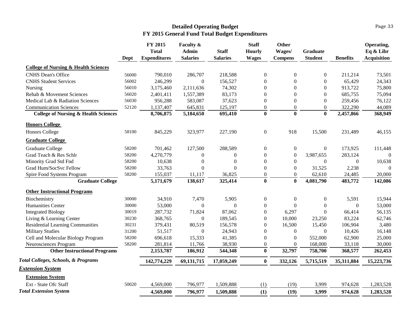#### Page 33

|                                                 |       | FY 2015             | Faculty &        |                  | <b>Staff</b>     | <b>Other</b>     |                  |                 | Operating,         |
|-------------------------------------------------|-------|---------------------|------------------|------------------|------------------|------------------|------------------|-----------------|--------------------|
|                                                 |       | <b>Total</b>        | <b>Admin</b>     | <b>Staff</b>     | <b>Hourly</b>    | Wages/           | <b>Graduate</b>  |                 | Eq & Libr          |
|                                                 | Dept  | <b>Expenditures</b> | <b>Salaries</b>  | <b>Salaries</b>  | <b>Wages</b>     | <b>Compens</b>   | <b>Student</b>   | <b>Benefits</b> | <b>Acquisition</b> |
| <b>College of Nursing &amp; Health Sciences</b> |       |                     |                  |                  |                  |                  |                  |                 |                    |
| <b>CNHS</b> Dean's Office                       | 56000 | 790,010             | 286,707          | 218,588          | $\boldsymbol{0}$ | $\boldsymbol{0}$ | $\boldsymbol{0}$ | 211,214         | 73,501             |
| <b>CNHS Student Services</b>                    | 56002 | 246,299             | $\overline{0}$   | 156,527          | $\boldsymbol{0}$ | $\mathbf{0}$     | $\boldsymbol{0}$ | 65,429          | 24,343             |
| Nursing                                         | 56010 | 3,175,460           | 2,111,636        | 74,302           | $\Omega$         | $\theta$         | $\theta$         | 913,722         | 75,800             |
| Rehab & Movement Sciences                       | 56020 | 2,401,411           | 1,557,389        | 83,173           | $\Omega$         | $\theta$         | $\theta$         | 685,755         | 75,094             |
| Medical Lab & Radiation Sciences                | 56030 | 956,288             | 583,087          | 37,623           | $\boldsymbol{0}$ | $\mathbf{0}$     | $\overline{0}$   | 259,456         | 76,122             |
| <b>Communication Sciences</b>                   | 52120 | 1,137,407           | 645,831          | 125,197          | $\boldsymbol{0}$ | $\boldsymbol{0}$ | $\boldsymbol{0}$ | 322,290         | 44,089             |
| <b>College of Nursing &amp; Health Sciences</b> |       | 8,706,875           | 5,184,650        | 695,410          | $\bf{0}$         | $\bf{0}$         | $\bf{0}$         | 2,457,866       | 368,949            |
| <b>Honors College</b>                           |       |                     |                  |                  |                  |                  |                  |                 |                    |
| <b>Honors College</b>                           | 58100 | 845,229             | 323,977          | 227,190          | $\boldsymbol{0}$ | 918              | 15,500           | 231,489         | 46,155             |
| <b>Graduate College</b>                         |       |                     |                  |                  |                  |                  |                  |                 |                    |
| <b>Graduate College</b>                         | 58200 | 701,462             | 127,500          | 288,589          | $\boldsymbol{0}$ | $\boldsymbol{0}$ | $\boldsymbol{0}$ | 173,925         | 111,448            |
| Grad Teach & Res Schlr                          | 58200 | 4,270,779           | $\Omega$         | $\Omega$         | $\Omega$         | $\mathbf{0}$     | 3,987,655        | 283,124         | $\Omega$           |
| Minority Grad Std Fnd                           | 58200 | 10,638              | $\boldsymbol{0}$ | $\boldsymbol{0}$ | $\boldsymbol{0}$ | $\boldsymbol{0}$ | $\theta$         | $\theta$        | 10,638             |
| Grad Hum/SocSvc Fellow                          | 58200 | 33,763              | $\boldsymbol{0}$ | $\Omega$         | $\boldsymbol{0}$ | $\boldsymbol{0}$ | 31,525           | 2,238           | $\Omega$           |
| Spire Food Systems Program                      | 58200 | 155,037             | 11,117           | 36,825           | $\boldsymbol{0}$ | $\boldsymbol{0}$ | 62,610           | 24,485          | 20,000             |
| <b>Graduate College</b>                         |       | 5,171,679           | 138,617          | 325,414          | $\bf{0}$         | $\bf{0}$         | 4,081,790        | 483,772         | 142,086            |
| <b>Other Instructional Programs</b>             |       |                     |                  |                  |                  |                  |                  |                 |                    |
| Biochemistry                                    | 30000 | 34,910              | 7,470            | 5,905            | $\boldsymbol{0}$ | $\boldsymbol{0}$ | $\boldsymbol{0}$ | 5,591           | 15,944             |
| Humanities Center                               | 30000 | 53,000              | $\theta$         | $\overline{0}$   | $\boldsymbol{0}$ | $\mathbf{0}$     | $\boldsymbol{0}$ | $\mathbf{0}$    | 53,000             |
| <b>Integrated Biology</b>                       | 30019 | 287,732             | 71,824           | 87,062           | $\boldsymbol{0}$ | 6,297            | $\boldsymbol{0}$ | 66,414          | 56,135             |
| Living & Learning Center                        | 30230 | 368,765             | $\boldsymbol{0}$ | 189,545          | $\Omega$         | 10,000           | 23,250           | 83,224          | 62,746             |
| Residential Learning Communities                | 30231 | 379,431             | 80,519           | 156,578          | $\Omega$         | 16,500           | 15,450           | 106,904         | 3,480              |
| <b>Military Studies</b>                         | 31200 | 51,517              | $\boldsymbol{0}$ | 24,943           | $\Omega$         | $\boldsymbol{0}$ | $\mathbf{0}$     | 10,426          | 16,148             |
| Cell and Molecular Biology Program              | 58200 | 696,618             | 15,333           | 41,385           | $\overline{0}$   | $\boldsymbol{0}$ | 552,000          | 62,900          | 25,000             |
| Neurosciences Program                           | 58200 | 281,814             | 11,766           | 38,930           | $\mathbf{0}$     | $\mathbf{0}$     | 168,000          | 33,118          | 30,000             |
| <b>Other Instructional Programs</b>             |       | 2,153,787           | 186,912          | 544,348          | $\bf{0}$         | 32,797           | 758,700          | 368,577         | 262,453            |
| Total Colleges, Schools, & Programs             |       | 142,774,229         | 69, 131, 715     | 17,059,249       | $\bf{0}$         | 332,126          | 5,715,519        | 35,311,884      | 15,223,736         |
| <b>Extension System</b>                         |       |                     |                  |                  |                  |                  |                  |                 |                    |
| <b>Extension System</b>                         |       |                     |                  |                  |                  |                  |                  |                 |                    |
| Ext - State Ofc Staff                           | 50020 | 4,569,000           | 796,977          | 1,509,888        | (1)              | (19)             | 3,999            | 974,628         | 1,283,528          |
| <b>Total Extension System</b>                   |       | 4,569,000           | 796,977          | 1,509,888        | (1)              | (19)             | 3,999            | 974,628         | 1,283,528          |
|                                                 |       |                     |                  |                  |                  |                  |                  |                 |                    |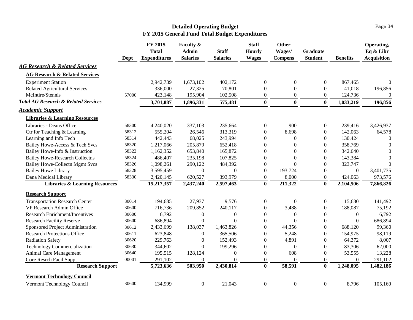|                                                 | Dept  | FY 2015<br><b>Total</b><br><b>Expenditures</b> | Faculty &<br><b>Admin</b><br><b>Salaries</b> | <b>Staff</b><br><b>Salaries</b> | <b>Staff</b><br><b>Hourly</b><br><b>Wages</b> | <b>Other</b><br>Wages/<br><b>Compens</b> | Graduate<br><b>Student</b> | <b>Benefits</b> | Operating,<br>Eq & Libr<br><b>Acquisition</b> |
|-------------------------------------------------|-------|------------------------------------------------|----------------------------------------------|---------------------------------|-----------------------------------------------|------------------------------------------|----------------------------|-----------------|-----------------------------------------------|
| <b>AG Research &amp; Related Services</b>       |       |                                                |                                              |                                 |                                               |                                          |                            |                 |                                               |
| <b>AG Research &amp; Related Services</b>       |       |                                                |                                              |                                 |                                               |                                          |                            |                 |                                               |
| <b>Experiment Station</b>                       |       | 2,942,739                                      | 1,673,102                                    | 402,172                         | $\overline{0}$                                | $\mathbf{0}$                             | $\overline{0}$             | 867,465         | $\overline{0}$                                |
| <b>Related Agricultural Services</b>            |       | 336,000                                        | 27,325                                       | 70,801                          | $\mathbf{0}$                                  | $\mathbf{0}$                             | $\overline{0}$             | 41,018          | 196,856                                       |
| McIntire/Stennis                                | 57000 | 423,148                                        | 195,904                                      | 102,508                         | $\boldsymbol{0}$                              | $\boldsymbol{0}$                         | $\overline{0}$             | 124,736         | $\mathbf{0}$                                  |
| <b>Total AG Research &amp; Related Services</b> |       | 3,701,887                                      | 1,896,331                                    | 575,481                         | $\bf{0}$                                      | $\bf{0}$                                 | $\bf{0}$                   | 1,033,219       | 196,856                                       |
| <u>Academic Support</u>                         |       |                                                |                                              |                                 |                                               |                                          |                            |                 |                                               |
| <b>Libraries &amp; Learning Resources</b>       |       |                                                |                                              |                                 |                                               |                                          |                            |                 |                                               |
| Libraries - Deans Office                        | 58300 | 4,240,020                                      | 337,103                                      | 235,664                         | $\boldsymbol{0}$                              | 900                                      | $\overline{0}$             | 239,416         | 3,426,937                                     |
| Ctr for Teaching & Learning                     | 58312 | 555,204                                        | 26,546                                       | 313,319                         | $\boldsymbol{0}$                              | 8,698                                    | $\boldsymbol{0}$           | 142,063         | 64,578                                        |
| Learning and Info Tech                          | 58314 | 442,443                                        | 68,025                                       | 243,994                         | $\theta$                                      | $\overline{0}$                           | $\Omega$                   | 130,424         | $\overline{0}$                                |
| Bailey Howe-Access & Tech Svcs                  | 58320 | 1,217,066                                      | 205,879                                      | 652,418                         | $\theta$                                      | $\Omega$                                 | $\Omega$                   | 358,769         | $\theta$                                      |
| Bailey Howe-Info & Instruction                  | 58322 | 1,162,352                                      | 653,840                                      | 165,872                         | $\overline{0}$                                | $\Omega$                                 | $\theta$                   | 342,640         | $\overline{0}$                                |
| <b>Bailey Howe-Research Collectns</b>           | 58324 | 486,407                                        | 235,198                                      | 107,825                         | $\overline{0}$                                | $\Omega$                                 | $\Omega$                   | 143,384         | $\Omega$                                      |
| <b>Bailey Howe-Collectn Mgmt Svcs</b>           | 58326 | 1,098,261                                      | 290,122                                      | 484,392                         | $\boldsymbol{0}$                              | $\Omega$                                 | $\Omega$                   | 323,747         | $\overline{0}$                                |
| <b>Bailey Howe Library</b>                      | 58328 | 3,595,459                                      | $\boldsymbol{0}$                             | $\boldsymbol{0}$                | $\boldsymbol{0}$                              | 193,724                                  | $\boldsymbol{0}$           | $\Omega$        | 3,401,735                                     |
| Dana Medical Library                            | 58330 | 2,420,145                                      | 620,527                                      | 393,979                         | $\overline{0}$                                | 8,000                                    | $\overline{0}$             | 424,063         | 973,576                                       |
| <b>Libraries &amp; Learning Resources</b>       |       | 15,217,357                                     | 2,437,240                                    | 2,597,463                       | $\bf{0}$                                      | 211,322                                  | $\bf{0}$                   | 2,104,506       | 7,866,826                                     |
| <b>Research Support</b>                         |       |                                                |                                              |                                 |                                               |                                          |                            |                 |                                               |
| <b>Transportation Research Center</b>           | 30014 | 194,685                                        | 27,937                                       | 9,576                           | $\overline{0}$                                | $\mathbf{0}$                             | $\overline{0}$             | 15,680          | 141,492                                       |
| VP Research Admin Office                        | 30600 | 716,736                                        | 209,852                                      | 240,117                         | $\overline{0}$                                | 3,488                                    | $\overline{0}$             | 188,087         | 75,192                                        |
| <b>Research Enrichment/Incentives</b>           | 30600 | 6,792                                          | $\theta$                                     | $\theta$                        | $\mathbf{0}$                                  | $\Omega$                                 | $\mathbf{0}$               | $\Omega$        | 6,792                                         |
| <b>Research Facility Reserve</b>                | 30600 | 686,894                                        | $\boldsymbol{0}$                             | $\theta$                        | $\boldsymbol{0}$                              | $\theta$                                 | $\boldsymbol{0}$           | $\Omega$        | 686,894                                       |
| Sponsored Project Administration                | 30612 | 2,433,699                                      | 138,037                                      | 1,463,826                       | $\boldsymbol{0}$                              | 44,356                                   | $\boldsymbol{0}$           | 688,120         | 99,360                                        |
| <b>Research Protections Office</b>              | 30611 | 623,848                                        | $\overline{0}$                               | 365,506                         | $\theta$                                      | 5,248                                    | $\Omega$                   | 154,975         | 98,119                                        |
| <b>Radiation Safety</b>                         | 30620 | 229,763                                        | $\overline{0}$                               | 152,493                         | $\theta$                                      | 4,891                                    | $\overline{0}$             | 64,372          | 8,007                                         |
| <b>Technology Commercialization</b>             | 30630 | 344,602                                        | $\Omega$                                     | 199,296                         | $\boldsymbol{0}$                              | $\boldsymbol{0}$                         | $\boldsymbol{0}$           | 83,306          | 62,000                                        |
| Animal Care Management                          | 30640 | 195,515                                        | 128,124                                      | $\boldsymbol{0}$                | $\boldsymbol{0}$                              | 608                                      | $\boldsymbol{0}$           | 53,555          | 13,228                                        |
| Core Resrch Facil Suppt                         | 00001 | 291,102                                        | $\boldsymbol{0}$                             | $\boldsymbol{0}$                | $\boldsymbol{0}$                              | $\boldsymbol{0}$                         | $\mathbf{0}$               | $\theta$        | 291,102                                       |
| <b>Research Support</b>                         |       | 5,723,636                                      | 503,950                                      | 2,430,814                       | $\bf{0}$                                      | 58,591                                   | $\bf{0}$                   | 1,248,095       | 1,482,186                                     |
| <b>Vermont Technology Council</b>               |       |                                                |                                              |                                 |                                               |                                          |                            |                 |                                               |
| Vermont Technology Council                      | 30600 | 134,999                                        | $\boldsymbol{0}$                             | 21,043                          | $\boldsymbol{0}$                              | $\boldsymbol{0}$                         | $\mathbf{0}$               | 8,796           | 105,160                                       |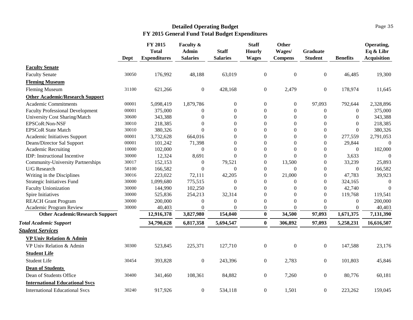|                                          | Dept  | FY 2015<br><b>Total</b><br><b>Expenditures</b> | Faculty &<br>Admin<br><b>Salaries</b> | <b>Staff</b><br><b>Salaries</b> | <b>Staff</b><br><b>Hourly</b><br><b>Wages</b> | <b>Other</b><br>Wages/<br><b>Compens</b> | <b>Graduate</b><br><b>Student</b> | <b>Benefits</b> | Operating,<br>Eq & Libr<br><b>Acquisition</b> |
|------------------------------------------|-------|------------------------------------------------|---------------------------------------|---------------------------------|-----------------------------------------------|------------------------------------------|-----------------------------------|-----------------|-----------------------------------------------|
| <b>Faculty Senate</b>                    |       |                                                |                                       |                                 |                                               |                                          |                                   |                 |                                               |
| <b>Faculty Senate</b>                    | 30050 | 176,992                                        | 48,188                                | 63,019                          | $\boldsymbol{0}$                              | $\boldsymbol{0}$                         | $\boldsymbol{0}$                  | 46,485          | 19,300                                        |
| <b>Fleming Museum</b>                    |       |                                                |                                       |                                 |                                               |                                          |                                   |                 |                                               |
| <b>Fleming Museum</b>                    | 31100 | 621,266                                        | $\boldsymbol{0}$                      | 428,168                         | $\boldsymbol{0}$                              | 2,479                                    | $\boldsymbol{0}$                  | 178,974         | 11,645                                        |
| <b>Other Academic/Research Support</b>   |       |                                                |                                       |                                 |                                               |                                          |                                   |                 |                                               |
| Academic Commitments                     | 00001 | 5,098,419                                      | 1,879,786                             | $\boldsymbol{0}$                | $\boldsymbol{0}$                              | $\boldsymbol{0}$                         | 97,093                            | 792,644         | 2,328,896                                     |
| <b>Faculty Professional Development</b>  | 00001 | 375,000                                        | $\theta$                              | $\boldsymbol{0}$                | $\boldsymbol{0}$                              | $\boldsymbol{0}$                         | $\boldsymbol{0}$                  | $\Omega$        | 375,000                                       |
| University Cost Sharing/Match            | 30600 | 343,388                                        | 0                                     | $\theta$                        | $\Omega$                                      | $\mathbf{0}$                             | $\Omega$                          | $\Omega$        | 343,388                                       |
| EPSCoR:Non-NSF                           | 30010 | 218,385                                        | $\Omega$                              | $\Omega$                        | $\Omega$                                      | $\Omega$                                 | $\Omega$                          | $\Omega$        | 218,385                                       |
| <b>EPSCoR State Match</b>                | 30010 | 380,326                                        | $\Omega$                              | $\Omega$                        | $\Omega$                                      | $\Omega$                                 | $\boldsymbol{0}$                  | $\Omega$        | 380,326                                       |
| Academic Initiatives Support             | 00001 | 3,732,628                                      | 664,016                               | $\boldsymbol{0}$                | $\boldsymbol{0}$                              | $\boldsymbol{0}$                         | $\boldsymbol{0}$                  | 277,559         | 2,791,053                                     |
| Deans/Director Sal Support               | 00001 | 101,242                                        | 71,398                                | $\overline{0}$                  | $\boldsymbol{0}$                              | $\boldsymbol{0}$                         | $\boldsymbol{0}$                  | 29,844          | $\overline{0}$                                |
| <b>Academic Recruiting</b>               | 10000 | 102,000                                        | $\theta$                              | $\theta$                        | $\boldsymbol{0}$                              | $\Omega$                                 | $\overline{0}$                    | $\Omega$        | 102,000                                       |
| IDP: Instructional Incentive             | 30000 | 12,324                                         | 8,691                                 | $\Omega$                        | $\boldsymbol{0}$                              | $\Omega$                                 | $\boldsymbol{0}$                  | 3,633           | $\boldsymbol{0}$                              |
| <b>Community-University Partnerships</b> | 30017 | 152,153                                        | $\boldsymbol{0}$                      | 79,521                          | $\boldsymbol{0}$                              | 13,500                                   | $\boldsymbol{0}$                  | 33,239          | 25,893                                        |
| U/G Research                             | 58100 | 166,582                                        | $\Omega$                              | $\mathbf{0}$                    | $\mathbf{0}$                                  | $\overline{0}$                           | $\overline{0}$                    | $\theta$        | 166,582                                       |
| Writing in the Disciplines               | 30016 | 223,022                                        | 72,111                                | 42,205                          | $\theta$                                      | 21,000                                   | $\boldsymbol{0}$                  | 47,783          | 39,923                                        |
| <b>Strategic Initiatives Fund</b>        | 30000 | 1,099,680                                      | 775,515                               | $\boldsymbol{0}$                | $\boldsymbol{0}$                              | $\boldsymbol{0}$                         | $\Omega$                          | 324,165         | $\boldsymbol{0}$                              |
| <b>Faculty Unionization</b>              | 30000 | 144,990                                        | 102,250                               | $\Omega$                        | $\theta$                                      | $\theta$                                 | $\Omega$                          | 42,740          | $\theta$                                      |
| Spire Initiatives                        | 30000 | 525,836                                        | 254,213                               | 32,314                          | $\theta$                                      | $\theta$                                 | $\Omega$                          | 119,768         | 119,541                                       |
| <b>REACH Grant Program</b>               | 30000 | 200,000                                        | $\boldsymbol{0}$                      | $\Omega$                        | $\Omega$                                      | $\Omega$                                 | $\Omega$                          | $\Omega$        | 200,000                                       |
| Academic Program Review                  | 30000 | 40,403                                         | $\boldsymbol{0}$                      | $\boldsymbol{0}$                | $\overline{0}$                                | $\Omega$                                 | $\Omega$                          | $\Omega$        | 40,403                                        |
| <b>Other Academic/Research Support</b>   |       | 12,916,378                                     | 3,827,980                             | 154,040                         | $\mathbf{0}$                                  | 34,500                                   | 97,093                            | 1,671,375       | 7,131,390                                     |
| <b>Total Academic Support</b>            |       | 34,790,628                                     | 6,817,358                             | 5,694,547                       | $\bf{0}$                                      | 306,892                                  | 97,093                            | 5,258,231       | 16,616,507                                    |
| <b>Student Services</b>                  |       |                                                |                                       |                                 |                                               |                                          |                                   |                 |                                               |
| <b>VP Univ Relation &amp; Admin</b>      |       |                                                |                                       |                                 |                                               |                                          |                                   |                 |                                               |
| VP Univ Relation & Admin                 | 30300 | 523,845                                        | 225,371                               | 127,710                         | $\boldsymbol{0}$                              | $\mathbf{0}$                             | $\boldsymbol{0}$                  | 147,588         | 23,176                                        |
| <b>Student Life</b>                      |       |                                                |                                       |                                 |                                               |                                          |                                   |                 |                                               |
| Student Life                             | 30454 | 393,828                                        | $\boldsymbol{0}$                      | 243,396                         | $\boldsymbol{0}$                              | 2,783                                    | $\boldsymbol{0}$                  | 101,803         | 45,846                                        |
| <b>Dean of Students</b>                  |       |                                                |                                       |                                 |                                               |                                          |                                   |                 |                                               |
| Dean of Students Office                  | 30400 | 341,460                                        | 108,361                               | 84,882                          | $\boldsymbol{0}$                              | 7,260                                    | $\boldsymbol{0}$                  | 80,776          | 60,181                                        |
| <b>International Educational Svcs</b>    |       |                                                |                                       |                                 |                                               |                                          |                                   |                 |                                               |
| <b>International Educational Svcs</b>    | 30240 | 917,926                                        | $\boldsymbol{0}$                      | 534,118                         | $\boldsymbol{0}$                              | 1,501                                    | $\overline{0}$                    | 223,262         | 159,045                                       |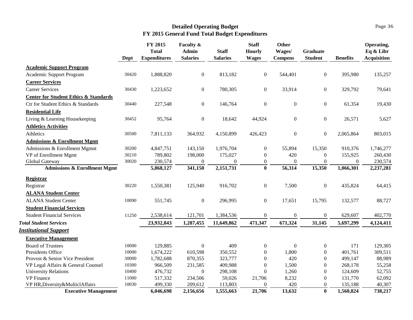|                                                  | Dept  | FY 2015<br><b>Total</b><br><b>Expenditures</b> | Faculty &<br><b>Admin</b><br><b>Salaries</b> | <b>Staff</b><br><b>Salaries</b> | <b>Staff</b><br><b>Hourly</b><br><b>Wages</b> | <b>Other</b><br>Wages/<br><b>Compens</b> | <b>Graduate</b><br><b>Student</b> | <b>Benefits</b> | Operating,<br>Eq & Libr<br><b>Acquisition</b> |
|--------------------------------------------------|-------|------------------------------------------------|----------------------------------------------|---------------------------------|-----------------------------------------------|------------------------------------------|-----------------------------------|-----------------|-----------------------------------------------|
| <b>Academic Support Program</b>                  |       |                                                |                                              |                                 |                                               |                                          |                                   |                 |                                               |
| Academic Support Program                         | 30420 | 1,888,820                                      | $\boldsymbol{0}$                             | 813,182                         | $\boldsymbol{0}$                              | 544,401                                  | $\boldsymbol{0}$                  | 395,980         | 135,257                                       |
| <b>Career Services</b>                           |       |                                                |                                              |                                 |                                               |                                          |                                   |                 |                                               |
| <b>Career Services</b>                           | 30430 | 1,223,652                                      | $\boldsymbol{0}$                             | 780,305                         | $\boldsymbol{0}$                              | 33,914                                   | $\boldsymbol{0}$                  | 329,792         | 79,641                                        |
| <b>Center for Student Ethics &amp; Standards</b> |       |                                                |                                              |                                 |                                               |                                          |                                   |                 |                                               |
| Ctr for Student Ethics & Standards               | 30440 | 227,548                                        | $\boldsymbol{0}$                             | 146,764                         | $\boldsymbol{0}$                              | $\boldsymbol{0}$                         | $\boldsymbol{0}$                  | 61,354          | 19,430                                        |
| <b>Residential Life</b>                          |       |                                                |                                              |                                 |                                               |                                          |                                   |                 |                                               |
| Living & Learning Housekeeping                   | 30452 | 95,764                                         | $\mathbf{0}$                                 | 18,642                          | 44,924                                        | $\boldsymbol{0}$                         | $\boldsymbol{0}$                  | 26,571          | 5,627                                         |
| <b>Athletics Activities</b>                      |       |                                                |                                              |                                 |                                               |                                          |                                   |                 |                                               |
| Athletics                                        | 30500 | 7,811,133                                      | 364,932                                      | 4,150,899                       | 426,423                                       | $\boldsymbol{0}$                         | $\overline{0}$                    | 2,065,864       | 803,015                                       |
| <b>Admissions &amp; Enrollment Mgmt</b>          |       |                                                |                                              |                                 |                                               |                                          |                                   |                 |                                               |
| Admissions & Enrollment Mgmnt                    | 30200 | 4,847,751                                      | 143,150                                      | 1,976,704                       | $\boldsymbol{0}$                              | 55,894                                   | 15,350                            | 910,376         | 1,746,277                                     |
| VP of Enrollment Mgmt                            | 30210 | 789,802                                        | 198,000                                      | 175,027                         | $\boldsymbol{0}$                              | 420                                      | $\boldsymbol{0}$                  | 155,925         | 260,430                                       |
| Global Gateway                                   | 30020 | 230,574                                        | $\overline{0}$                               | $\overline{0}$                  | $\boldsymbol{0}$                              | $\boldsymbol{0}$                         | $\boldsymbol{0}$                  | $\Omega$        | 230,574                                       |
| <b>Admissions &amp; Enrollment Mgmt</b>          |       | 5,868,127                                      | 341,150                                      | 2,151,731                       | $\bf{0}$                                      | 56,314                                   | 15,350                            | 1,066,301       | 2,237,281                                     |
| <b>Registrar</b>                                 |       |                                                |                                              |                                 |                                               |                                          |                                   |                 |                                               |
| Registrar                                        | 30220 | 1,550,381                                      | 125,940                                      | 916,702                         | $\boldsymbol{0}$                              | 7,500                                    | $\boldsymbol{0}$                  | 435,824         | 64,415                                        |
| <b>ALANA Student Center</b>                      |       |                                                |                                              |                                 |                                               |                                          |                                   |                 |                                               |
| <b>ALANA Student Center</b>                      | 10090 | 551,745                                        | $\boldsymbol{0}$                             | 296,995                         | $\boldsymbol{0}$                              | 17,651                                   | 15,795                            | 132,577         | 88,727                                        |
| <b>Student Financial Services</b>                |       |                                                |                                              |                                 |                                               |                                          |                                   |                 |                                               |
| <b>Student Financial Services</b>                | 11250 | 2,538,614                                      | 121,701                                      | 1,384,536                       | $\boldsymbol{0}$                              | $\boldsymbol{0}$                         | $\boldsymbol{0}$                  | 629,607         | 402,770                                       |
| <b>Total Student Services</b>                    |       | 23,932,843                                     | 1,287,455                                    | 11,649,862                      | 471,347                                       | 671,324                                  | 31,145                            | 5,697,299       | 4,124,411                                     |
| <b>Institutional Support</b>                     |       |                                                |                                              |                                 |                                               |                                          |                                   |                 |                                               |
| <b>Executive Management</b>                      |       |                                                |                                              |                                 |                                               |                                          |                                   |                 |                                               |
| <b>Board of Trustees</b>                         | 10000 | 129,885                                        | $\overline{0}$                               | 409                             | $\boldsymbol{0}$                              | $\boldsymbol{0}$                         | $\boldsymbol{0}$                  | 171             | 129,305                                       |
| Presidents Office                                | 10000 | 1,674,222                                      | 610,598                                      | 350,552                         | $\overline{0}$                                | 1,800                                    | $\overline{0}$                    | 401,761         | 309,511                                       |
| Provost & Senior Vice President                  | 30000 | 1,782,688                                      | 870,355                                      | 323,777                         | $\boldsymbol{0}$                              | 420                                      | $\Omega$                          | 499,147         | 88,989                                        |
| VP Legal Affairs & General Counsel               | 10300 | 966,509                                        | 231,585                                      | 409,988                         | $\boldsymbol{0}$                              | 1,500                                    | $\boldsymbol{0}$                  | 268,178         | 55,258                                        |
| <b>University Relations</b>                      | 10400 | 476,732                                        | $\overline{0}$                               | 298,108                         | $\boldsymbol{0}$                              | 1,260                                    | $\theta$                          | 124,609         | 52,755                                        |
| <b>VP</b> Finance                                | 11000 | 517,332                                        | 234,506                                      | 59,026                          | 21,706                                        | 8,232                                    | $\theta$                          | 131,770         | 62,092                                        |
| VP HR, Diversity & MulticlAffairs                | 10030 | 499,330                                        | 209,612                                      | 113,803                         | $\mathbf{0}$                                  | 420                                      | $\boldsymbol{0}$                  | 135,188         | 40,307                                        |
| <b>Executive Management</b>                      |       | 6,046,698                                      | 2,156,656                                    | 1,555,663                       | 21,706                                        | 13,632                                   | $\mathbf{0}$                      | 1,560,824       | 738,217                                       |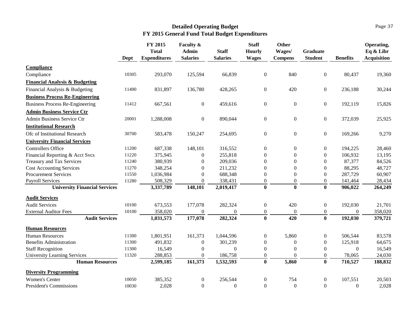|                                           |       | FY 2015                             | <b>Faculty &amp;</b>            |                                 | <b>Staff</b>                  | <b>Other</b>             |                                   |                 | Operating,                      |
|-------------------------------------------|-------|-------------------------------------|---------------------------------|---------------------------------|-------------------------------|--------------------------|-----------------------------------|-----------------|---------------------------------|
|                                           | Dept  | <b>Total</b><br><b>Expenditures</b> | <b>Admin</b><br><b>Salaries</b> | <b>Staff</b><br><b>Salaries</b> | <b>Hourly</b><br><b>Wages</b> | Wages/<br><b>Compens</b> | <b>Graduate</b><br><b>Student</b> | <b>Benefits</b> | Eq & Libr<br><b>Acquisition</b> |
| Compliance                                |       |                                     |                                 |                                 |                               |                          |                                   |                 |                                 |
| Compliance                                | 10305 | 293,070                             | 125,594                         | 66,839                          | $\boldsymbol{0}$              | 840                      | $\boldsymbol{0}$                  | 80,437          | 19,360                          |
| <b>Financial Analysis &amp; Budgeting</b> |       |                                     |                                 |                                 |                               |                          |                                   |                 |                                 |
| Financial Analysis & Budgeting            | 11400 | 831,897                             | 136,780                         | 428,265                         | $\boldsymbol{0}$              | 420                      | $\boldsymbol{0}$                  | 236,188         | 30,244                          |
| <b>Business Process Re-Engineering</b>    |       |                                     |                                 |                                 |                               |                          |                                   |                 |                                 |
| <b>Business Process Re-Engineering</b>    | 11412 | 667,561                             | $\boldsymbol{0}$                | 459,616                         | $\boldsymbol{0}$              | $\boldsymbol{0}$         | $\overline{0}$                    | 192,119         | 15,826                          |
| <b>Admin Business Service Ctr</b>         |       |                                     |                                 |                                 |                               |                          |                                   |                 |                                 |
| Admin Business Service Ctr                | 20001 | 1,288,008                           | $\boldsymbol{0}$                | 890,044                         | $\overline{0}$                | $\mathbf{0}$             | $\overline{0}$                    | 372,039         | 25,925                          |
| <b>Institutional Research</b>             |       |                                     |                                 |                                 |                               |                          |                                   |                 |                                 |
| Ofc of Institutional Research             | 30700 | 583,478                             | 150,247                         | 254,695                         | $\boldsymbol{0}$              | $\boldsymbol{0}$         | $\overline{0}$                    | 169,266         | 9,270                           |
| <b>University Financial Services</b>      |       |                                     |                                 |                                 |                               |                          |                                   |                 |                                 |
| <b>Controllers Office</b>                 | 11200 | 687,338                             | 148,101                         | 316,552                         | $\boldsymbol{0}$              | $\boldsymbol{0}$         | $\boldsymbol{0}$                  | 194,225         | 28,460                          |
| Financial Reporting & Acct Svcs           | 11220 | 375,945                             | $\mathbf{0}$                    | 255,818                         | $\boldsymbol{0}$              | $\boldsymbol{0}$         | $\mathbf{0}$                      | 106,932         | 13,195                          |
| <b>Treasury and Tax Services</b>          | 11240 | 380,939                             | $\theta$                        | 209,036                         | $\boldsymbol{0}$              | 0                        | $\theta$                          | 87,377          | 84,526                          |
| <b>Cost Accounting Services</b>           | 11270 | 348,254                             | $\boldsymbol{0}$                | 211,232                         | $\boldsymbol{0}$              | $\boldsymbol{0}$         | $\mathbf{0}$                      | 88,295          | 48,727                          |
| <b>Procurement Services</b>               | 11550 | 1,036,984                           | $\mathbf{0}$                    | 688,348                         | $\boldsymbol{0}$              | 0                        | $\boldsymbol{0}$                  | 287,729         | 60,907                          |
| <b>Payroll Services</b>                   | 11280 | 508,329                             | $\mathbf{0}$                    | 338,431                         | $\Omega$                      | $\Omega$                 | $\boldsymbol{0}$                  | 141,464         | 28,434                          |
| <b>University Financial Services</b>      |       | 3,337,789                           | 148,101                         | 2,019,417                       | $\bf{0}$                      | $\bf{0}$                 | $\bf{0}$                          | 906,022         | 264,249                         |
| <b>Audit Services</b>                     |       |                                     |                                 |                                 |                               |                          |                                   |                 |                                 |
| <b>Audit Services</b>                     | 10100 | 673,553                             | 177,078                         | 282,324                         | $\boldsymbol{0}$              | 420                      | $\overline{0}$                    | 192,030         | 21,701                          |
| <b>External Auditor Fees</b>              | 10100 | 358,020                             | $\boldsymbol{0}$                | $\theta$                        | $\boldsymbol{0}$              | $\mathbf{0}$             | $\boldsymbol{0}$                  | $\Omega$        | 358,020                         |
| <b>Audit Services</b>                     |       | 1,031,573                           | 177,078                         | 282,324                         | $\mathbf{0}$                  | 420                      | $\bf{0}$                          | 192,030         | 379,721                         |
| <b>Human Resources</b>                    |       |                                     |                                 |                                 |                               |                          |                                   |                 |                                 |
| <b>Human Resources</b>                    | 11300 | 1,801,951                           | 161,373                         | 1,044,596                       | $\boldsymbol{0}$              | 5,860                    | $\overline{0}$                    | 506,544         | 83,578                          |
| <b>Benefits Administration</b>            | 11300 | 491,832                             | $\boldsymbol{0}$                | 301,239                         | $\mathbf{0}$                  | $\mathbf{0}$             | $\overline{0}$                    | 125,918         | 64,675                          |
| <b>Staff Recognition</b>                  | 11300 | 16,549                              | $\overline{0}$                  | $\theta$                        | $\Omega$                      | $\overline{0}$           | $\overline{0}$                    | $\Omega$        | 16,549                          |
| <b>University Learning Services</b>       | 11320 | 288,853                             | $\boldsymbol{0}$                | 186,758                         | $\boldsymbol{0}$              | $\theta$                 | $\overline{0}$                    | 78,065          | 24,030                          |
| <b>Human Resources</b>                    |       | 2,599,185                           | 161,373                         | 1,532,593                       | $\mathbf{0}$                  | 5,860                    | $\bf{0}$                          | 710,527         | 188,832                         |
| <b>Diversity Programming</b>              |       |                                     |                                 |                                 |                               |                          |                                   |                 |                                 |
| <b>Women's Center</b>                     | 10050 | 385,352                             | $\boldsymbol{0}$                | 256,544                         | $\boldsymbol{0}$              | 754                      | $\boldsymbol{0}$                  | 107,551         | 20,503                          |
| <b>President's Commissions</b>            | 10030 | 2,028                               | $\boldsymbol{0}$                | $\overline{0}$                  | $\boldsymbol{0}$              | $\boldsymbol{0}$         | $\boldsymbol{0}$                  | $\overline{0}$  | 2,028                           |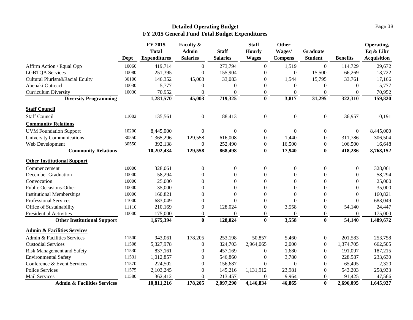|                                        |       | FY 2015<br><b>Total</b> | Faculty &<br>Admin | <b>Staff</b>     | <b>Staff</b><br><b>Hourly</b> | <b>Other</b><br>Wages/ | <b>Graduate</b>  |                  | Operating,<br>Eq & Libr |
|----------------------------------------|-------|-------------------------|--------------------|------------------|-------------------------------|------------------------|------------------|------------------|-------------------------|
|                                        | Dept  | <b>Expenditures</b>     | <b>Salaries</b>    | <b>Salaries</b>  | <b>Wages</b>                  | <b>Compens</b>         | <b>Student</b>   | <b>Benefits</b>  | <b>Acquisition</b>      |
| Affirm Action / Equal Opp              | 10060 | 419,714                 | $\boldsymbol{0}$   | 273,794          | $\mathbf{0}$                  | 1,519                  | $\boldsymbol{0}$ | 114,729          | 29,672                  |
| <b>LGBTQA Services</b>                 | 10080 | 251,395                 | $\overline{0}$     | 155,904          | $\boldsymbol{0}$              | $\Omega$               | 15,500           | 66,269           | 13,722                  |
| Cultural Plurlsm&Racial Equlty         | 30100 | 146,352                 | 45,003             | 33,083           | $\theta$                      | 1,544                  | 15,795           | 33,761           | 17,166                  |
| Abenaki Outreach                       | 10030 | 5,777                   | $\boldsymbol{0}$   | $\mathbf{0}$     | $\Omega$                      | $\mathbf{0}$           | $\overline{0}$   | $\boldsymbol{0}$ | 5,777                   |
| <b>Curriculum Diversity</b>            | 10030 | 70,952                  | $\mathbf{0}$       | $\theta$         | $\Omega$                      | $\Omega$               | $\theta$         | $\theta$         | 70,952                  |
| <b>Diversity Programming</b>           |       | 1,281,570               | 45,003             | 719,325          | $\mathbf{0}$                  | 3,817                  | 31,295           | 322,310          | 159,820                 |
| <b>Staff Council</b>                   |       |                         |                    |                  |                               |                        |                  |                  |                         |
| <b>Staff Council</b>                   | 11002 | 135,561                 | $\boldsymbol{0}$   | 88,413           | $\boldsymbol{0}$              | $\boldsymbol{0}$       | $\boldsymbol{0}$ | 36,957           | 10,191                  |
| <b>Community Relations</b>             |       |                         |                    |                  |                               |                        |                  |                  |                         |
| <b>UVM Foundation Support</b>          | 10200 | 8,445,000               | $\boldsymbol{0}$   | $\overline{0}$   | $\overline{0}$                | $\mathbf{0}$           | $\overline{0}$   | $\overline{0}$   | 8,445,000               |
| <b>University Communications</b>       | 30550 | 1,365,296               | 129,558            | 616,008          | $\Omega$                      | 1,440                  | $\boldsymbol{0}$ | 311,786          | 306,504                 |
| Web Development                        | 30550 | 392,138                 | $\overline{0}$     | 252,490          | $\Omega$                      | 16,500                 | $\Omega$         | 106,500          | 16,648                  |
| <b>Community Relations</b>             |       | 10,202,434              | 129,558            | 868,498          | $\bf{0}$                      | 17,940                 | $\mathbf{0}$     | 418,286          | 8,768,152               |
| <b>Other Institutional Support</b>     |       |                         |                    |                  |                               |                        |                  |                  |                         |
| Commencement                           | 10000 | 328,061                 | $\boldsymbol{0}$   | $\boldsymbol{0}$ | $\boldsymbol{0}$              | $\boldsymbol{0}$       | $\boldsymbol{0}$ | $\boldsymbol{0}$ | 328,061                 |
| <b>December Graduation</b>             | 10000 | 58,294                  | $\boldsymbol{0}$   | $\Omega$         | $\Omega$                      | $\theta$               | $\boldsymbol{0}$ | $\boldsymbol{0}$ | 58,294                  |
| Convocation                            | 10000 | 25,000                  | $\mathbf{0}$       | $\Omega$         | $\theta$                      | $\theta$               | $\theta$         | $\overline{0}$   | 25,000                  |
| Public Occasions-Other                 | 10000 | 35,000                  | $\overline{0}$     | $\Omega$         | $\Omega$                      | $\theta$               | $\theta$         | $\theta$         | 35,000                  |
| <b>Institutional Memberships</b>       | 10000 | 160,821                 | $\mathbf{0}$       | $\Omega$         | $\Omega$                      | $\Omega$               | $\theta$         | $\theta$         | 160,821                 |
| Professional Services                  | 11000 | 683,049                 | $\boldsymbol{0}$   | $\Omega$         | $\Omega$                      | $\theta$               | $\theta$         | $\theta$         | 683,049                 |
| Office of Sustainability               | 11110 | 210,169                 | $\boldsymbol{0}$   | 128,024          | $\theta$                      | 3,558                  | $\overline{0}$   | 54,140           | 24,447                  |
| <b>Presidential Activities</b>         | 10000 | 175,000                 | $\boldsymbol{0}$   | $\Omega$         | $\Omega$                      | $\theta$               | $\overline{0}$   | $\Omega$         | 175,000                 |
| <b>Other Institutional Support</b>     |       | 1,675,394               | $\bf{0}$           | 128,024          | $\bf{0}$                      | 3,558                  | $\bf{0}$         | 54,140           | 1,489,672               |
| <b>Admin &amp; Facilities Services</b> |       |                         |                    |                  |                               |                        |                  |                  |                         |
| Admin & Facilities Services            | 11500 | 943,061                 | 178,205            | 253,198          | 50,857                        | 5,460                  | $\boldsymbol{0}$ | 201,583          | 253,758                 |
| <b>Custodial Services</b>              | 11508 | 5,327,978               | $\boldsymbol{0}$   | 324,703          | 2,964,065                     | 2,000                  | $\mathbf{0}$     | 1,374,705        | 662,505                 |
| Risk Management and Safety             | 11530 | 837,161                 | $\boldsymbol{0}$   | 457,169          | $\boldsymbol{0}$              | 1,680                  | $\mathbf{0}$     | 191,097          | 187,215                 |
| <b>Environmental Safety</b>            | 11531 | 1,012,857               | $\boldsymbol{0}$   | 546,860          | $\theta$                      | 3,780                  | $\boldsymbol{0}$ | 228,587          | 233,630                 |
| Conference & Event Services            | 11570 | 224,502                 | $\boldsymbol{0}$   | 156,687          | $\Omega$                      | $\mathbf{0}$           | $\theta$         | 65,495           | 2,320                   |
| <b>Police Services</b>                 | 11575 | 2,103,245               | $\boldsymbol{0}$   | 145,216          | 1,131,912                     | 23,981                 | $\overline{0}$   | 543,203          | 258,933                 |
| Mail Services                          | 11580 | 362,412                 | $\overline{0}$     | 213,457          | $\Omega$                      | 9,964                  | $\boldsymbol{0}$ | 91,425           | 47,566                  |
| <b>Admin &amp; Facilities Services</b> |       | 10,811,216              | 178,205            | 2,097,290        | 4,146,834                     | 46,865                 | $\bf{0}$         | 2,696,095        | 1,645,927               |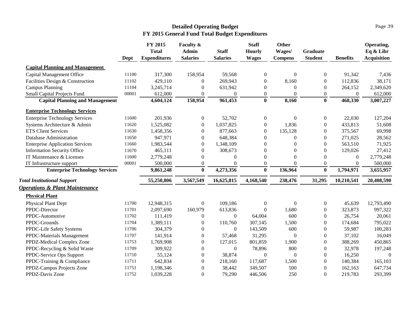#### Page 39

|                                           | Dept  | FY 2015<br><b>Total</b><br><b>Expenditures</b> | Faculty &<br><b>Admin</b><br><b>Salaries</b> | <b>Staff</b><br><b>Salaries</b> | <b>Staff</b><br><b>Hourly</b><br><b>Wages</b> | Other<br>Wages/<br><b>Compens</b> | <b>Graduate</b><br><b>Student</b> | <b>Benefits</b> | Operating,<br>Eq & Libr<br><b>Acquisition</b> |
|-------------------------------------------|-------|------------------------------------------------|----------------------------------------------|---------------------------------|-----------------------------------------------|-----------------------------------|-----------------------------------|-----------------|-----------------------------------------------|
| <b>Capital Planning and Management</b>    |       |                                                |                                              |                                 |                                               |                                   |                                   |                 |                                               |
| Capital Management Office                 | 11100 | 317,300                                        | 158,954                                      | 59,568                          | $\mathbf{0}$                                  | $\mathbf{0}$                      | $\theta$                          | 91,342          | 7,436                                         |
| Facilities Design & Construction          | 11102 | 429,110                                        | $\mathbf{0}$                                 | 269,943                         | $\Omega$                                      | 8,160                             | $\Omega$                          | 112,836         | 38,171                                        |
| <b>Campus Planning</b>                    | 11104 | 3,245,714                                      | $\theta$                                     | 631,942                         | $\mathbf{0}$                                  | $\mathbf{0}$                      | $\boldsymbol{0}$                  | 264,152         | 2,349,620                                     |
| Small Capital Projects Fund               | 00001 | 612,000                                        | $\Omega$                                     | $\mathbf{0}$                    | $\boldsymbol{0}$                              | $\theta$                          | $\overline{0}$                    | $\theta$        | 612,000                                       |
| <b>Capital Planning and Management</b>    |       | 4,604,124                                      | 158,954                                      | 961,453                         | $\bf{0}$                                      | 8,160                             | $\bf{0}$                          | 468,330         | 3,007,227                                     |
| <b>Enterprise Technology Services</b>     |       |                                                |                                              |                                 |                                               |                                   |                                   |                 |                                               |
| <b>Enterprise Technology Services</b>     | 11600 | 201,936                                        | $\boldsymbol{0}$                             | 52,702                          | $\boldsymbol{0}$                              | $\boldsymbol{0}$                  | $\overline{0}$                    | 22,030          | 127,204                                       |
| Systems Architecture & Admin              | 11620 | 1,525,082                                      | $\mathbf{0}$                                 | 1,037,825                       | $\boldsymbol{0}$                              | 1,836                             | $\overline{0}$                    | 433,813         | 51,608                                        |
| <b>ETS Client Services</b>                | 11630 | 1,458,356                                      | $\Omega$                                     | 877,663                         | $\mathbf{0}$                                  | 135,128                           | $\theta$                          | 375,567         | 69,998                                        |
| Database Administration                   | 11650 | 947,971                                        | $\Omega$                                     | 648,384                         | $\theta$                                      | $\Omega$                          | 0                                 | 271,025         | 28,562                                        |
| <b>Enterprise Application Services</b>    | 11660 | 1,983,544                                      | $\Omega$                                     | 1,348,109                       | $\Omega$                                      | $\Omega$                          | $\overline{0}$                    | 563,510         | 71,925                                        |
| <b>Information Security Office</b>        | 11670 | 465,111                                        | $\theta$                                     | 308,673                         | $\theta$                                      | $\theta$                          | $\theta$                          | 129,026         | 27,412                                        |
| IT Maintenance & Licenses                 | 11600 | 2,779,248                                      | $\mathbf{0}$                                 | $\Omega$                        | $\Omega$                                      | $\theta$                          | $\Omega$                          | $\overline{0}$  | 2,779,248                                     |
| IT Infrastructure support                 | 00001 | 500,000                                        | $\boldsymbol{0}$                             | $\Omega$                        | $\boldsymbol{0}$                              | $\mathbf{0}$                      | $\overline{0}$                    | $\mathbf{0}$    | 500,000                                       |
| <b>Enterprise Technology Services</b>     |       | 9,861,248                                      | $\bf{0}$                                     | 4,273,356                       | $\mathbf{0}$                                  | 136,964                           | $\bf{0}$                          | 1,794,971       | 3,655,957                                     |
| <b>Total Institutional Support</b>        |       | 55,250,806                                     | 3,567,549                                    | 16,625,815                      | 4,168,540                                     | 238,476                           | 31,295                            | 10,210,541      | 20,408,590                                    |
| <b>Operations &amp; Plant Maintenance</b> |       |                                                |                                              |                                 |                                               |                                   |                                   |                 |                                               |
| <b>Physical Plant</b>                     |       |                                                |                                              |                                 |                                               |                                   |                                   |                 |                                               |
| <b>Physical Plant Dept</b>                | 11700 | 12,948,315                                     | $\mathbf{0}$                                 | 109,186                         | $\overline{0}$                                | $\boldsymbol{0}$                  | $\overline{0}$                    | 45,639          | 12,793,490                                    |
| PPDC-Director                             | 11701 | 2,097,690                                      | 160,979                                      | 613,836                         | $\theta$                                      | 1,680                             | $\Omega$                          | 323,873         | 997,322                                       |
| PPDC-Automotive                           | 11702 | 111,419                                        | $\theta$                                     | $\overline{0}$                  | 64,004                                        | 600                               | $\theta$                          | 26,754          | 20,061                                        |
| PPDC-Grounds                              | 11704 | 1,389,111                                      | $\theta$                                     | 110,760                         | 307,145                                       | 1,500                             | 0                                 | 174,684         | 795,022                                       |
| PPDC-Life Safety Systems                  | 11706 | 304,379                                        | $\Omega$                                     | $\Omega$                        | 143,509                                       | 600                               | $\Omega$                          | 59,987          | 100,283                                       |
| PPDC-Materials Management                 | 11707 | 141,914                                        | $\mathbf{0}$                                 | 57,468                          | 31,295                                        | $\boldsymbol{0}$                  | $\boldsymbol{0}$                  | 37,102          | 16,049                                        |
| PPDZ-Medical Complex Zone                 | 11753 | 1,769,908                                      | $\mathbf{0}$                                 | 127,015                         | 801,859                                       | 1,900                             | 0                                 | 388,269         | 450,865                                       |
| PPDC-Recycling & Solid Waste              | 11709 | 309,922                                        | $\mathbf{0}$                                 | $\Omega$                        | 78,896                                        | 800                               | 0                                 | 32,978          | 197,248                                       |
| PPDC-Service Ops Support                  | 11710 | 55,124                                         | $\mathbf{0}$                                 | 38,874                          | $\boldsymbol{0}$                              | $\boldsymbol{0}$                  | $\boldsymbol{0}$                  | 16,250          | $\mathbf{0}$                                  |
| PPDC-Training & Compliance                | 11711 | 642,834                                        | $\boldsymbol{0}$                             | 218,160                         | 117,687                                       | 1,500                             | $\boldsymbol{0}$                  | 140,384         | 165,103                                       |
| PPDZ-Campus Projects Zone                 | 11751 | 1,198,346                                      | $\theta$                                     | 38,442                          | 349,507                                       | 500                               | $\boldsymbol{0}$                  | 162,163         | 647,734                                       |
| PPDZ-Davis Zone                           | 11752 | 1,039,228                                      | $\Omega$                                     | 79,290                          | 446,506                                       | 250                               | $\overline{0}$                    | 219,783         | 293,399                                       |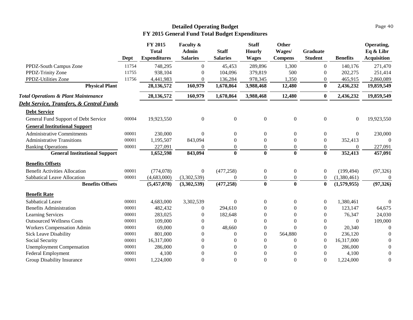|                                                     | Dept  | FY 2015<br><b>Total</b><br><b>Expenditures</b> | Faculty &<br><b>Admin</b><br><b>Salaries</b> | <b>Staff</b><br><b>Salaries</b> | <b>Staff</b><br><b>Hourly</b><br><b>Wages</b> | Other<br>Wages/<br><b>Compens</b> | Graduate<br><b>Student</b> | <b>Benefits</b> | Operating,<br>Eq & Libr<br><b>Acquisition</b> |
|-----------------------------------------------------|-------|------------------------------------------------|----------------------------------------------|---------------------------------|-----------------------------------------------|-----------------------------------|----------------------------|-----------------|-----------------------------------------------|
| PPDZ-South Campus Zone                              | 11754 | 748,295                                        | $\Omega$                                     | 45,453                          | 289,896                                       | 1,300                             | $\overline{0}$             | 140,176         | 271,470                                       |
| PPDZ-Trinity Zone                                   | 11755 | 938,104                                        | $\Omega$                                     | 104,096                         | 379,819                                       | 500                               | $\Omega$                   | 202,275         | 251,414                                       |
| PPDZ-Utilities Zone                                 | 11756 | 4,441,983                                      | $\overline{0}$                               | 136,284                         | 978,345                                       | 1,350                             | $\overline{0}$             | 465,915         | 2,860,089                                     |
| <b>Physical Plant</b>                               |       | 28,136,572                                     | 160,979                                      | 1,678,864                       | 3,988,468                                     | 12,480                            | $\bf{0}$                   | 2,436,232       | 19,859,549                                    |
| <b>Total Operations &amp; Plant Maintenance</b>     |       | 28,136,572                                     | 160,979                                      | 1,678,864                       | 3,988,468                                     | 12,480                            | $\bf{0}$                   | 2,436,232       | 19,859,549                                    |
| <b>Debt Service, Transfers, &amp; Central Funds</b> |       |                                                |                                              |                                 |                                               |                                   |                            |                 |                                               |
| <b>Debt Service</b>                                 |       |                                                |                                              |                                 |                                               |                                   |                            |                 |                                               |
| General Fund Support of Debt Service                | 00004 | 19,923,550                                     | $\overline{0}$                               | $\boldsymbol{0}$                | $\boldsymbol{0}$                              | $\boldsymbol{0}$                  | $\mathbf{0}$               | $\overline{0}$  | 19,923,550                                    |
| <b>General Institutional Support</b>                |       |                                                |                                              |                                 |                                               |                                   |                            |                 |                                               |
| <b>Administrative Commitments</b>                   | 00001 | 230,000                                        | $\Omega$                                     | $\Omega$                        | $\theta$                                      | $\theta$                          | $\theta$                   | $\Omega$        | 230,000                                       |
| <b>Administrative Transitions</b>                   | 00001 | 1,195,507                                      | 843,094                                      | $\theta$                        | $\theta$                                      | $\theta$                          | $\Omega$                   | 352,413         | $\Omega$                                      |
| <b>Banking Operations</b>                           | 00001 | 227,091                                        | 0                                            | $\overline{0}$                  | $\theta$                                      | $\theta$                          | $\overline{0}$             | $\Omega$        | 227,091                                       |
| <b>General Institutional Support</b>                |       | 1,652,598                                      | 843,094                                      | $\bf{0}$                        | $\bf{0}$                                      | $\bf{0}$                          | $\bf{0}$                   | 352,413         | 457,091                                       |
| <b>Benefits Offsets</b>                             |       |                                                |                                              |                                 |                                               |                                   |                            |                 |                                               |
| <b>Benefit Activities Allocation</b>                | 00001 | (774, 078)                                     | $\overline{0}$                               | (477, 258)                      | $\boldsymbol{0}$                              | $\boldsymbol{0}$                  | $\theta$                   | (199, 494)      | (97, 326)                                     |
| Sabbatical Leave Allocation                         | 00001 | (4,683,000)                                    | (3,302,539)                                  | $\overline{0}$                  | $\boldsymbol{0}$                              | $\boldsymbol{0}$                  | $\overline{0}$             | (1,380,461)     | $\Omega$                                      |
| <b>Benefits Offsets</b>                             |       | (5,457,078)                                    | (3,302,539)                                  | (477, 258)                      | $\bf{0}$                                      | $\bf{0}$                          | $\bf{0}$                   | (1,579,955)     | (97, 326)                                     |
| <b>Benefit Rate</b>                                 |       |                                                |                                              |                                 |                                               |                                   |                            |                 |                                               |
| Sabbatical Leave                                    | 00001 | 4,683,000                                      | 3,302,539                                    | $\mathbf{0}$                    | $\Omega$                                      | $\theta$                          | $\Omega$                   | 1,380,461       | $\Omega$                                      |
| <b>Benefits Administration</b>                      | 00001 | 482,432                                        | $\Omega$                                     | 294,610                         | $\Omega$                                      | $\Omega$                          | $\theta$                   | 123,147         | 64,675                                        |
| Learning Services                                   | 00001 | 283,025                                        | $\Omega$                                     | 182,648                         | $\theta$                                      | $\theta$                          | $\theta$                   | 76,347          | 24,030                                        |
| <b>Outsourced Wellness Costs</b>                    | 00001 | 109,000                                        | $\theta$                                     | $\Omega$                        | $\boldsymbol{0}$                              | $\theta$                          | $\boldsymbol{0}$           | $\Omega$        | 109,000                                       |
| Workers Compensation Admin                          | 00001 | 69,000                                         | 0                                            | 48,660                          | $\theta$                                      | $\theta$                          | $\theta$                   | 20,340          | $\Omega$                                      |
| <b>Sick Leave Disability</b>                        | 00001 | 801,000                                        | 0                                            | $\Omega$                        | $\Omega$                                      | 564,880                           | $\Omega$                   | 236,120         | $\Omega$                                      |
| Social Security                                     | 00001 | 16,317,000                                     | 0                                            | $\Omega$                        | $\Omega$                                      | $\Omega$                          | $\theta$                   | 16,317,000      | 0                                             |
| <b>Unemployment Compensation</b>                    | 00001 | 286,000                                        | 0                                            | $\theta$                        | $\theta$                                      | $\Omega$                          | $\Omega$                   | 286,000         | $\mathbf{0}$                                  |
| <b>Federal Employment</b>                           | 00001 | 4,100                                          | 0                                            | $\theta$                        | 0                                             | 0                                 | 0                          | 4,100           | $\overline{0}$                                |
| Group Disability Insurance                          | 00001 | 1,224,000                                      | 0                                            | $\theta$                        | $\theta$                                      | $\theta$                          | $\theta$                   | 1,224,000       | $\overline{0}$                                |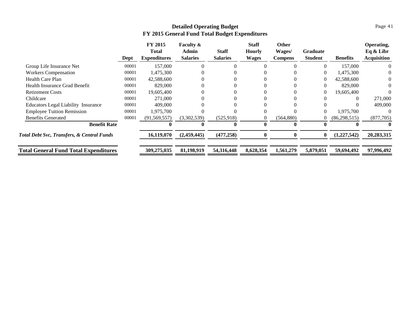|                                                       | Dept  | <b>FY 2015</b><br>Total<br><b>Expenditures</b> | <b>Faculty &amp;</b><br>Admin<br><b>Salaries</b> | <b>Staff</b><br><b>Salaries</b> | <b>Staff</b><br><b>Hourly</b><br><b>Wages</b> | <b>Other</b><br>Wages/<br><b>Compens</b> | <b>Graduate</b><br><b>Student</b> | <b>Benefits</b> | Operating,<br>Eq & Libr<br><b>Acquisition</b> |
|-------------------------------------------------------|-------|------------------------------------------------|--------------------------------------------------|---------------------------------|-----------------------------------------------|------------------------------------------|-----------------------------------|-----------------|-----------------------------------------------|
| Group Life Insurance Net                              | 00001 | 157,000                                        |                                                  |                                 |                                               |                                          |                                   | 157,000         | $\theta$                                      |
| <b>Workers Compensation</b>                           | 00001 | 1,475,300                                      |                                                  |                                 |                                               |                                          |                                   | 1,475,300       | 0                                             |
| Health Care Plan                                      | 00001 | 42,588,600                                     |                                                  |                                 |                                               |                                          |                                   | 42,588,600      |                                               |
| Health Insurance Grad Benefit                         | 00001 | 829,000                                        |                                                  |                                 |                                               |                                          |                                   | 829,000         | 0                                             |
| <b>Retirement Costs</b>                               | 00001 | 19,605,400                                     |                                                  |                                 |                                               |                                          |                                   | 19,605,400      |                                               |
| Childcare                                             | 00001 | 271,000                                        |                                                  |                                 |                                               |                                          |                                   | $\Omega$        | 271,000                                       |
| <b>Educators Legal Liability Insurance</b>            | 00001 | 409,000                                        |                                                  |                                 |                                               |                                          |                                   |                 | 409,000                                       |
| <b>Employee Tuition Remission</b>                     | 00001 | 1,975,700                                      |                                                  |                                 |                                               |                                          | $\Omega$                          | 1,975,700       | $\theta$                                      |
| <b>Benefits Generated</b>                             | 00001 | (91, 569, 557)                                 | (3,302,539)                                      | (525, 918)                      |                                               | (564, 880)                               |                                   | (86, 298, 515)  | (877,705)                                     |
| <b>Benefit Rate</b>                                   |       |                                                |                                                  |                                 |                                               |                                          |                                   |                 |                                               |
| <b>Total Debt Svc, Transfers, &amp; Central Funds</b> |       | 16,119,070                                     | (2,459,445)                                      | (477, 258)                      |                                               |                                          | $\bf{0}$                          | (1,227,542)     | 20,283,315                                    |
| <b>Total General Fund Total Expenditures</b>          |       | 309,275,035                                    | 81,198,919                                       | 54,316,448                      | 8,628,354                                     | 1,561,279                                | 5,879,051                         | 59,694,492      | 97,996,492                                    |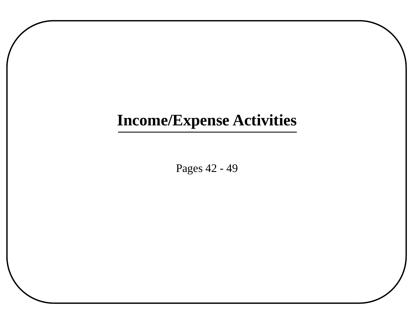# **Income/Expense Activities**

Pages 42 - 49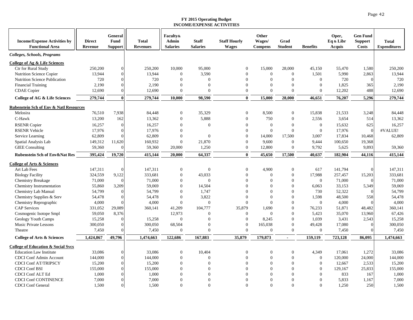<span id="page-46-0"></span>

| <b>Income/Expense Activities by</b><br><b>Functional Area</b>    | <b>Direct</b><br>Revenue | General<br>Fund<br>Support | <b>Total</b><br><b>Revenues</b> | <b>Faculty&amp;</b><br><b>Admin</b><br><b>Salaries</b> | <b>Staff</b><br><b>Salaries</b> | <b>Staff Hourly</b><br><b>Wages</b> | Other<br>Wages/<br><b>Compens</b> | Grad<br><b>Student</b>             | <b>Benefits</b>        | Oper,<br>Eq & Libr<br><b>Acquis</b> | <b>Gen Fund</b><br><b>Support</b><br><b>Costs</b> | Total<br><b>Expenditures</b> |
|------------------------------------------------------------------|--------------------------|----------------------------|---------------------------------|--------------------------------------------------------|---------------------------------|-------------------------------------|-----------------------------------|------------------------------------|------------------------|-------------------------------------|---------------------------------------------------|------------------------------|
| Colleges, Schools, Programs                                      |                          |                            |                                 |                                                        |                                 |                                     |                                   |                                    |                        |                                     |                                                   |                              |
| College of Ag & Life Sciences                                    |                          |                            |                                 |                                                        |                                 |                                     |                                   |                                    |                        |                                     |                                                   |                              |
| Ctr for Rural Study                                              | 250,200                  | 0                          | 250,200                         | 10,000                                                 | 95,000                          | $\theta$                            | 15,000                            | 28,000                             | 45,150                 | 55,470                              | 1,580                                             | 250,200                      |
| Nutrition Science Copier                                         | 13,944                   | 0                          | 13,944                          | $\boldsymbol{0}$                                       | 3,590                           | $\theta$                            | $\mathbf{0}$                      | $\overline{0}$                     | 1,501                  | 5,990                               | 2,863                                             | 13,944                       |
| Nutrition Science Publication                                    | 720                      | $\Omega$                   | 720                             | $\mathbf{0}$                                           | $\mathbf{0}$                    | $\Omega$                            | $\mathbf{0}$                      | $\theta$                           | $\mathbf{0}$           | 720                                 | $\Omega$                                          | 720                          |
| <b>Financial Training</b>                                        | 2,190                    |                            | 2,190                           | $\mathbf{0}$                                           | $\Omega$                        | $\Omega$                            | $\Omega$                          | $\Omega$                           | $\overline{0}$         | 1,825                               | 365                                               | 2,190                        |
| <b>CDAE</b> Copier                                               | 12,690                   |                            | 12,690                          | $\mathbf{0}$                                           | $\Omega$                        | $\Omega$                            | $\Omega$                          | $\theta$                           | $\mathbf{0}$           | 12,202                              | 488                                               | 12,690                       |
| College of AG & Life Sciences                                    | 279,744                  | 0                          | 279,744                         | 10,000                                                 | 98,590                          | $\bf{0}$                            | 15,000                            | 28,000                             | 46,651                 | 76,207                              | 5,296                                             | 279,744                      |
| <b>Rubenstein Sch of Env &amp; Natl Resources</b>                |                          |                            |                                 |                                                        |                                 |                                     |                                   |                                    |                        |                                     |                                                   |                              |
| Melosira                                                         | 76,510                   | 7,938                      | 84,448                          | $\boldsymbol{0}$                                       | 35,329                          | $\theta$                            | 8,500                             | $\boldsymbol{0}$                   | 15,838                 | 21,533                              | 3,248                                             | 84,448                       |
| C-Hawk                                                           | 13,200                   | 162                        | 13,362                          | $\boldsymbol{0}$                                       | 5,888                           | $\mathbf{0}$                        | 750                               | $\overline{0}$                     | 2,556                  | 3,654                               | 514                                               | 13,362                       |
| <b>RSENR Copier</b>                                              | 16,257                   | $\Omega$                   | 16,257                          | $\mathbf{0}$                                           | $\Omega$                        | $\Omega$                            | $\Omega$                          | $\Omega$                           | $\mathbf{0}$           | 15,632                              | 625                                               | 16,257                       |
| <b>RSENR Vehicle</b>                                             | 17,976                   | $\Omega$                   | 17,976                          | $\boldsymbol{0}$                                       |                                 | $\theta$                            | $\mathbf{0}$                      | $\overline{0}$                     | $\mathbf{0}$           | 17,976                              | $\Omega$                                          | #VALUE!                      |
| Service Learning                                                 | 62,809                   | $\Omega$                   | 62,809                          | $\boldsymbol{0}$                                       | $\boldsymbol{0}$                | $\theta$                            | 14,000                            | 17,500                             | 3,007                  | 17,834                              | 10,468                                            | 62,809                       |
| Spatial Analysis Lab                                             | 149,312                  | 11,620                     | 160,932                         | $\mathbf{0}$                                           | 21,870                          | $\Omega$                            | 9,600                             | $\theta$                           | 9,444                  | 100,650                             | 19,368                                            |                              |
| <b>GIEE</b> Consulting                                           | 59,360                   | $\Omega$                   | 59,360                          | 20,000                                                 | 1,250                           | $\overline{0}$                      | 12,800                            | $\overline{0}$                     | 9,792                  | 5,625                               | 9,893                                             | 59,360                       |
| <b>Rubenstein Sch of Env&amp;Nat Res</b>                         | 395,424                  | 19,720                     | 415,144                         | 20,000                                                 | 64,337                          | $\bf{0}$                            | 45,650                            | 17,500                             | 40,637                 | 182,904                             | 44,116                                            | 415,144                      |
| <b>College of Arts &amp; Sciences</b>                            |                          |                            |                                 |                                                        |                                 |                                     |                                   |                                    |                        |                                     |                                                   |                              |
| Art Lab Fees                                                     | 147,311                  | $\Omega$                   | 147,311                         | $\boldsymbol{0}$                                       | $\boldsymbol{0}$                | $\overline{0}$                      | 4,900                             | $\boldsymbol{0}$                   | 617                    | 141,794                             | $\Omega$                                          | 147,311                      |
| <b>Biology Facility</b>                                          | 324,559                  | 9,122                      | 333,681                         | $\boldsymbol{0}$                                       | 43,033                          | $\Omega$                            | $\Omega$                          | $\theta$                           | 17,988                 | 257,457                             | 15,203                                            | 333,681                      |
| <b>Chemistry Breakage</b>                                        | 71,000                   | $\Omega$                   | 71,000                          | $\mathbf{0}$                                           | $\Omega$                        | $\Omega$                            | $\Omega$                          | $\theta$                           | $\overline{0}$         | 71,000                              |                                                   | 71,000                       |
| <b>Chemistry Instrumentation</b>                                 | 55,860                   | 3,209                      | 59,069                          | $\boldsymbol{0}$                                       | 14,504                          | $\Omega$                            | $\theta$                          | $\theta$                           | 6,063                  | 33,153                              | 5,349                                             | 59,069                       |
| <b>Chemistry Lab Manual</b>                                      | 54,799                   | $\Omega$                   | 54,799                          | $\boldsymbol{0}$                                       | 1,747                           | $\Omega$                            | $\Omega$                          | $\Omega$                           | 730                    | 52,322                              |                                                   | 54,799                       |
| Chemistry Supplies & Serv                                        | 54,478                   | $\Omega$                   | 54,478                          | $\boldsymbol{0}$                                       | 3,822                           | $\Omega$                            | $\Omega$                          | $\Omega$                           | 1,598                  | 48,500                              | 558                                               | 54,478                       |
| Chemistry Reprographic                                           | 4,000                    |                            | 4,000                           | $\mathbf{0}$                                           | $\mathbf{0}$                    | $\Omega$                            | $\Omega$                          | $\theta$                           | $\mathbf{0}$           | 4,000                               | $\Omega$                                          | 4,000                        |
| <b>CAP</b> Services                                              | 331,052                  | 29,089                     | 360,141                         | 41,209                                                 | 104,777                         | 35,879                              | 1,690                             | $\Omega$                           | 76,233                 | 51,871                              | 48,482                                            | 360,141                      |
| Cosmogenic Isotope Smpl                                          | 59,050                   | 8,376                      |                                 | 12,973                                                 | $\Omega$                        | $\theta$                            | $\mathbf{0}$                      | $\Omega$                           | 5,423                  | 35,070                              | 13,960                                            | 67,426                       |
| Geology Youth Camps                                              | 15,258                   | $\Omega$                   | 15,258                          | $\mathbf{0}$                                           | $\Omega$                        | $\mathbf{0}$                        | 8.245                             | $\theta$                           | 1,039                  | 3,431                               | 2,543                                             | 15,258                       |
| Music Private Lessons<br>Theatre                                 | 300,050<br>7,450         |                            | 300,050<br>7,450                | 68,504<br>$\boldsymbol{0}$                             | $\Omega$<br>$\Omega$            | $\boldsymbol{0}$<br>$\Omega$        | 165,038<br>$\theta$               | $\overline{0}$<br>$\Omega$         | 49,428<br>$\mathbf{0}$ | 17,080<br>7,450                     | $\Omega$                                          | 300,050<br>7,450             |
| College of Arts & Sciences                                       | 1,424,867                | 49,796                     | 1,474,663                       | 122,686                                                | 167,883                         | 35,879                              | 179,873                           | $\blacksquare$                     | 159,119                | 723,128                             | 86,095                                            | 1,474,663                    |
|                                                                  |                          |                            |                                 |                                                        |                                 |                                     |                                   |                                    |                        |                                     |                                                   |                              |
| <b>College of Education &amp; Social Svcs</b>                    |                          |                            |                                 |                                                        |                                 |                                     |                                   |                                    |                        |                                     |                                                   |                              |
| <b>Education Law Institute</b><br><b>CDCI</b> Conf Admin Account | 33,086<br>144,000        | 0<br>0                     | 33,086<br>144,000               | $\boldsymbol{0}$<br>$\boldsymbol{0}$                   | 10,404<br>$\mathbf{0}$          | $\theta$<br>$\theta$                | $\boldsymbol{0}$<br>$\theta$      | $\boldsymbol{0}$<br>$\overline{0}$ | 4,349<br>$\mathbf{0}$  | 17,061<br>120,000                   | 1,272<br>24,000                                   | 33,086<br>144,000            |
| <b>CDCI Conf AT/TRIPSCY</b>                                      | 15,200                   | $\Omega$                   | 15,200                          | $\mathbf{0}$                                           | $\Omega$                        | $\Omega$                            | $\theta$                          | $\Omega$                           | $\overline{0}$         | 12,667                              | 2,533                                             | 15,200                       |
| <b>CDCI</b> Conf BSI                                             | 155,000                  | $\Omega$                   | 155,000                         | $\mathbf{0}$                                           | $\Omega$                        | $\Omega$                            | $\Omega$                          | $\theta$                           | $\mathbf{0}$           | 129,167                             | 25,833                                            | 155,000                      |
| <b>CDCI Conf ALT Ed</b>                                          | 1,000                    | $\Omega$                   | 1,000                           | $\mathbf{0}$                                           | $\Omega$                        | $\Omega$                            | $\Omega$                          | $\Omega$                           | $\mathbf{0}$           | 833                                 | 167                                               | 1,000                        |
| <b>CDCI Conf CONTINENCE</b>                                      | 7,000                    | $\Omega$                   | 7,000                           | $\boldsymbol{0}$                                       | $\Omega$                        | $\Omega$                            | $\Omega$                          | $\Omega$                           | $\Omega$               | 5,833                               | 1,167                                             | 7,000                        |
| <b>CDCI</b> Conf General                                         | 1,500                    | $\overline{0}$             | 1,500                           | $\mathbf{0}$                                           | $\Omega$                        | $\Omega$                            | $\Omega$                          | $\Omega$                           | $\Omega$               | 1,250                               | 250                                               | 1,500                        |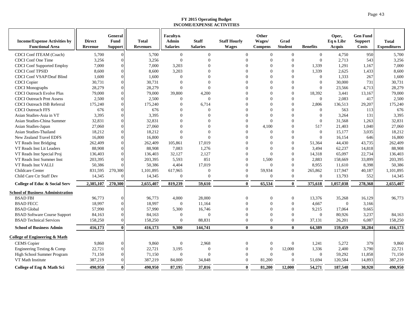| 5,700<br>$\mathbf{0}$<br>$\mathbf{0}$<br>$\overline{0}$<br>$\overline{0}$<br>4,750<br>950<br>CDCI Conf ITEAM (Coach)<br>5,700<br>$\mathbf{0}$<br>$\boldsymbol{0}$<br>$\Omega$<br>$\boldsymbol{0}$<br>CDCI Conf One Time<br>3,256<br>$\mathbf{0}$<br>$\mathbf{0}$<br>$\mathbf{0}$<br>$\overline{0}$<br>2,713<br>543<br>3,256<br>3,256<br>$\Omega$<br>$\mathbf{0}$<br>7,000<br>3,203<br>$\Omega$<br>$\mathbf{0}$<br>1,339<br>1,291<br>1,167<br>7,000<br><b>CDCI</b> Conf Supported Employ<br>7,000<br>$\Omega$<br>$\Omega$<br>$\Omega$<br><b>CDCI Conf TPSID</b><br>8.600<br>8,600<br>3.203<br>$\Omega$<br>$\Omega$<br>1,339<br>2,625<br>1,433<br>8.600<br>$\Omega$<br>$\Omega$<br>$\Omega$<br><b>CDCI Conf VSAP/Deaf Blind</b><br>1.600<br>1,600<br>$\Omega$<br>$\Omega$<br>$\overline{0}$<br>1,333<br>1,600<br>$\overline{0}$<br>$\Omega$<br>267<br>30,731<br>$\mathbf{0}$<br>$\Omega$<br>$\Omega$<br>$\overline{0}$<br>30,000<br>731<br>30,731<br><b>CDCI</b> Copier<br>30,731<br>$\Omega$<br>28,279<br>$\mathbf{0}$<br>$\overline{0}$<br>4,713<br>28,279<br>28,279<br>$\mathbf{0}$<br>$\Omega$<br>$\Omega$<br>23,566<br><b>CDCI</b> Monographs<br>$\Omega$<br>$\Omega$<br>79,000<br>$\mathbf{0}$<br>3,441<br>79,000<br><b>CDCI</b> Outreach Evolve Plus<br>79,000<br>39,800<br>4,200<br>$\Omega$<br>18,392<br>13,167<br><b>CDCI</b> Outreach Prnt Assess<br>2,500<br>2,500<br>$\mathbf{0}$<br>$\Omega$<br>$\mathbf{0}$<br>$\mathbf{0}$<br>2,083<br>417<br>2,500<br>$\overline{0}$<br>$\Omega$<br>175,240<br>175,240<br>6,714<br>$\Omega$<br>$\Omega$<br>136,513<br>29,207<br>175,240<br><b>CDCI</b> Outreach ISB Referral<br>$\Omega$<br>$\boldsymbol{0}$<br>$\Omega$<br>2,806<br>$\Omega$<br>676<br><b>CDCI</b> Outreach FFS<br>676<br>676<br>$\Omega$<br>$\mathbf{0}$<br>563<br>$\overline{0}$<br>$\Omega$<br>$\Omega$<br>113<br>3,395<br>3.395<br>$\mathbf{0}$<br>$\Omega$<br>$\Omega$<br>$\Omega$<br>$\mathbf{0}$<br>3,264<br>131<br>3,395<br>Asian Studies-Asia in VT<br>$\Omega$<br>32,831<br>32,831<br>$\Omega$<br>$\Omega$<br>$\Omega$<br>31,568<br>1,263<br>32,831<br>Asian Studies-China Summer<br>$\Omega$<br>$\Omega$<br>$\Omega$<br>4,100<br>$\mathbf{0}$<br>517<br>21,403<br>27,060<br>Asian Studies-Japan<br>27,060<br>27,060<br>$\theta$<br>$\Omega$<br>1,040<br>$\Omega$<br>$\Omega$<br>$\mathbf{0}$<br>$\overline{0}$<br>Asian Studies-Thailand<br>18,212<br>18,212<br>$\theta$<br>$\Omega$<br>$\mathbf{0}$<br>15,177<br>3,035<br>18,212<br>$\Omega$<br>$\Omega$<br>16,800<br>New Zealand Travel EDFS<br>16,800<br>16,800<br>$\Omega$<br>$\Omega$<br>$\Omega$<br>$\Omega$<br>$\Omega$<br>16,154<br>646<br>$\mathbf{0}$<br>$\theta$<br>44,430<br>262,409<br>VT Reads Inst Bridging<br>262,409<br>262,409<br>105,861<br>17,019<br>$\Omega$<br>51,364<br>43,735<br>$\Omega$<br>1,276<br>$\mathbf{0}$<br>88,908<br>88,908<br>7,083<br>$\Omega$<br>3,494<br>62,237<br>14,818<br>88,908<br>VT Reads Inst Lit Leaders<br>136,403<br>32,127<br>2,127<br>$\Omega$<br>$\Omega$<br>65,097<br>22,734<br>136,403<br>VT Reads Inst Special Proj<br>136,403<br>14,318<br>$\Omega$<br>851<br>$\Omega$<br>203,395<br>VT Reads Inst Summer Inst<br>203,395<br>203,395<br>5,593<br>$\Omega$<br>1,500<br>2,883<br>158,669<br>33,899<br>17,019<br>$\Omega$<br>$\mathbf{0}$<br>8,398<br>50,386<br>VT Reads Inst VALLI<br>50,386<br>50,386<br>4,404<br>$\Omega$<br>8,955<br>11,610<br>$\Omega$<br>Childcare Center<br>831,595<br>270,300<br>1,101,895<br>617,965<br>$\mathbf{0}$<br>$\Omega$<br>59,934<br>265,862<br>117,947<br>40,187<br>1,101,895<br>$\theta$<br>$\mathbf{0}$<br>$\overline{0}$<br>Child Care Ctr Staff Dev<br>14,345<br>14,345<br>$\theta$<br>$\Omega$<br>$\Omega$<br>13,793<br>552<br>14,345<br>2,385,107<br>2,655,407<br>2,655,407<br>270,300<br>819,239<br>59,610<br>65,534<br>375,618<br>1,057,038<br>278,368<br><b>College of Educ &amp; Social Serv</b><br>$\mathbf{0}$<br>$\mathbf{0}$<br><b>School of Business Administration</b><br><b>BSAD FBI</b><br>96,773<br>96,773<br>96,773<br>4,000<br>28,000<br>$\overline{0}$<br>$\overline{0}$<br>13,376<br>35,268<br>16,129<br>$\Omega$<br>$\theta$<br><b>BSAD FECC</b><br>18,997<br>$\mathbf{0}$<br>11,164<br>$\theta$<br>$\mathbf{0}$<br>18,997<br>$\Omega$<br>4,667<br>$\overline{0}$<br>3,166<br>$\Omega$<br>57,990<br>5,300<br>$\Omega$<br>$\Omega$<br><b>BSAD</b> Global<br>57,990<br>16,746<br>9,215<br>17,064<br>9,665<br>$\Omega$<br>$\Omega$<br>$\Omega$<br>$\Omega$<br>$\overline{0}$<br>3,237<br><b>BSAD Software Course Support</b><br>84,163<br>84,163<br>$\mathbf{0}$<br>$\mathbf{0}$<br>80,926<br>84,163<br>$\Omega$<br><b>BSAD Technical Services</b><br>158,250<br>158,250<br>$\boldsymbol{0}$<br>88,831<br>$\Omega$<br>$\Omega$<br>$\mathbf{0}$<br>37,131<br>26,201<br>6,087<br>158,250<br>416,173<br>416,173<br>9,300<br>144,741<br>$\mathbf{0}$<br>$\mathbf{0}$<br>$\mathbf{0}$<br>64,389<br>159,459<br>38,284<br>416,173<br><b>School of Business Admin</b><br>College of Engineering & Math<br>5,272<br>379<br>9,860<br><b>CEMS</b> Copier<br>9,860<br>9,860<br>$\overline{0}$<br>2,968<br>$\overline{0}$<br>$\boldsymbol{0}$<br>$\mathbf{0}$<br>1,241<br>$\Omega$<br>22,721<br>22,721<br>$\mathbf{0}$<br>$\mathbf{0}$<br>12,000<br>1,336<br>2,400<br>3,790<br>22,721<br>Engineering Testing & Comp<br>3,195<br>$\Omega$<br>$\Omega$<br>$\overline{0}$<br>59,292<br>11,858<br>71,150<br>High School Summer Program<br>71,150<br>71,150<br>$\boldsymbol{0}$<br>$\Omega$<br>$\mathbf{0}$<br>$\Omega$<br>387,219<br>VT Math Institute<br>387,219<br>387,219<br>84,000<br>34,848<br>$\theta$<br>81,200<br>$\Omega$<br>51,694<br>120,584<br>14,893<br>54,271<br>187,548<br>30,920<br>490,950<br>490.950<br>$\mathbf{0}$<br>490.950<br>87,195<br>37,816<br>81,200<br>College of Eng & Math Sci<br>$\mathbf{0}$<br>12,000 | <b>Income/Expense Activities by</b><br><b>Functional Area</b> | <b>Direct</b><br>Revenue | General<br>Fund<br>Support | <b>Total</b><br><b>Revenues</b> | <b>Faculty&amp;</b><br><b>Admin</b><br><b>Salaries</b> | <b>Staff</b><br><b>Salaries</b> | <b>Staff Hourly</b><br><b>Wages</b> | Other<br>Wages/<br><b>Compens</b> | Grad<br><b>Student</b> | <b>Benefits</b> | Oper,<br>Eq & Libr<br>Acquis | <b>Gen Fund</b><br><b>Support</b><br><b>Costs</b> | <b>Total</b><br><b>Expenditures</b> |
|---------------------------------------------------------------------------------------------------------------------------------------------------------------------------------------------------------------------------------------------------------------------------------------------------------------------------------------------------------------------------------------------------------------------------------------------------------------------------------------------------------------------------------------------------------------------------------------------------------------------------------------------------------------------------------------------------------------------------------------------------------------------------------------------------------------------------------------------------------------------------------------------------------------------------------------------------------------------------------------------------------------------------------------------------------------------------------------------------------------------------------------------------------------------------------------------------------------------------------------------------------------------------------------------------------------------------------------------------------------------------------------------------------------------------------------------------------------------------------------------------------------------------------------------------------------------------------------------------------------------------------------------------------------------------------------------------------------------------------------------------------------------------------------------------------------------------------------------------------------------------------------------------------------------------------------------------------------------------------------------------------------------------------------------------------------------------------------------------------------------------------------------------------------------------------------------------------------------------------------------------------------------------------------------------------------------------------------------------------------------------------------------------------------------------------------------------------------------------------------------------------------------------------------------------------------------------------------------------------------------------------------------------------------------------------------------------------------------------------------------------------------------------------------------------------------------------------------------------------------------------------------------------------------------------------------------------------------------------------------------------------------------------------------------------------------------------------------------------------------------------------------------------------------------------------------------------------------------------------------------------------------------------------------------------------------------------------------------------------------------------------------------------------------------------------------------------------------------------------------------------------------------------------------------------------------------------------------------------------------------------------------------------------------------------------------------------------------------------------------------------------------------------------------------------------------------------------------------------------------------------------------------------------------------------------------------------------------------------------------------------------------------------------------------------------------------------------------------------------------------------------------------------------------------------------------------------------------------------------------------------------------------------------------------------------------------------------------------------------------------------------------------------------------------------------------------------------------------------------------------------------------------------------------------------------------------------------------------------------------------------------------------------------------------------------------------------------------------------------------------------------------------------------------------------------------------------------------------------------------------------------------------------------------------------------------------------------------------------------------------------------------------------------------------------------------------------------------------------------------------------------------------------------------------------------------------------------------------------------------------------------------------------------------------------------------------------------------------------------------------------------------------------------------------------------------------------------------------------------------------------------------------------------------------------------------------------------------------------------------------------------------------------------------------------------------------------------------------------------------------------------------------------------------------------------------|---------------------------------------------------------------|--------------------------|----------------------------|---------------------------------|--------------------------------------------------------|---------------------------------|-------------------------------------|-----------------------------------|------------------------|-----------------|------------------------------|---------------------------------------------------|-------------------------------------|
|                                                                                                                                                                                                                                                                                                                                                                                                                                                                                                                                                                                                                                                                                                                                                                                                                                                                                                                                                                                                                                                                                                                                                                                                                                                                                                                                                                                                                                                                                                                                                                                                                                                                                                                                                                                                                                                                                                                                                                                                                                                                                                                                                                                                                                                                                                                                                                                                                                                                                                                                                                                                                                                                                                                                                                                                                                                                                                                                                                                                                                                                                                                                                                                                                                                                                                                                                                                                                                                                                                                                                                                                                                                                                                                                                                                                                                                                                                                                                                                                                                                                                                                                                                                                                                                                                                                                                                                                                                                                                                                                                                                                                                                                                                                                                                                                                                                                                                                                                                                                                                                                                                                                                                                                                                                                                                                                                                                                                                                                                                                                                                                                                                                                                                                                                                                                               |                                                               |                          |                            |                                 |                                                        |                                 |                                     |                                   |                        |                 |                              |                                                   | 5,700                               |
|                                                                                                                                                                                                                                                                                                                                                                                                                                                                                                                                                                                                                                                                                                                                                                                                                                                                                                                                                                                                                                                                                                                                                                                                                                                                                                                                                                                                                                                                                                                                                                                                                                                                                                                                                                                                                                                                                                                                                                                                                                                                                                                                                                                                                                                                                                                                                                                                                                                                                                                                                                                                                                                                                                                                                                                                                                                                                                                                                                                                                                                                                                                                                                                                                                                                                                                                                                                                                                                                                                                                                                                                                                                                                                                                                                                                                                                                                                                                                                                                                                                                                                                                                                                                                                                                                                                                                                                                                                                                                                                                                                                                                                                                                                                                                                                                                                                                                                                                                                                                                                                                                                                                                                                                                                                                                                                                                                                                                                                                                                                                                                                                                                                                                                                                                                                                               |                                                               |                          |                            |                                 |                                                        |                                 |                                     |                                   |                        |                 |                              |                                                   |                                     |
|                                                                                                                                                                                                                                                                                                                                                                                                                                                                                                                                                                                                                                                                                                                                                                                                                                                                                                                                                                                                                                                                                                                                                                                                                                                                                                                                                                                                                                                                                                                                                                                                                                                                                                                                                                                                                                                                                                                                                                                                                                                                                                                                                                                                                                                                                                                                                                                                                                                                                                                                                                                                                                                                                                                                                                                                                                                                                                                                                                                                                                                                                                                                                                                                                                                                                                                                                                                                                                                                                                                                                                                                                                                                                                                                                                                                                                                                                                                                                                                                                                                                                                                                                                                                                                                                                                                                                                                                                                                                                                                                                                                                                                                                                                                                                                                                                                                                                                                                                                                                                                                                                                                                                                                                                                                                                                                                                                                                                                                                                                                                                                                                                                                                                                                                                                                                               |                                                               |                          |                            |                                 |                                                        |                                 |                                     |                                   |                        |                 |                              |                                                   |                                     |
|                                                                                                                                                                                                                                                                                                                                                                                                                                                                                                                                                                                                                                                                                                                                                                                                                                                                                                                                                                                                                                                                                                                                                                                                                                                                                                                                                                                                                                                                                                                                                                                                                                                                                                                                                                                                                                                                                                                                                                                                                                                                                                                                                                                                                                                                                                                                                                                                                                                                                                                                                                                                                                                                                                                                                                                                                                                                                                                                                                                                                                                                                                                                                                                                                                                                                                                                                                                                                                                                                                                                                                                                                                                                                                                                                                                                                                                                                                                                                                                                                                                                                                                                                                                                                                                                                                                                                                                                                                                                                                                                                                                                                                                                                                                                                                                                                                                                                                                                                                                                                                                                                                                                                                                                                                                                                                                                                                                                                                                                                                                                                                                                                                                                                                                                                                                                               |                                                               |                          |                            |                                 |                                                        |                                 |                                     |                                   |                        |                 |                              |                                                   |                                     |
|                                                                                                                                                                                                                                                                                                                                                                                                                                                                                                                                                                                                                                                                                                                                                                                                                                                                                                                                                                                                                                                                                                                                                                                                                                                                                                                                                                                                                                                                                                                                                                                                                                                                                                                                                                                                                                                                                                                                                                                                                                                                                                                                                                                                                                                                                                                                                                                                                                                                                                                                                                                                                                                                                                                                                                                                                                                                                                                                                                                                                                                                                                                                                                                                                                                                                                                                                                                                                                                                                                                                                                                                                                                                                                                                                                                                                                                                                                                                                                                                                                                                                                                                                                                                                                                                                                                                                                                                                                                                                                                                                                                                                                                                                                                                                                                                                                                                                                                                                                                                                                                                                                                                                                                                                                                                                                                                                                                                                                                                                                                                                                                                                                                                                                                                                                                                               |                                                               |                          |                            |                                 |                                                        |                                 |                                     |                                   |                        |                 |                              |                                                   |                                     |
|                                                                                                                                                                                                                                                                                                                                                                                                                                                                                                                                                                                                                                                                                                                                                                                                                                                                                                                                                                                                                                                                                                                                                                                                                                                                                                                                                                                                                                                                                                                                                                                                                                                                                                                                                                                                                                                                                                                                                                                                                                                                                                                                                                                                                                                                                                                                                                                                                                                                                                                                                                                                                                                                                                                                                                                                                                                                                                                                                                                                                                                                                                                                                                                                                                                                                                                                                                                                                                                                                                                                                                                                                                                                                                                                                                                                                                                                                                                                                                                                                                                                                                                                                                                                                                                                                                                                                                                                                                                                                                                                                                                                                                                                                                                                                                                                                                                                                                                                                                                                                                                                                                                                                                                                                                                                                                                                                                                                                                                                                                                                                                                                                                                                                                                                                                                                               |                                                               |                          |                            |                                 |                                                        |                                 |                                     |                                   |                        |                 |                              |                                                   |                                     |
|                                                                                                                                                                                                                                                                                                                                                                                                                                                                                                                                                                                                                                                                                                                                                                                                                                                                                                                                                                                                                                                                                                                                                                                                                                                                                                                                                                                                                                                                                                                                                                                                                                                                                                                                                                                                                                                                                                                                                                                                                                                                                                                                                                                                                                                                                                                                                                                                                                                                                                                                                                                                                                                                                                                                                                                                                                                                                                                                                                                                                                                                                                                                                                                                                                                                                                                                                                                                                                                                                                                                                                                                                                                                                                                                                                                                                                                                                                                                                                                                                                                                                                                                                                                                                                                                                                                                                                                                                                                                                                                                                                                                                                                                                                                                                                                                                                                                                                                                                                                                                                                                                                                                                                                                                                                                                                                                                                                                                                                                                                                                                                                                                                                                                                                                                                                                               |                                                               |                          |                            |                                 |                                                        |                                 |                                     |                                   |                        |                 |                              |                                                   |                                     |
|                                                                                                                                                                                                                                                                                                                                                                                                                                                                                                                                                                                                                                                                                                                                                                                                                                                                                                                                                                                                                                                                                                                                                                                                                                                                                                                                                                                                                                                                                                                                                                                                                                                                                                                                                                                                                                                                                                                                                                                                                                                                                                                                                                                                                                                                                                                                                                                                                                                                                                                                                                                                                                                                                                                                                                                                                                                                                                                                                                                                                                                                                                                                                                                                                                                                                                                                                                                                                                                                                                                                                                                                                                                                                                                                                                                                                                                                                                                                                                                                                                                                                                                                                                                                                                                                                                                                                                                                                                                                                                                                                                                                                                                                                                                                                                                                                                                                                                                                                                                                                                                                                                                                                                                                                                                                                                                                                                                                                                                                                                                                                                                                                                                                                                                                                                                                               |                                                               |                          |                            |                                 |                                                        |                                 |                                     |                                   |                        |                 |                              |                                                   |                                     |
|                                                                                                                                                                                                                                                                                                                                                                                                                                                                                                                                                                                                                                                                                                                                                                                                                                                                                                                                                                                                                                                                                                                                                                                                                                                                                                                                                                                                                                                                                                                                                                                                                                                                                                                                                                                                                                                                                                                                                                                                                                                                                                                                                                                                                                                                                                                                                                                                                                                                                                                                                                                                                                                                                                                                                                                                                                                                                                                                                                                                                                                                                                                                                                                                                                                                                                                                                                                                                                                                                                                                                                                                                                                                                                                                                                                                                                                                                                                                                                                                                                                                                                                                                                                                                                                                                                                                                                                                                                                                                                                                                                                                                                                                                                                                                                                                                                                                                                                                                                                                                                                                                                                                                                                                                                                                                                                                                                                                                                                                                                                                                                                                                                                                                                                                                                                                               |                                                               |                          |                            |                                 |                                                        |                                 |                                     |                                   |                        |                 |                              |                                                   |                                     |
|                                                                                                                                                                                                                                                                                                                                                                                                                                                                                                                                                                                                                                                                                                                                                                                                                                                                                                                                                                                                                                                                                                                                                                                                                                                                                                                                                                                                                                                                                                                                                                                                                                                                                                                                                                                                                                                                                                                                                                                                                                                                                                                                                                                                                                                                                                                                                                                                                                                                                                                                                                                                                                                                                                                                                                                                                                                                                                                                                                                                                                                                                                                                                                                                                                                                                                                                                                                                                                                                                                                                                                                                                                                                                                                                                                                                                                                                                                                                                                                                                                                                                                                                                                                                                                                                                                                                                                                                                                                                                                                                                                                                                                                                                                                                                                                                                                                                                                                                                                                                                                                                                                                                                                                                                                                                                                                                                                                                                                                                                                                                                                                                                                                                                                                                                                                                               |                                                               |                          |                            |                                 |                                                        |                                 |                                     |                                   |                        |                 |                              |                                                   |                                     |
|                                                                                                                                                                                                                                                                                                                                                                                                                                                                                                                                                                                                                                                                                                                                                                                                                                                                                                                                                                                                                                                                                                                                                                                                                                                                                                                                                                                                                                                                                                                                                                                                                                                                                                                                                                                                                                                                                                                                                                                                                                                                                                                                                                                                                                                                                                                                                                                                                                                                                                                                                                                                                                                                                                                                                                                                                                                                                                                                                                                                                                                                                                                                                                                                                                                                                                                                                                                                                                                                                                                                                                                                                                                                                                                                                                                                                                                                                                                                                                                                                                                                                                                                                                                                                                                                                                                                                                                                                                                                                                                                                                                                                                                                                                                                                                                                                                                                                                                                                                                                                                                                                                                                                                                                                                                                                                                                                                                                                                                                                                                                                                                                                                                                                                                                                                                                               |                                                               |                          |                            |                                 |                                                        |                                 |                                     |                                   |                        |                 |                              |                                                   |                                     |
|                                                                                                                                                                                                                                                                                                                                                                                                                                                                                                                                                                                                                                                                                                                                                                                                                                                                                                                                                                                                                                                                                                                                                                                                                                                                                                                                                                                                                                                                                                                                                                                                                                                                                                                                                                                                                                                                                                                                                                                                                                                                                                                                                                                                                                                                                                                                                                                                                                                                                                                                                                                                                                                                                                                                                                                                                                                                                                                                                                                                                                                                                                                                                                                                                                                                                                                                                                                                                                                                                                                                                                                                                                                                                                                                                                                                                                                                                                                                                                                                                                                                                                                                                                                                                                                                                                                                                                                                                                                                                                                                                                                                                                                                                                                                                                                                                                                                                                                                                                                                                                                                                                                                                                                                                                                                                                                                                                                                                                                                                                                                                                                                                                                                                                                                                                                                               |                                                               |                          |                            |                                 |                                                        |                                 |                                     |                                   |                        |                 |                              |                                                   |                                     |
|                                                                                                                                                                                                                                                                                                                                                                                                                                                                                                                                                                                                                                                                                                                                                                                                                                                                                                                                                                                                                                                                                                                                                                                                                                                                                                                                                                                                                                                                                                                                                                                                                                                                                                                                                                                                                                                                                                                                                                                                                                                                                                                                                                                                                                                                                                                                                                                                                                                                                                                                                                                                                                                                                                                                                                                                                                                                                                                                                                                                                                                                                                                                                                                                                                                                                                                                                                                                                                                                                                                                                                                                                                                                                                                                                                                                                                                                                                                                                                                                                                                                                                                                                                                                                                                                                                                                                                                                                                                                                                                                                                                                                                                                                                                                                                                                                                                                                                                                                                                                                                                                                                                                                                                                                                                                                                                                                                                                                                                                                                                                                                                                                                                                                                                                                                                                               |                                                               |                          |                            |                                 |                                                        |                                 |                                     |                                   |                        |                 |                              |                                                   |                                     |
|                                                                                                                                                                                                                                                                                                                                                                                                                                                                                                                                                                                                                                                                                                                                                                                                                                                                                                                                                                                                                                                                                                                                                                                                                                                                                                                                                                                                                                                                                                                                                                                                                                                                                                                                                                                                                                                                                                                                                                                                                                                                                                                                                                                                                                                                                                                                                                                                                                                                                                                                                                                                                                                                                                                                                                                                                                                                                                                                                                                                                                                                                                                                                                                                                                                                                                                                                                                                                                                                                                                                                                                                                                                                                                                                                                                                                                                                                                                                                                                                                                                                                                                                                                                                                                                                                                                                                                                                                                                                                                                                                                                                                                                                                                                                                                                                                                                                                                                                                                                                                                                                                                                                                                                                                                                                                                                                                                                                                                                                                                                                                                                                                                                                                                                                                                                                               |                                                               |                          |                            |                                 |                                                        |                                 |                                     |                                   |                        |                 |                              |                                                   |                                     |
|                                                                                                                                                                                                                                                                                                                                                                                                                                                                                                                                                                                                                                                                                                                                                                                                                                                                                                                                                                                                                                                                                                                                                                                                                                                                                                                                                                                                                                                                                                                                                                                                                                                                                                                                                                                                                                                                                                                                                                                                                                                                                                                                                                                                                                                                                                                                                                                                                                                                                                                                                                                                                                                                                                                                                                                                                                                                                                                                                                                                                                                                                                                                                                                                                                                                                                                                                                                                                                                                                                                                                                                                                                                                                                                                                                                                                                                                                                                                                                                                                                                                                                                                                                                                                                                                                                                                                                                                                                                                                                                                                                                                                                                                                                                                                                                                                                                                                                                                                                                                                                                                                                                                                                                                                                                                                                                                                                                                                                                                                                                                                                                                                                                                                                                                                                                                               |                                                               |                          |                            |                                 |                                                        |                                 |                                     |                                   |                        |                 |                              |                                                   |                                     |
|                                                                                                                                                                                                                                                                                                                                                                                                                                                                                                                                                                                                                                                                                                                                                                                                                                                                                                                                                                                                                                                                                                                                                                                                                                                                                                                                                                                                                                                                                                                                                                                                                                                                                                                                                                                                                                                                                                                                                                                                                                                                                                                                                                                                                                                                                                                                                                                                                                                                                                                                                                                                                                                                                                                                                                                                                                                                                                                                                                                                                                                                                                                                                                                                                                                                                                                                                                                                                                                                                                                                                                                                                                                                                                                                                                                                                                                                                                                                                                                                                                                                                                                                                                                                                                                                                                                                                                                                                                                                                                                                                                                                                                                                                                                                                                                                                                                                                                                                                                                                                                                                                                                                                                                                                                                                                                                                                                                                                                                                                                                                                                                                                                                                                                                                                                                                               |                                                               |                          |                            |                                 |                                                        |                                 |                                     |                                   |                        |                 |                              |                                                   |                                     |
|                                                                                                                                                                                                                                                                                                                                                                                                                                                                                                                                                                                                                                                                                                                                                                                                                                                                                                                                                                                                                                                                                                                                                                                                                                                                                                                                                                                                                                                                                                                                                                                                                                                                                                                                                                                                                                                                                                                                                                                                                                                                                                                                                                                                                                                                                                                                                                                                                                                                                                                                                                                                                                                                                                                                                                                                                                                                                                                                                                                                                                                                                                                                                                                                                                                                                                                                                                                                                                                                                                                                                                                                                                                                                                                                                                                                                                                                                                                                                                                                                                                                                                                                                                                                                                                                                                                                                                                                                                                                                                                                                                                                                                                                                                                                                                                                                                                                                                                                                                                                                                                                                                                                                                                                                                                                                                                                                                                                                                                                                                                                                                                                                                                                                                                                                                                                               |                                                               |                          |                            |                                 |                                                        |                                 |                                     |                                   |                        |                 |                              |                                                   |                                     |
|                                                                                                                                                                                                                                                                                                                                                                                                                                                                                                                                                                                                                                                                                                                                                                                                                                                                                                                                                                                                                                                                                                                                                                                                                                                                                                                                                                                                                                                                                                                                                                                                                                                                                                                                                                                                                                                                                                                                                                                                                                                                                                                                                                                                                                                                                                                                                                                                                                                                                                                                                                                                                                                                                                                                                                                                                                                                                                                                                                                                                                                                                                                                                                                                                                                                                                                                                                                                                                                                                                                                                                                                                                                                                                                                                                                                                                                                                                                                                                                                                                                                                                                                                                                                                                                                                                                                                                                                                                                                                                                                                                                                                                                                                                                                                                                                                                                                                                                                                                                                                                                                                                                                                                                                                                                                                                                                                                                                                                                                                                                                                                                                                                                                                                                                                                                                               |                                                               |                          |                            |                                 |                                                        |                                 |                                     |                                   |                        |                 |                              |                                                   |                                     |
|                                                                                                                                                                                                                                                                                                                                                                                                                                                                                                                                                                                                                                                                                                                                                                                                                                                                                                                                                                                                                                                                                                                                                                                                                                                                                                                                                                                                                                                                                                                                                                                                                                                                                                                                                                                                                                                                                                                                                                                                                                                                                                                                                                                                                                                                                                                                                                                                                                                                                                                                                                                                                                                                                                                                                                                                                                                                                                                                                                                                                                                                                                                                                                                                                                                                                                                                                                                                                                                                                                                                                                                                                                                                                                                                                                                                                                                                                                                                                                                                                                                                                                                                                                                                                                                                                                                                                                                                                                                                                                                                                                                                                                                                                                                                                                                                                                                                                                                                                                                                                                                                                                                                                                                                                                                                                                                                                                                                                                                                                                                                                                                                                                                                                                                                                                                                               |                                                               |                          |                            |                                 |                                                        |                                 |                                     |                                   |                        |                 |                              |                                                   |                                     |
|                                                                                                                                                                                                                                                                                                                                                                                                                                                                                                                                                                                                                                                                                                                                                                                                                                                                                                                                                                                                                                                                                                                                                                                                                                                                                                                                                                                                                                                                                                                                                                                                                                                                                                                                                                                                                                                                                                                                                                                                                                                                                                                                                                                                                                                                                                                                                                                                                                                                                                                                                                                                                                                                                                                                                                                                                                                                                                                                                                                                                                                                                                                                                                                                                                                                                                                                                                                                                                                                                                                                                                                                                                                                                                                                                                                                                                                                                                                                                                                                                                                                                                                                                                                                                                                                                                                                                                                                                                                                                                                                                                                                                                                                                                                                                                                                                                                                                                                                                                                                                                                                                                                                                                                                                                                                                                                                                                                                                                                                                                                                                                                                                                                                                                                                                                                                               |                                                               |                          |                            |                                 |                                                        |                                 |                                     |                                   |                        |                 |                              |                                                   |                                     |
|                                                                                                                                                                                                                                                                                                                                                                                                                                                                                                                                                                                                                                                                                                                                                                                                                                                                                                                                                                                                                                                                                                                                                                                                                                                                                                                                                                                                                                                                                                                                                                                                                                                                                                                                                                                                                                                                                                                                                                                                                                                                                                                                                                                                                                                                                                                                                                                                                                                                                                                                                                                                                                                                                                                                                                                                                                                                                                                                                                                                                                                                                                                                                                                                                                                                                                                                                                                                                                                                                                                                                                                                                                                                                                                                                                                                                                                                                                                                                                                                                                                                                                                                                                                                                                                                                                                                                                                                                                                                                                                                                                                                                                                                                                                                                                                                                                                                                                                                                                                                                                                                                                                                                                                                                                                                                                                                                                                                                                                                                                                                                                                                                                                                                                                                                                                                               |                                                               |                          |                            |                                 |                                                        |                                 |                                     |                                   |                        |                 |                              |                                                   |                                     |
|                                                                                                                                                                                                                                                                                                                                                                                                                                                                                                                                                                                                                                                                                                                                                                                                                                                                                                                                                                                                                                                                                                                                                                                                                                                                                                                                                                                                                                                                                                                                                                                                                                                                                                                                                                                                                                                                                                                                                                                                                                                                                                                                                                                                                                                                                                                                                                                                                                                                                                                                                                                                                                                                                                                                                                                                                                                                                                                                                                                                                                                                                                                                                                                                                                                                                                                                                                                                                                                                                                                                                                                                                                                                                                                                                                                                                                                                                                                                                                                                                                                                                                                                                                                                                                                                                                                                                                                                                                                                                                                                                                                                                                                                                                                                                                                                                                                                                                                                                                                                                                                                                                                                                                                                                                                                                                                                                                                                                                                                                                                                                                                                                                                                                                                                                                                                               |                                                               |                          |                            |                                 |                                                        |                                 |                                     |                                   |                        |                 |                              |                                                   |                                     |
|                                                                                                                                                                                                                                                                                                                                                                                                                                                                                                                                                                                                                                                                                                                                                                                                                                                                                                                                                                                                                                                                                                                                                                                                                                                                                                                                                                                                                                                                                                                                                                                                                                                                                                                                                                                                                                                                                                                                                                                                                                                                                                                                                                                                                                                                                                                                                                                                                                                                                                                                                                                                                                                                                                                                                                                                                                                                                                                                                                                                                                                                                                                                                                                                                                                                                                                                                                                                                                                                                                                                                                                                                                                                                                                                                                                                                                                                                                                                                                                                                                                                                                                                                                                                                                                                                                                                                                                                                                                                                                                                                                                                                                                                                                                                                                                                                                                                                                                                                                                                                                                                                                                                                                                                                                                                                                                                                                                                                                                                                                                                                                                                                                                                                                                                                                                                               |                                                               |                          |                            |                                 |                                                        |                                 |                                     |                                   |                        |                 |                              |                                                   |                                     |
|                                                                                                                                                                                                                                                                                                                                                                                                                                                                                                                                                                                                                                                                                                                                                                                                                                                                                                                                                                                                                                                                                                                                                                                                                                                                                                                                                                                                                                                                                                                                                                                                                                                                                                                                                                                                                                                                                                                                                                                                                                                                                                                                                                                                                                                                                                                                                                                                                                                                                                                                                                                                                                                                                                                                                                                                                                                                                                                                                                                                                                                                                                                                                                                                                                                                                                                                                                                                                                                                                                                                                                                                                                                                                                                                                                                                                                                                                                                                                                                                                                                                                                                                                                                                                                                                                                                                                                                                                                                                                                                                                                                                                                                                                                                                                                                                                                                                                                                                                                                                                                                                                                                                                                                                                                                                                                                                                                                                                                                                                                                                                                                                                                                                                                                                                                                                               |                                                               |                          |                            |                                 |                                                        |                                 |                                     |                                   |                        |                 |                              |                                                   |                                     |
|                                                                                                                                                                                                                                                                                                                                                                                                                                                                                                                                                                                                                                                                                                                                                                                                                                                                                                                                                                                                                                                                                                                                                                                                                                                                                                                                                                                                                                                                                                                                                                                                                                                                                                                                                                                                                                                                                                                                                                                                                                                                                                                                                                                                                                                                                                                                                                                                                                                                                                                                                                                                                                                                                                                                                                                                                                                                                                                                                                                                                                                                                                                                                                                                                                                                                                                                                                                                                                                                                                                                                                                                                                                                                                                                                                                                                                                                                                                                                                                                                                                                                                                                                                                                                                                                                                                                                                                                                                                                                                                                                                                                                                                                                                                                                                                                                                                                                                                                                                                                                                                                                                                                                                                                                                                                                                                                                                                                                                                                                                                                                                                                                                                                                                                                                                                                               |                                                               |                          |                            |                                 |                                                        |                                 |                                     |                                   |                        |                 |                              |                                                   |                                     |
|                                                                                                                                                                                                                                                                                                                                                                                                                                                                                                                                                                                                                                                                                                                                                                                                                                                                                                                                                                                                                                                                                                                                                                                                                                                                                                                                                                                                                                                                                                                                                                                                                                                                                                                                                                                                                                                                                                                                                                                                                                                                                                                                                                                                                                                                                                                                                                                                                                                                                                                                                                                                                                                                                                                                                                                                                                                                                                                                                                                                                                                                                                                                                                                                                                                                                                                                                                                                                                                                                                                                                                                                                                                                                                                                                                                                                                                                                                                                                                                                                                                                                                                                                                                                                                                                                                                                                                                                                                                                                                                                                                                                                                                                                                                                                                                                                                                                                                                                                                                                                                                                                                                                                                                                                                                                                                                                                                                                                                                                                                                                                                                                                                                                                                                                                                                                               |                                                               |                          |                            |                                 |                                                        |                                 |                                     |                                   |                        |                 |                              |                                                   |                                     |
|                                                                                                                                                                                                                                                                                                                                                                                                                                                                                                                                                                                                                                                                                                                                                                                                                                                                                                                                                                                                                                                                                                                                                                                                                                                                                                                                                                                                                                                                                                                                                                                                                                                                                                                                                                                                                                                                                                                                                                                                                                                                                                                                                                                                                                                                                                                                                                                                                                                                                                                                                                                                                                                                                                                                                                                                                                                                                                                                                                                                                                                                                                                                                                                                                                                                                                                                                                                                                                                                                                                                                                                                                                                                                                                                                                                                                                                                                                                                                                                                                                                                                                                                                                                                                                                                                                                                                                                                                                                                                                                                                                                                                                                                                                                                                                                                                                                                                                                                                                                                                                                                                                                                                                                                                                                                                                                                                                                                                                                                                                                                                                                                                                                                                                                                                                                                               |                                                               |                          |                            |                                 |                                                        |                                 |                                     |                                   |                        |                 |                              |                                                   |                                     |
|                                                                                                                                                                                                                                                                                                                                                                                                                                                                                                                                                                                                                                                                                                                                                                                                                                                                                                                                                                                                                                                                                                                                                                                                                                                                                                                                                                                                                                                                                                                                                                                                                                                                                                                                                                                                                                                                                                                                                                                                                                                                                                                                                                                                                                                                                                                                                                                                                                                                                                                                                                                                                                                                                                                                                                                                                                                                                                                                                                                                                                                                                                                                                                                                                                                                                                                                                                                                                                                                                                                                                                                                                                                                                                                                                                                                                                                                                                                                                                                                                                                                                                                                                                                                                                                                                                                                                                                                                                                                                                                                                                                                                                                                                                                                                                                                                                                                                                                                                                                                                                                                                                                                                                                                                                                                                                                                                                                                                                                                                                                                                                                                                                                                                                                                                                                                               |                                                               |                          |                            |                                 |                                                        |                                 |                                     |                                   |                        |                 |                              |                                                   |                                     |
|                                                                                                                                                                                                                                                                                                                                                                                                                                                                                                                                                                                                                                                                                                                                                                                                                                                                                                                                                                                                                                                                                                                                                                                                                                                                                                                                                                                                                                                                                                                                                                                                                                                                                                                                                                                                                                                                                                                                                                                                                                                                                                                                                                                                                                                                                                                                                                                                                                                                                                                                                                                                                                                                                                                                                                                                                                                                                                                                                                                                                                                                                                                                                                                                                                                                                                                                                                                                                                                                                                                                                                                                                                                                                                                                                                                                                                                                                                                                                                                                                                                                                                                                                                                                                                                                                                                                                                                                                                                                                                                                                                                                                                                                                                                                                                                                                                                                                                                                                                                                                                                                                                                                                                                                                                                                                                                                                                                                                                                                                                                                                                                                                                                                                                                                                                                                               |                                                               |                          |                            |                                 |                                                        |                                 |                                     |                                   |                        |                 |                              |                                                   |                                     |
|                                                                                                                                                                                                                                                                                                                                                                                                                                                                                                                                                                                                                                                                                                                                                                                                                                                                                                                                                                                                                                                                                                                                                                                                                                                                                                                                                                                                                                                                                                                                                                                                                                                                                                                                                                                                                                                                                                                                                                                                                                                                                                                                                                                                                                                                                                                                                                                                                                                                                                                                                                                                                                                                                                                                                                                                                                                                                                                                                                                                                                                                                                                                                                                                                                                                                                                                                                                                                                                                                                                                                                                                                                                                                                                                                                                                                                                                                                                                                                                                                                                                                                                                                                                                                                                                                                                                                                                                                                                                                                                                                                                                                                                                                                                                                                                                                                                                                                                                                                                                                                                                                                                                                                                                                                                                                                                                                                                                                                                                                                                                                                                                                                                                                                                                                                                                               |                                                               |                          |                            |                                 |                                                        |                                 |                                     |                                   |                        |                 |                              |                                                   |                                     |
|                                                                                                                                                                                                                                                                                                                                                                                                                                                                                                                                                                                                                                                                                                                                                                                                                                                                                                                                                                                                                                                                                                                                                                                                                                                                                                                                                                                                                                                                                                                                                                                                                                                                                                                                                                                                                                                                                                                                                                                                                                                                                                                                                                                                                                                                                                                                                                                                                                                                                                                                                                                                                                                                                                                                                                                                                                                                                                                                                                                                                                                                                                                                                                                                                                                                                                                                                                                                                                                                                                                                                                                                                                                                                                                                                                                                                                                                                                                                                                                                                                                                                                                                                                                                                                                                                                                                                                                                                                                                                                                                                                                                                                                                                                                                                                                                                                                                                                                                                                                                                                                                                                                                                                                                                                                                                                                                                                                                                                                                                                                                                                                                                                                                                                                                                                                                               |                                                               |                          |                            |                                 |                                                        |                                 |                                     |                                   |                        |                 |                              |                                                   |                                     |
|                                                                                                                                                                                                                                                                                                                                                                                                                                                                                                                                                                                                                                                                                                                                                                                                                                                                                                                                                                                                                                                                                                                                                                                                                                                                                                                                                                                                                                                                                                                                                                                                                                                                                                                                                                                                                                                                                                                                                                                                                                                                                                                                                                                                                                                                                                                                                                                                                                                                                                                                                                                                                                                                                                                                                                                                                                                                                                                                                                                                                                                                                                                                                                                                                                                                                                                                                                                                                                                                                                                                                                                                                                                                                                                                                                                                                                                                                                                                                                                                                                                                                                                                                                                                                                                                                                                                                                                                                                                                                                                                                                                                                                                                                                                                                                                                                                                                                                                                                                                                                                                                                                                                                                                                                                                                                                                                                                                                                                                                                                                                                                                                                                                                                                                                                                                                               |                                                               |                          |                            |                                 |                                                        |                                 |                                     |                                   |                        |                 |                              |                                                   |                                     |
|                                                                                                                                                                                                                                                                                                                                                                                                                                                                                                                                                                                                                                                                                                                                                                                                                                                                                                                                                                                                                                                                                                                                                                                                                                                                                                                                                                                                                                                                                                                                                                                                                                                                                                                                                                                                                                                                                                                                                                                                                                                                                                                                                                                                                                                                                                                                                                                                                                                                                                                                                                                                                                                                                                                                                                                                                                                                                                                                                                                                                                                                                                                                                                                                                                                                                                                                                                                                                                                                                                                                                                                                                                                                                                                                                                                                                                                                                                                                                                                                                                                                                                                                                                                                                                                                                                                                                                                                                                                                                                                                                                                                                                                                                                                                                                                                                                                                                                                                                                                                                                                                                                                                                                                                                                                                                                                                                                                                                                                                                                                                                                                                                                                                                                                                                                                                               |                                                               |                          |                            |                                 |                                                        |                                 |                                     |                                   |                        |                 |                              |                                                   |                                     |
|                                                                                                                                                                                                                                                                                                                                                                                                                                                                                                                                                                                                                                                                                                                                                                                                                                                                                                                                                                                                                                                                                                                                                                                                                                                                                                                                                                                                                                                                                                                                                                                                                                                                                                                                                                                                                                                                                                                                                                                                                                                                                                                                                                                                                                                                                                                                                                                                                                                                                                                                                                                                                                                                                                                                                                                                                                                                                                                                                                                                                                                                                                                                                                                                                                                                                                                                                                                                                                                                                                                                                                                                                                                                                                                                                                                                                                                                                                                                                                                                                                                                                                                                                                                                                                                                                                                                                                                                                                                                                                                                                                                                                                                                                                                                                                                                                                                                                                                                                                                                                                                                                                                                                                                                                                                                                                                                                                                                                                                                                                                                                                                                                                                                                                                                                                                                               |                                                               |                          |                            |                                 |                                                        |                                 |                                     |                                   |                        |                 |                              |                                                   |                                     |
|                                                                                                                                                                                                                                                                                                                                                                                                                                                                                                                                                                                                                                                                                                                                                                                                                                                                                                                                                                                                                                                                                                                                                                                                                                                                                                                                                                                                                                                                                                                                                                                                                                                                                                                                                                                                                                                                                                                                                                                                                                                                                                                                                                                                                                                                                                                                                                                                                                                                                                                                                                                                                                                                                                                                                                                                                                                                                                                                                                                                                                                                                                                                                                                                                                                                                                                                                                                                                                                                                                                                                                                                                                                                                                                                                                                                                                                                                                                                                                                                                                                                                                                                                                                                                                                                                                                                                                                                                                                                                                                                                                                                                                                                                                                                                                                                                                                                                                                                                                                                                                                                                                                                                                                                                                                                                                                                                                                                                                                                                                                                                                                                                                                                                                                                                                                                               |                                                               |                          |                            |                                 |                                                        |                                 |                                     |                                   |                        |                 |                              |                                                   |                                     |
|                                                                                                                                                                                                                                                                                                                                                                                                                                                                                                                                                                                                                                                                                                                                                                                                                                                                                                                                                                                                                                                                                                                                                                                                                                                                                                                                                                                                                                                                                                                                                                                                                                                                                                                                                                                                                                                                                                                                                                                                                                                                                                                                                                                                                                                                                                                                                                                                                                                                                                                                                                                                                                                                                                                                                                                                                                                                                                                                                                                                                                                                                                                                                                                                                                                                                                                                                                                                                                                                                                                                                                                                                                                                                                                                                                                                                                                                                                                                                                                                                                                                                                                                                                                                                                                                                                                                                                                                                                                                                                                                                                                                                                                                                                                                                                                                                                                                                                                                                                                                                                                                                                                                                                                                                                                                                                                                                                                                                                                                                                                                                                                                                                                                                                                                                                                                               |                                                               |                          |                            |                                 |                                                        |                                 |                                     |                                   |                        |                 |                              |                                                   |                                     |
|                                                                                                                                                                                                                                                                                                                                                                                                                                                                                                                                                                                                                                                                                                                                                                                                                                                                                                                                                                                                                                                                                                                                                                                                                                                                                                                                                                                                                                                                                                                                                                                                                                                                                                                                                                                                                                                                                                                                                                                                                                                                                                                                                                                                                                                                                                                                                                                                                                                                                                                                                                                                                                                                                                                                                                                                                                                                                                                                                                                                                                                                                                                                                                                                                                                                                                                                                                                                                                                                                                                                                                                                                                                                                                                                                                                                                                                                                                                                                                                                                                                                                                                                                                                                                                                                                                                                                                                                                                                                                                                                                                                                                                                                                                                                                                                                                                                                                                                                                                                                                                                                                                                                                                                                                                                                                                                                                                                                                                                                                                                                                                                                                                                                                                                                                                                                               |                                                               |                          |                            |                                 |                                                        |                                 |                                     |                                   |                        |                 |                              |                                                   |                                     |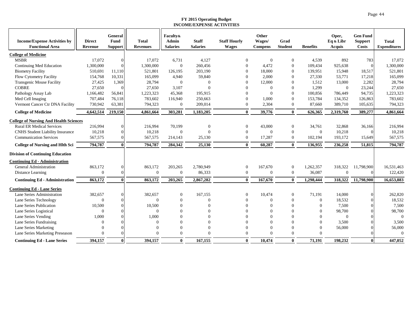|                                                               | <b>Direct</b> | General<br>Fund | <b>Total</b>     | <b>Faculty&amp;</b><br>Admin | <b>Staff</b>    | <b>Staff Hourly</b> | Other                    | Grad           |                  | Oper,                      | <b>Gen Fund</b>         | <b>Total</b>        |
|---------------------------------------------------------------|---------------|-----------------|------------------|------------------------------|-----------------|---------------------|--------------------------|----------------|------------------|----------------------------|-------------------------|---------------------|
| <b>Income/Expense Activities by</b><br><b>Functional Area</b> | Revenue       |                 | <b>Revenues</b>  | <b>Salaries</b>              | <b>Salaries</b> | <b>Wages</b>        | Wages/<br><b>Compens</b> | <b>Student</b> | <b>Benefits</b>  | Eq & Libr<br><b>Acquis</b> | <b>Support</b><br>Costs | <b>Expenditures</b> |
|                                                               |               | <b>Support</b>  |                  |                              |                 |                     |                          |                |                  |                            |                         |                     |
| <b>College of Medicine</b>                                    |               |                 |                  |                              |                 |                     |                          |                |                  |                            |                         |                     |
| <b>MSBR</b>                                                   | 17,072        |                 | 17,072           | 6,731                        | 4,127           | $\theta$            | $\overline{0}$           | $\overline{0}$ | 4,539            | 892                        | 783                     | 17,072              |
| Continuing Med Education                                      | 1,300,000     | 0               | 1,300,000        | $\overline{0}$               | 260,456         | $\Omega$            | 4.472                    | $\overline{0}$ | 109,434          | 925,638                    | $\Omega$                | 1,300,000           |
| <b>Biometry Facility</b>                                      | 510,691       | 11,110          | 521,801          | 126,195                      | 203,190         | $\Omega$            | 18,000                   | $\overline{0}$ | 139,951          | 15,948                     | 18,517                  | 521,801             |
| Flow Cytometry Facility                                       | 154,768       | 10,331          | 165,099          | 4,940                        | 59,840          | $\Omega$            | 2,000                    | $\Omega$       | 27,330           | 53,771                     | 17,218                  | 165,099             |
| Transgenic Mouse Facility                                     | 27,425        | 1,369           | 28,794           | $\Omega$                     | $\Omega$        | $\Omega$            | 12,000                   | $\theta$       | 1,512            | 13,000                     | 2,282                   | 28,794              |
| <b>COBRE</b>                                                  | 27,650        |                 | 27,650           | 3,107                        |                 | $\Omega$            | $\Omega$                 | $\mathbf{0}$   | 1,299            | $\mathbf{0}$               | 23,244                  | 27,650              |
| Pathology Assay Lab                                           | 1,166,482     | 56,841          | 1,223,323        | 45,368                       | 195,915         | $\Omega$            | $\Omega$                 | $\Omega$       | 100,856          | 786,449                    | 94,735                  | 1,223,323           |
| Med Cell Imaging                                              | 707,484       | 76,118          | 783,602          | 116,940                      | 250,663         | $\Omega$            | 1,000                    | $\overline{0}$ | 153,784          | 134,352                    | 126,863                 | 783,602             |
| Vermont Cancer Ctr DNA Facility                               | 730,942       | 63,381          | 794,323          | $\boldsymbol{0}$             | 209,014         | $\mathbf{0}$        | 2,304                    | $\overline{0}$ | 87,660           | 389,710                    | 105,635                 | 794,323             |
| <b>College of Medicine</b>                                    | 4,642,514     | 219,150         | 4,861,664        | 303,281                      | 1,183,205       | $\mathbf{0}$        | 39,776                   | $\mathbf{0}$   | 626,365          | 2,319,760                  | 389,277                 | 4,861,664           |
| <b>College of Nursing And Health Sciences</b>                 |               |                 |                  |                              |                 |                     |                          |                |                  |                            |                         |                     |
| <b>Rural ER Medical Services</b>                              | 216,994       |                 | 216,994          | 70,199                       | $\mathbf{0}$    | $\theta$            | 43,000                   | $\overline{0}$ | 34,761           | 32,868                     | 36,166                  | 216,994             |
| <b>CNHS</b> Student Liability Insurance                       | 10,218        |                 | 10,218           | $\overline{0}$               | $\Omega$        | $\mathbf{0}$        | $\overline{0}$           | $\mathbf{0}$   | $\mathbf{0}$     | 10,218                     | $\Omega$                | 10,218              |
| <b>Communication Services</b>                                 | 567,575       |                 | 567,575          | 214,143                      | 25,130          | $\mathbf{0}$        | 17,287                   | $\overline{0}$ | 102,194          | 193,172                    | 15,649                  | 567,575             |
| <b>College of Nursing and Hlth Sci</b>                        | 794,787       |                 | 794,787          | 284,342                      | 25,130          | $\mathbf{0}$        | 60,287                   | $\mathbf{0}$   | 136,955          | 236,258                    | 51,815                  | 794,787             |
| <b>Division of Continuing Education</b>                       |               |                 |                  |                              |                 |                     |                          |                |                  |                            |                         |                     |
| <b>Continuing Ed - Administration</b>                         |               |                 |                  |                              |                 |                     |                          |                |                  |                            |                         |                     |
| <b>General Administration</b>                                 | 863,172       |                 | 863,172          | 203,265                      | 2,780,949       | $\boldsymbol{0}$    | 167,670                  | $\overline{0}$ | 1,262,357        | 318,322                    | 11,798,900              | 16,531,463          |
| Distance Learning                                             | $\Omega$      |                 | $\boldsymbol{0}$ | $\boldsymbol{0}$             | 86,333          | $\overline{0}$      | $\overline{0}$           | $\mathbf{0}$   | 36,087           | $\mathbf{0}$               | $\Omega$                | 122,420             |
| <b>Continuing Ed - Administration</b>                         | 863,172       |                 | 863,172          | 203,265                      | 2,867,282       | $\mathbf{0}$        | 167,670                  | $\mathbf{0}$   | 1,298,444        | 318,322                    | 11,798,900              | 16,653,883          |
| <b>Continuing Ed - Lane Series</b>                            |               |                 |                  |                              |                 |                     |                          |                |                  |                            |                         |                     |
| Lane Series Administration                                    | 382,657       |                 | 382,657          | $\mathbf{0}$                 | 167,155         | $\Omega$            | 10,474                   | $\overline{0}$ | 71,191           | 14,000                     | $\Omega$                | 262,820             |
| Lane Series Technology                                        | $\Omega$      |                 | $\mathbf{0}$     | $\overline{0}$               | $\Omega$        | $\Omega$            | $\Omega$                 | $\overline{0}$ | $\boldsymbol{0}$ | 18,532                     | $\Omega$                | 18,532              |
| Lane Series Publication                                       | 10,500        |                 | 10,500           | $\Omega$                     |                 | $\Omega$            | $\Omega$                 | $\Omega$       | $\overline{0}$   | 7,500                      | $\Omega$                | 7,500               |
| Lane Series Logistical                                        | $\Omega$      |                 | $\Omega$         | $\Omega$                     |                 |                     | $\Omega$                 | $\Omega$       | $\Omega$         | 98,700                     |                         | 98,700              |
| Lane Series Vending                                           | 1,000         |                 | 1,000            | $\Omega$                     |                 | $\Omega$            | $\Omega$                 | $\Omega$       | $\Omega$         | $\Omega$                   | $\Omega$                | $\mathbf{0}$        |
| Lane Series Fundraising                                       | $\Omega$      |                 | $\Omega$         | $\Omega$                     |                 | $\Omega$            | $\Omega$                 | $\Omega$       | $\Omega$         | 3,500                      | $\Omega$                | 3,500               |
| Lane Series Marketing                                         |               |                 | $\Omega$         | $\overline{0}$               |                 | $\Omega$            | $\Omega$                 | $\Omega$       | $\Omega$         | 56,000                     | $\Omega$                | 56,000              |
| Lane Series Marketing Preseason                               |               |                 | $\Omega$         | $\Omega$                     |                 | $\Omega$            | $\Omega$                 | $\Omega$       | 0                |                            |                         | $\Omega$            |
| <b>Continuing Ed - Lane Series</b>                            | 394,157       | 0               | 394,157          | $\mathbf{0}$                 | 167,155         | $\mathbf{0}$        | 10.474                   | $\mathbf{0}$   | 71,191           | 198,232                    | $\mathbf{0}$            | 447,052             |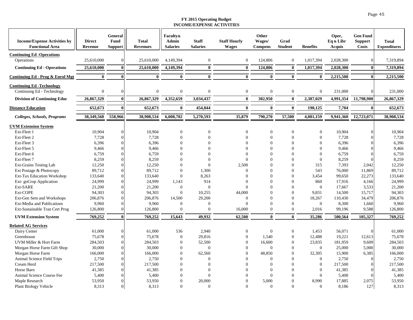| <b>Income/Expense Activities by</b><br><b>Functional Area</b> | <b>Direct</b><br>Revenue | General<br>Fund<br><b>Support</b> | <b>Total</b><br><b>Revenues</b> | <b>Faculty&amp;</b><br><b>Admin</b><br><b>Salaries</b> | <b>Staff</b><br><b>Salaries</b> | <b>Staff Hourly</b><br><b>Wages</b> | Other<br>Wages/<br><b>Compens</b> | Grad<br><b>Student</b> | <b>Benefits</b>  | Oper,<br>Eq & Libr<br>Acquis | <b>Gen Fund</b><br><b>Support</b><br><b>Costs</b> | <b>Total</b><br><b>Expenditures</b> |
|---------------------------------------------------------------|--------------------------|-----------------------------------|---------------------------------|--------------------------------------------------------|---------------------------------|-------------------------------------|-----------------------------------|------------------------|------------------|------------------------------|---------------------------------------------------|-------------------------------------|
| <b>Continuing Ed -Operations</b>                              |                          |                                   |                                 |                                                        |                                 |                                     |                                   |                        |                  |                              |                                                   |                                     |
| Operations                                                    | 25,610,000               | $\Omega$                          | 25,610,000                      | 4,149,394                                              | $\overline{0}$                  | $\mathbf{0}$                        | 124,806                           | $\overline{0}$         | 1,017,394        | 2,028,300                    | $\Omega$                                          | 7,319,894                           |
| <b>Continuing Ed - Operations</b>                             | 25,610,000               | 0                                 | 25,610,000                      | 4,149,394                                              | $\mathbf{0}$                    | $\mathbf{0}$                        | 124,806                           | $\mathbf{0}$           | 1,017,394        | 2,028,300                    | $\mathbf{0}$                                      | 7,319,894                           |
| Continuing Ed - Prog & Enrol Mgt                              | $\mathbf{0}$             | 0                                 | $\bf{0}$                        | $\bf{0}$                                               | $\bf{0}$                        | $\bf{0}$                            | $\bf{0}$                          | $\bf{0}$               | $\bf{0}$         | 2,215,500                    | $\mathbf{0}$                                      | 2,215,500                           |
| <b>Continuing Ed-Technology</b>                               |                          |                                   |                                 |                                                        |                                 |                                     |                                   |                        |                  |                              |                                                   |                                     |
| Continuing Ed - Technology                                    | $\Omega$                 |                                   | $\mathbf{0}$                    | $\overline{0}$                                         | $\overline{0}$                  | $\mathbf{0}$                        | $\mathbf{0}$                      | $\overline{0}$         | $\mathbf{0}$     | 231,000                      | $\Omega$                                          | 231,000                             |
| <b>Division of Continuing Educ</b>                            | 26,867,329               | $\mathbf{0}$                      | 26,867,329                      | 4,352,659                                              | 3,034,437                       | $\bf{0}$                            | 302,950                           | $\mathbf{0}$           | 2,387,029        | 4,991,354                    | 11,798,900                                        | 26,867,329                          |
| <b>Distance Education</b>                                     | 652,673                  | 0                                 | 652,673                         | $\bf{0}$                                               | 454,844                         | $\bf{0}$                            | $\bf{0}$                          | $\bf{0}$               | 190,125          | 7,704                        | $\mathbf{0}$                                      | 652,673                             |
| Colleges, Schools, Programs                                   | 38,349,568               | 558,966                           | 38,908,534                      | 6,008,702                                              | 5,270,593                       | 35,879                              | 790,270                           | 57,500                 | 4,081,159        | 9,941,360                    | 12,723,071                                        | 38,908,534                          |
| <b>UVM Extension System</b>                                   |                          |                                   |                                 |                                                        |                                 |                                     |                                   |                        |                  |                              |                                                   |                                     |
| Ext-Fleet 1                                                   | 10,904                   | 0                                 | 10,904                          | $\overline{0}$                                         | $\overline{0}$                  | $\mathbf{0}$                        | $\Omega$                          | $\theta$               | $\mathbf{0}$     | 10,904                       | $\Omega$                                          | 10.904                              |
| Ext-Fleet 2                                                   | 7,728                    |                                   | 7,728                           | $\mathbf{0}$                                           | $\Omega$                        | $\Omega$                            | $\overline{0}$                    | $\Omega$               | $\Omega$         | 7,728                        | $\Omega$                                          | 7,728                               |
| Ext-Fleet 3                                                   | 6,396                    |                                   | 6,396                           | $\mathbf{0}$                                           | $\Omega$                        | $\Omega$                            | $\mathbf{0}$                      | $\Omega$               | $\Omega$         | 6,396                        |                                                   | 6,396                               |
| Ext-Fleet 5                                                   | 9,466                    |                                   | 9,466                           | $\mathbf{0}$                                           | $\Omega$                        | $\Omega$                            | $\Omega$                          | $\Omega$               | $\Omega$         | 9,466                        | $\Omega$                                          | 9,466                               |
| Ext-Fleet 6                                                   | 6,759                    |                                   | 6,759                           | $\mathbf{0}$                                           | $\Omega$                        | $\Omega$                            | $\Omega$                          | $\Omega$               | $\Omega$         | 6,759                        |                                                   | 6,759                               |
| Ext-Fleet 7                                                   | 8,259                    |                                   | 8,259                           | $\boldsymbol{0}$                                       | $\Omega$                        | $\Omega$                            | $\Omega$                          | $\Omega$               | $\Omega$         | 8,259                        |                                                   | 8,259                               |
| Ext-Grains Testing Lab                                        | 12,250                   |                                   | 12,250                          | $\mathbf{0}$                                           | $\Omega$                        | 2,500                               | $\Omega$                          | $\Omega$               | 315              | 7,393                        | 2,042                                             | 12,250                              |
| Ext Postage & Photocopy                                       | 89,712                   |                                   | 89,712                          | $\Omega$                                               | 1,300                           | $\Omega$                            | $\Omega$                          | $\Omega$               | 543              | 76,000                       | 11,869                                            | 89,712                              |
| <b>Ext-Tax Education Workshop</b>                             | 133,640                  |                                   | 133,640                         | $\mathbf{0}$                                           | 8,263                           | $\Omega$                            | $\Omega$                          | $\Omega$               | 3,454            | 99,650                       | 22,273                                            | 133,640                             |
| Ext-goCrop Application                                        | 24,999                   |                                   | 24,999                          | 1,143                                                  | 914                             | $\Omega$                            | $\Omega$                          | $\Omega$               | 860              | 17,916                       | 4,166                                             | 24,999                              |
| Ext-SARE                                                      | 21,200                   |                                   | 21,200                          | $\bf{0}$                                               | $\overline{0}$                  | $\Omega$                            | $\Omega$                          | $\Omega$               | $\boldsymbol{0}$ | 17,667                       | 3,533                                             | 21,200                              |
| Ext-COPE                                                      | 94,303                   |                                   | 94,303                          | $\bf{0}$                                               | 10,255                          | 44,000                              | $\mathbf{0}$                      | $\Omega$               | 9,831            | 14,500                       | 15,717                                            | 94,303                              |
| Ext-Gen Sem and Workshops                                     | 206,876                  |                                   | 206,876                         | 14,500                                                 | 29,200                          | $\Omega$                            | $\Omega$                          | $\Omega$               | 18,267           | 110,430                      | 34,479                                            | 206,876                             |
| Ext-Media and Publications                                    | 9,960                    |                                   | 9,960                           | $\overline{0}$                                         | $\overline{0}$                  | $\Omega$                            | $\Omega$                          | $\Omega$               | $\mathbf{0}$     | 8,300                        | 1,660                                             | 9.960                               |
| Ext-Sustainable Tran Cert Prog                                | 126,800                  |                                   | 126,800                         | $\Omega$                                               | $\overline{0}$                  | 16,000                              | $\overline{0}$                    | $\overline{0}$         | 2,016            | 99,196                       | 9,588                                             | 126,800                             |
| <b>UVM Extension System</b>                                   | 769,252                  | $\bf{0}$                          | 769,252                         | 15,643                                                 | 49,932                          | 62,500                              | $\mathbf{0}$                      | $\bf{0}$               | 35,286           | 500,564                      | 105,327                                           | 769,252                             |
| <b>Related AG Services</b>                                    |                          |                                   |                                 |                                                        |                                 |                                     |                                   |                        |                  |                              |                                                   |                                     |
| Dairy Center                                                  | 61,000                   | $\Omega$                          | 61,000                          | 536                                                    | 2,940                           | $\Omega$                            | $\Omega$                          | $\boldsymbol{0}$       | 1,453            | 56,071                       | $\Omega$                                          | 61,000                              |
| Greenhouse                                                    | 75,678                   |                                   | 75,678                          | $\mathbf{0}$                                           | 29,816                          | $\mathbf{0}$                        | 1,540                             | $\Omega$               | 12,488           | 19,221                       | 12,613                                            | 75,678                              |
| UVM Miller & Hort Farm                                        | 284,503                  |                                   | 284,503                         | $\mathbf{0}$                                           | 52,500                          | $\mathbf{0}$                        | 16,600                            | $\theta$               | 23,835           | 181,959                      | 9,609                                             | 284,503                             |
| Morgan Horse Farm Gift Shop                                   | 30,000                   |                                   | 30,000                          | $\mathbf{0}$                                           | $\overline{0}$                  | $\Omega$                            | $\mathbf{0}$                      | $\Omega$               | $\mathbf{0}$     | 25,000                       | 5,000                                             | 30,000                              |
| Morgan Horse Farm                                             | 166,000                  |                                   | 166,000                         | $\boldsymbol{0}$                                       | 62,560                          | $\theta$                            | 48,850                            | $\Omega$               | 32,305           | 15,900                       | 6,385                                             | 166,000                             |
| Animal Science Field Trips                                    | 2,750                    |                                   | 2,750                           | $\boldsymbol{0}$                                       | $\overline{0}$                  | $\Omega$                            | $\overline{0}$                    | $\theta$               | $\mathbf{0}$     | 2,750                        | $\Omega$                                          | 2,750                               |
| Cream Herd                                                    | 217,500                  |                                   | 217,500                         | $\mathbf{0}$                                           | $\Omega$                        | $\Omega$                            | $\overline{0}$                    | $\Omega$               | $\mathbf{0}$     | 217,500                      | $\Omega$                                          | 217,500                             |
| Horse Barn                                                    | 41,385                   |                                   | 41,385                          | $\theta$                                               | $\Omega$                        | $\Omega$                            | $\Omega$                          | $\Omega$               | $\Omega$         | 41,385                       |                                                   | 41,385                              |
| Animal Science Course Fee                                     | 5,400                    |                                   | 5,400                           | $\Omega$                                               | $\Omega$                        | $\Omega$                            | $\Omega$                          | $\Omega$               | $\Omega$         | 5,400                        |                                                   | 5,400                               |
| Maple Research                                                | 53,950                   | 0                                 | 53,950                          | $\mathbf{0}$                                           | 20,000                          | $\Omega$                            | 5,000                             | $\Omega$               | 8,990            | 17,885                       | 2,075                                             | 53,950                              |
| <b>Plant Biology Vehicle</b>                                  | 8,313                    | $\overline{0}$                    | 8,313                           | $\Omega$                                               | $\Omega$                        | $\Omega$                            | $\theta$                          | $\Omega$               | $\Omega$         | 8,186                        | 127                                               | 8,313                               |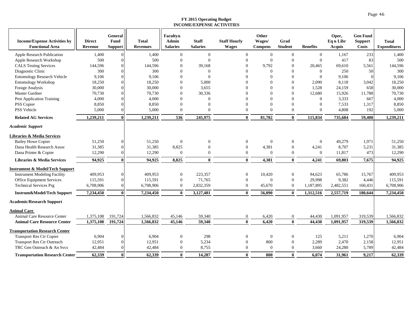| <b>Income/Expense Activities by</b><br><b>Functional Area</b>                                                                                   | <b>Direct</b><br><b>Revenue</b> | General<br>Fund<br>Support | <b>Total</b><br><b>Revenues</b> | <b>Faculty&amp;</b><br>Admin<br><b>Salaries</b> | <b>Staff</b><br><b>Salaries</b> | <b>Staff Hourly</b><br><b>Wages</b>        | Other<br>Wages/<br><b>Compens</b> | Grad<br><b>Student</b>                           | <b>Benefits</b>               | Oper,<br>Eq & Libr<br><b>Acquis</b> | <b>Gen Fund</b><br><b>Support</b><br><b>Costs</b> | <b>Total</b><br><b>Expenditures</b> |
|-------------------------------------------------------------------------------------------------------------------------------------------------|---------------------------------|----------------------------|---------------------------------|-------------------------------------------------|---------------------------------|--------------------------------------------|-----------------------------------|--------------------------------------------------|-------------------------------|-------------------------------------|---------------------------------------------------|-------------------------------------|
| Apple Research Publication                                                                                                                      | 1,400                           | $\Omega$                   | 1,400                           | $\overline{0}$                                  | $\mathbf{0}$                    | $\overline{0}$                             | $\mathbf{0}$                      | $\mathbf{0}$                                     | $\mathbf{0}$                  | 1,167                               | 233                                               | 1,400                               |
| Apple Research Workshop                                                                                                                         | 500                             | $\Omega$                   | 500                             | $\overline{0}$                                  | $\Omega$                        | $\Omega$                                   | $\Omega$                          | $\mathbf{0}$                                     | $\Omega$                      | 417                                 | 83                                                | 500                                 |
| <b>CALS Testing Services</b>                                                                                                                    | 144,596                         |                            | 144,596                         | $\boldsymbol{0}$                                | 39,168                          | $\Omega$                                   | 9,792                             | $\Omega$                                         | 20,465                        | 69,610                              | 5,561                                             | 144,596                             |
| Diagnostic Clinic                                                                                                                               | 300                             |                            | 300                             | $\Omega$                                        | $\Omega$                        |                                            | $\Omega$                          | $\Omega$                                         | $\mathbf{0}$                  | 250                                 | 50                                                | 300                                 |
| <b>Entomology Research Vehicle</b>                                                                                                              | 9,106                           |                            | 9,106                           | $\Omega$                                        | $\Omega$                        |                                            | $\Omega$                          | $\Omega$                                         | $\Omega$                      | 9,106                               | $\Omega$                                          | 9,106                               |
| <b>Entomology Workshop</b>                                                                                                                      | 18,250                          | $\Omega$                   | 18,250                          | $\Omega$                                        | 5,000                           |                                            | $\Omega$                          | $\Omega$                                         | 2,090                         | 8,118                               | 3,042                                             | 18,250                              |
| Forage Analysis                                                                                                                                 | 30,000                          | $\Omega$                   | 30,000                          | $\bf{0}$                                        | 3,655                           |                                            | $\Omega$                          | $\Omega$                                         | 1,528                         | 24,159                              | 658                                               | 30,000                              |
| Master Gardner                                                                                                                                  | 70,730                          |                            | 70,730                          | $\boldsymbol{0}$                                | 30,336                          |                                            | $\Omega$                          | $\Omega$                                         | 12,680                        | 15,926                              | 11,788                                            | 70,730                              |
| <b>Pest Application Training</b>                                                                                                                | 4,000                           |                            | 4,000                           | $\overline{0}$                                  | $\Omega$                        |                                            | $\Omega$                          | $\Omega$                                         | $\overline{0}$                | 3,333                               | 667                                               | 4,000                               |
| PSS Copier                                                                                                                                      | 8,850                           |                            | 8,850                           | $\overline{0}$                                  | $\Omega$                        |                                            | $\Omega$                          | $\Omega$                                         | $\Omega$                      | 7,533                               | 1,317                                             | 8,850                               |
| <b>PSS Vehicle</b>                                                                                                                              | 5,000                           | ∩                          | 5,000                           | $\overline{0}$                                  | $\Omega$                        | $\Omega$                                   | $\Omega$                          | $\Omega$                                         | $\Omega$                      | 4,808                               | 192                                               | 5,000                               |
| <b>Related AG Services</b>                                                                                                                      | 1,239,211                       | $\mathbf{0}$               | 1,239,211                       | 536                                             | 245,975                         | $\mathbf{0}$                               | 81,782                            | $\mathbf{0}$                                     | 115,834                       | 735,684                             | 59,400                                            | 1,239,211                           |
| <b>Academic Support</b>                                                                                                                         |                                 |                            |                                 |                                                 |                                 |                                            |                                   |                                                  |                               |                                     |                                                   |                                     |
| Libraries & Media Services                                                                                                                      |                                 |                            |                                 |                                                 |                                 |                                            |                                   |                                                  |                               |                                     |                                                   |                                     |
| <b>Bailey Howe Copier</b>                                                                                                                       | 51,250                          | $\Omega$                   | 51,250                          | $\overline{0}$                                  | $\Omega$                        | $\theta$                                   | $\mathbf{0}$                      | $\overline{0}$                                   | $\overline{0}$                | 49,279                              | 1,971                                             | 51,250                              |
| Dana Health Research Assoc                                                                                                                      | 31,385                          | $\Omega$                   | 31,385                          | 8,825                                           | $\Omega$                        | $\overline{0}$                             | 4,381                             | $\mathbf{0}$                                     | 4,241                         | 8,707                               | 5,231                                             | 31,385                              |
| Dana Printer & Copier                                                                                                                           | 12,290                          | 0                          | 12,290                          | $\overline{0}$                                  | $\mathbf{0}$                    | $\theta$                                   | $\theta$                          | $\mathbf{0}$                                     | $\mathbf{0}$                  | 11,817                              | 473                                               | 12,290                              |
| Libraries & Media Services                                                                                                                      | 94,925                          | $\bf{0}$                   | 94,925                          | 8,825                                           | $\mathbf{0}$                    | $\mathbf{0}$                               | 4,381                             | $\mathbf{0}$                                     | 4,241                         | 69.803                              | 7.675                                             | 94,925                              |
| <b>Instrument &amp; Model/Tech Support</b><br><b>Instrument Modeling Facility</b><br>Office Equipment Services<br><b>Technical Services Prg</b> | 409,953<br>115,591<br>6,708,906 | $\Omega$                   | 409,953<br>115,591<br>6,708,906 | $\overline{0}$<br>$\bf{0}$<br>$\overline{0}$    | 223,357<br>71,765<br>2,832,359  | $\overline{0}$<br>$\theta$<br>$\mathbf{0}$ | 10,420<br>$\Omega$<br>45,670      | $\mathbf{0}$<br>$\mathbf{0}$<br>$\boldsymbol{0}$ | 94,623<br>29,998<br>1,187,895 | 65,786<br>9,382<br>2,482,551        | 15,767<br>4,446<br>160,431                        | 409,953<br>115,591<br>6,708,906     |
|                                                                                                                                                 |                                 |                            |                                 |                                                 |                                 |                                            |                                   |                                                  |                               |                                     |                                                   |                                     |
| Instrum&Model/Tech Support                                                                                                                      | 7,234,450                       | $\mathbf{0}$               | 7,234,450                       | $\mathbf{0}$                                    | 3,127,481                       | $\mathbf{0}$                               | 56,090                            | $\mathbf{0}$                                     | 1,312,516                     | 2,557,719                           | 180,644                                           | 7,234,450                           |
| <b>Academic/Research Support</b>                                                                                                                |                                 |                            |                                 |                                                 |                                 |                                            |                                   |                                                  |                               |                                     |                                                   |                                     |
| <b>Animal Care</b>                                                                                                                              |                                 |                            |                                 |                                                 |                                 |                                            |                                   |                                                  |                               |                                     |                                                   |                                     |
| Animal Care Resource Center                                                                                                                     | 1,375,108                       | 191,724                    | 1,566,832                       | 45,146                                          | 59,340                          | $\overline{0}$                             | 6,420                             | $\boldsymbol{0}$                                 | 44,430                        | 1,091,957                           | 319,539                                           | 1,566,832                           |
| <b>Animal Care Resource Center</b>                                                                                                              | 1,375,108                       | 191,724                    | 1,566,832                       | 45,146                                          | 59,340                          | $\mathbf{0}$                               | 6.420                             | $\mathbf{0}$                                     | 44,430                        | 1.091.957                           | 319,539                                           | 1,566,832                           |
| <b>Transportation Research Center</b>                                                                                                           |                                 |                            |                                 |                                                 |                                 |                                            |                                   |                                                  |                               |                                     |                                                   |                                     |
| <b>Transport Res Ctr Copier</b>                                                                                                                 | 6,904                           | $\Omega$                   | 6,904                           | $\mathbf{0}$                                    | 298                             | $\theta$                                   | $\mathbf{0}$                      | $\mathbf{0}$                                     | 125                           | 5,211                               | 1,270                                             | 6,904                               |
| <b>Transport Res Ctr Outreach</b>                                                                                                               | 12,951                          |                            | 12,951                          | $\boldsymbol{0}$                                | 5,234                           | $\Omega$                                   | 800                               | $\mathbf{0}$                                     | 2,289                         | 2,470                               | 2,158                                             | 12,951                              |
| TRC Gen Outreach & An Svcs                                                                                                                      | 42,484                          |                            | 42,484                          | $\boldsymbol{0}$                                | 8,755                           | $\theta$                                   | $\boldsymbol{0}$                  | $\boldsymbol{0}$                                 | 3,660                         | 24,280                              | 5,789                                             | 42,484                              |
| <b>Transportation Research Center</b>                                                                                                           | 62,339                          | $\bf{0}$                   | 62,339                          | $\bf{0}$                                        | 14,287                          | $\mathbf{0}$                               | 800                               | $\mathbf{0}$                                     | 6,074                         | 31,961                              | 9,217                                             | 62,339                              |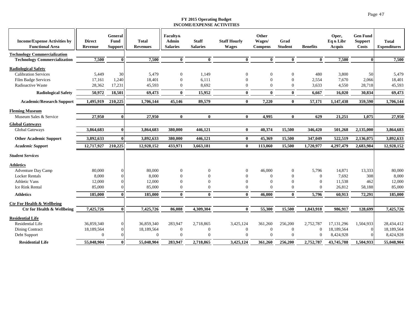| <b>Income/Expense Activities by</b><br><b>Functional Area</b> | <b>Direct</b><br>Revenue | General<br>Fund<br><b>Support</b> | <b>Total</b><br><b>Revenues</b> | <b>Faculty&amp;</b><br><b>Admin</b><br><b>Salaries</b> | <b>Staff</b><br><b>Salaries</b> | <b>Staff Hourly</b><br><b>Wages</b> | Other<br>Wages/<br><b>Compens</b> | Grad<br><b>Student</b> | <b>Benefits</b>  | Oper,<br>Eq & Libr<br>Acquis | <b>Gen Fund</b><br><b>Support</b><br><b>Costs</b> | <b>Total</b><br><b>Expenditures</b> |
|---------------------------------------------------------------|--------------------------|-----------------------------------|---------------------------------|--------------------------------------------------------|---------------------------------|-------------------------------------|-----------------------------------|------------------------|------------------|------------------------------|---------------------------------------------------|-------------------------------------|
| <b>Technology Commercialization</b>                           |                          |                                   |                                 |                                                        |                                 |                                     |                                   |                        |                  |                              |                                                   |                                     |
| <b>Technology Commercialization</b>                           | 7,500                    | 0                                 | 7,500                           | $\bf{0}$                                               | $\bf{0}$                        | $\bf{0}$                            | $\bf{0}$                          | $\mathbf{0}$           | $\bf{0}$         | 7,500                        | 0l                                                | 7,500                               |
| <b>Radiological Safety</b>                                    |                          |                                   |                                 |                                                        |                                 |                                     |                                   |                        |                  |                              |                                                   |                                     |
| <b>Calibration Services</b>                                   | 5,449                    | 30                                | 5,479                           | $\theta$                                               | 1,149                           | $\Omega$                            | $\Omega$                          | $\mathbf{0}$           | 480              | 3,800                        | 50                                                | 5,479                               |
| Film Badge Services                                           | 17,161                   | 1,240                             | 18,401                          | $\overline{0}$                                         | 6,111                           | $\Omega$                            | $\Omega$                          | $\Omega$               | 2,554            | 7,670                        | 2,066                                             | 18,401                              |
| Radioactive Waste                                             | 28,362                   | 17,231                            | 45,593                          | $\overline{0}$                                         | 8,692                           | $\Omega$                            | $\Omega$                          | $\mathbf{0}$           | 3,633            | 4,550                        | 28,718                                            | 45,593                              |
| <b>Radiological Safety</b>                                    | 50,972                   | 18,501                            | 69,473                          | $\bf{0}$                                               | 15,952                          | $\mathbf{0}$                        | $\mathbf{0}$                      | $\bf{0}$               | 6,667            | 16,020                       | 30,834                                            | 69,473                              |
| <b>Academic/Research Support</b>                              | 1,495,919                | 210,225                           | 1,706,144                       | 45,146                                                 | 89,579                          | $\mathbf{0}$                        | 7,220                             | $\bf{0}$               | 57,171           | 1,147,438                    | 359,590                                           | 1,706,144                           |
| <b>Fleming Museum</b>                                         |                          |                                   |                                 |                                                        |                                 |                                     |                                   |                        |                  |                              |                                                   |                                     |
| Museum Sales & Service                                        | 27,950                   | $\bf{0}$                          | 27,950                          | $\mathbf{0}$                                           | $\bf{0}$                        | $\bf{0}$                            | 4,995                             | $\bf{0}$               | 629              | 21,251                       | 1,075                                             | 27,950                              |
| <b>Global Gateways</b>                                        |                          |                                   |                                 |                                                        |                                 |                                     |                                   |                        |                  |                              |                                                   |                                     |
| Global Gateways                                               | 3,864,683                | $\bf{0}$                          | 3,864,683                       | 380,000                                                | 446,121                         | $\bf{0}$                            | 40,374                            | 15,500                 | 346,420          | 501,268                      | 2,135,000                                         | 3,864,683                           |
| <b>Other Academic Support</b>                                 | 3,892,633                | $\mathbf{0}$                      | 3,892,633                       | 380,000                                                | 446,121                         | $\mathbf{0}$                        | 45,369                            | 15,500                 | 347,049          | 522,519                      | 2,136,075                                         | 3,892,633                           |
|                                                               |                          |                                   |                                 |                                                        |                                 |                                     |                                   |                        |                  |                              |                                                   |                                     |
| <b>Academic Support</b>                                       | 12,717,927               | 210,225                           | 12,928,152                      | 433,971                                                | 3,663,181                       | $\mathbf{0}$                        | 113,060                           | 15,500                 | 1,720,977        | 4,297,479                    | 2,683,984                                         | 12,928,152                          |
| <b>Student Services</b>                                       |                          |                                   |                                 |                                                        |                                 |                                     |                                   |                        |                  |                              |                                                   |                                     |
| <b>Athletics</b>                                              |                          |                                   |                                 |                                                        |                                 |                                     |                                   |                        |                  |                              |                                                   |                                     |
| <b>Adventure Day Camp</b>                                     | 80,000                   |                                   | 80,000                          | $\overline{0}$                                         | $\boldsymbol{0}$                | $\Omega$                            | 46,000                            | $\mathbf{0}$           | 5,796            | 14,871                       | 13,333                                            | 80,000                              |
| <b>Locker Rentals</b>                                         | 8,000                    |                                   | 8,000                           | $\overline{0}$                                         | $\Omega$                        |                                     | $\Omega$                          | $\Omega$               | $\mathbf{0}$     | 7,692                        | 308                                               | 8,000                               |
| <b>Athletic Vans</b>                                          | 12,000                   |                                   | 12,000                          | $\Omega$                                               | $\Omega$                        |                                     | $\Omega$                          | $\Omega$               | $\Omega$         | 11,538                       | 462                                               | 12,000                              |
| <b>Ice Rink Rental</b>                                        | 85,000                   |                                   | 85,000                          | $\overline{0}$                                         | $\Omega$                        |                                     | $\Omega$                          | $\Omega$               | $\Omega$         | 26,812                       | 58,188                                            | 85,000                              |
| <b>Athletics</b>                                              | 185,000                  |                                   | 185,000                         | $\mathbf{0}$                                           | $\bf{0}$                        | $\mathbf{0}$                        | 46,000                            | $\mathbf{0}$           | 5,796            | 60,913                       | 72,291                                            | 185,000                             |
| <b>Ctr For Health &amp; Wellbeing</b>                         |                          |                                   |                                 |                                                        |                                 |                                     |                                   |                        |                  |                              |                                                   |                                     |
| <b>Ctr for Health &amp; Wellbeing</b>                         | 7,425,726                |                                   | 7,425,726                       | 86,088                                                 | 4,309,304                       | $\mathbf{0}$                        | 55,300                            | 15,500                 | 1,843,918        | 986,917                      | 128,699                                           | 7,425,726                           |
| <b>Residential Life</b>                                       |                          |                                   |                                 |                                                        |                                 |                                     |                                   |                        |                  |                              |                                                   |                                     |
| <b>Residential Life</b>                                       | 36,859,340               |                                   | 36,859,340                      | 283,947                                                | 2,718,865                       | 3,425,124                           | 361,260                           | 256,200                | 2,752,787        | 17,131,296                   | 1,504,933                                         | 28,434,412                          |
| Dining Contract                                               | 18,189,564               |                                   | 18,189,564                      | $\bf{0}$                                               | 0                               | $\mathbf{0}$                        | $\overline{0}$                    | $\overline{0}$         | $\boldsymbol{0}$ | 18,189,564                   | $\Omega$                                          | 18,189,564                          |
| Debt Support                                                  | $\Omega$                 |                                   | $\boldsymbol{0}$                | $\overline{0}$                                         | $\Omega$                        | $\Omega$                            | $\Omega$                          | $\theta$               | $\boldsymbol{0}$ | 8,424,928                    |                                                   | 8,424,928                           |
| <b>Residential Life</b>                                       | 55,048,904               | $\bf{0}$                          | 55,048,904                      | 283,947                                                | 2.718.865                       | 3,425,124                           | 361.260                           | 256,200                | 2,752,787        | 43,745,788                   | 1,504,933                                         | 55,048,904                          |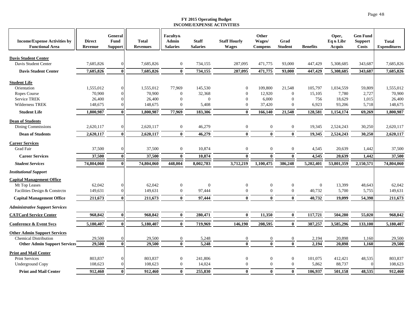| <b>Income/Expense Activities by</b><br><b>Functional Area</b> | <b>Direct</b><br><b>Revenue</b> | General<br>Fund<br>Support | <b>Total</b><br><b>Revenues</b> | <b>Faculty&amp;</b><br><b>Admin</b><br><b>Salaries</b> | <b>Staff</b><br><b>Salaries</b> | <b>Staff Hourly</b><br><b>Wages</b> | Other<br>Wages/<br><b>Compens</b> | Grad<br><b>Student</b> | <b>Benefits</b> | Oper,<br>Eq & Libr<br>Acquis | <b>Gen Fund</b><br><b>Support</b><br><b>Costs</b> | <b>Total</b><br><b>Expenditures</b> |
|---------------------------------------------------------------|---------------------------------|----------------------------|---------------------------------|--------------------------------------------------------|---------------------------------|-------------------------------------|-----------------------------------|------------------------|-----------------|------------------------------|---------------------------------------------------|-------------------------------------|
| <b>Davis Student Center</b>                                   |                                 |                            |                                 |                                                        |                                 |                                     |                                   |                        |                 |                              |                                                   |                                     |
| Davis Student Center                                          | 7.685.826                       | $\Omega$                   | 7.685.826                       | $\boldsymbol{0}$                                       | 734,155                         | 287,095                             | 471,775                           | 93,000                 | 447,429         | 5,308,685                    | 343,687                                           | 7,685,826                           |
| <b>Davis Student Center</b>                                   | 7,685,826                       | $\mathbf{0}$               | 7,685,826                       | $\bf{0}$                                               | 734,155                         | 287,095                             | 471,775                           | 93,000                 | 447,429         | 5,308,685                    | 343,687                                           | 7,685,826                           |
|                                                               |                                 |                            |                                 |                                                        |                                 |                                     |                                   |                        |                 |                              |                                                   |                                     |
| <b>Student Life</b>                                           |                                 |                            |                                 |                                                        |                                 |                                     |                                   |                        |                 |                              |                                                   |                                     |
| Orientation                                                   | 1,555,012                       | 0                          | 1,555,012                       | 77,969                                                 | 145,530                         | $\mathbf{0}$                        | 109,800                           | 21,548                 | 105,797         | 1,034,559                    | 59,809                                            | 1,555,012                           |
| Ropes Course                                                  | 70.900                          | $\Omega$                   | 70,900                          | $\overline{0}$                                         | 32,368                          | $\theta$                            | 12.920                            | $\Omega$               | 15,105          | 7,780                        | 2,727                                             | 70,900                              |
| <b>Service TREK</b>                                           | 26,400                          | 0                          | 26,400                          | $\overline{0}$                                         | $\theta$                        | $\overline{0}$                      | 6,000                             | $\overline{0}$         | 756             | 18,629                       | 1,015                                             | 26,400                              |
| Wilderness TREK                                               | 148,675                         |                            | 148,675                         | $\overline{0}$                                         | 5,408                           | $\mathbf{0}$                        | 37,420                            | $\theta$               | 6,923           | 93,206                       | 5,718                                             | 148,675                             |
| <b>Student Life</b>                                           | 1,800,987                       | 0                          | 1,800,987                       | 77,969                                                 | 183,306                         | $\mathbf{0}$                        | 166,140                           | 21,548                 | 128,581         | 1,154,174                    | 69,269                                            | 1,800,987                           |
| <b>Dean of Students</b>                                       |                                 |                            |                                 |                                                        |                                 |                                     |                                   |                        |                 |                              |                                                   |                                     |
| Dining Commissions                                            | 2,620,117                       | 0                          | 2,620,117                       | $\boldsymbol{0}$                                       | 46,279                          | $\overline{0}$                      | $\mathbf{0}$                      | $\mathbf{0}$           | 19,345          | 2,524,243                    | 30,250                                            | 2.620.117                           |
| <b>Dean of Students</b>                                       | 2,620,117                       |                            | 2,620,117                       | $\bf{0}$                                               | 46,279                          | $\mathbf{0}$                        | $\mathbf{0}$                      | $\mathbf{0}$           | 19,345          | 2,524,243                    | 30,250                                            | 2,620,117                           |
| <b>Career Services</b>                                        |                                 |                            |                                 |                                                        |                                 |                                     |                                   |                        |                 |                              |                                                   |                                     |
| <b>Grad Fair</b>                                              | 37,500                          | $\Omega$                   | 37,500                          | $\boldsymbol{0}$                                       | 10,874                          | $\overline{0}$                      | $\mathbf{0}$                      | $\mathbf{0}$           | 4,545           | 20,639                       | 1,442                                             | 37,500                              |
| <b>Career Services</b>                                        | 37,500                          |                            | 37,500                          | $\bf{0}$                                               | 10,874                          | $\mathbf{0}$                        | $\mathbf{0}$                      | $\bf{0}$               | 4,545           | 20,639                       | 1,442                                             | 37,500                              |
| <b>Student Services</b>                                       | 74,804,060                      |                            | 74,804,060                      | 448,004                                                | 8,002,783                       | 3,712,219                           | 1,100,475                         | 386,248                | 5,202,401       | 53,801,359                   | 2,150,571                                         | 74,804,060                          |
| <b>Institutional Support</b>                                  |                                 |                            |                                 |                                                        |                                 |                                     |                                   |                        |                 |                              |                                                   |                                     |
| <b>Capital Management Office</b>                              |                                 |                            |                                 |                                                        |                                 |                                     |                                   |                        |                 |                              |                                                   |                                     |
| Mt Top Leases                                                 | 62,042                          | $\Omega$                   | 62,042                          | $\boldsymbol{0}$                                       | $\Omega$                        | $\mathbf{0}$                        | $\mathbf{0}$                      | $\boldsymbol{0}$       | $\mathbf{0}$    | 13,399                       | 48,643                                            | 62,042                              |
| Facilities Design & Constrctn                                 | 149,631                         | $\Omega$                   | 149,631                         | $\boldsymbol{0}$                                       | 97,444                          | $\overline{0}$                      | $\overline{0}$                    | $\mathbf{0}$           | 40,732          | 5,700                        | 5,755                                             | 149,631                             |
| <b>Capital Management Office</b>                              | 211,673                         | 0                          | 211,673                         | $\bf{0}$                                               | 97,444                          | $\mathbf{0}$                        | $\mathbf{0}$                      | $\bf{0}$               | 40,732          | 19.099                       | 54,398                                            | 211,673                             |
| <b>Administrative Support Services</b>                        |                                 |                            |                                 |                                                        |                                 |                                     |                                   |                        |                 |                              |                                                   |                                     |
| <b>CATCard Service Center</b>                                 | 968,842                         | 0                          | 968,842                         | $\bf{0}$                                               | 280,471                         | $\mathbf{0}$                        | 11,350                            | $\bf{0}$               | 117,721         | 504,280                      | 55,020                                            | 968,842                             |
|                                                               |                                 |                            |                                 |                                                        |                                 |                                     |                                   |                        |                 |                              |                                                   |                                     |
| <b>Conference &amp; Event Svcs</b>                            | 5,180,407                       | 0                          | 5,180,407                       | $\bf{0}$                                               | 719,969                         | 146,190                             | 208,595                           | $\bf{0}$               | 387,257         | 3,585,296                    | 133,100                                           | 5,180,407                           |
| <b>Other Admin Support Services</b>                           |                                 |                            |                                 |                                                        |                                 |                                     |                                   |                        |                 |                              |                                                   |                                     |
| <b>Chemical Distribution</b>                                  | 29,500                          |                            | 29,500                          | $\overline{0}$                                         | 5,248                           | $\theta$                            | $\boldsymbol{0}$                  | $\boldsymbol{0}$       | 2,194           | 20,898                       | 1,160                                             | 29,500                              |
| <b>Other Admin Support Services</b>                           | 29,500                          | $\bf{0}$                   | 29,500                          | $\bf{0}$                                               | 5,248                           | $\mathbf{0}$                        | $\Omega$                          | $\theta$               | 2,194           | 20,898                       | 1,160                                             | 29,500                              |
| <b>Print and Mail Center</b>                                  |                                 |                            |                                 |                                                        |                                 |                                     |                                   |                        |                 |                              |                                                   |                                     |
| <b>Print Services</b>                                         | 803,837                         | 0                          | 803,837                         | $\boldsymbol{0}$                                       | 241,806                         | $\mathbf{0}$                        | $\boldsymbol{0}$                  | $\mathbf{0}$           | 101,075         | 412,421                      | 48,535                                            | 803,837                             |
| <b>Underground Copy</b>                                       | 108,623                         | $\Omega$                   | 108,623                         | $\boldsymbol{0}$                                       | 14,024                          | $\theta$                            | $\mathbf{0}$                      | $\mathbf{0}$           | 5,862           | 88,737                       |                                                   | 108,623                             |
| <b>Print and Mail Center</b>                                  | 912,460                         | $\mathbf{0}$               | 912,460                         | $\bf{0}$                                               | 255,830                         | $\mathbf{0}$                        | $\mathbf{0}$                      | $\mathbf{0}$           | 106,937         | 501,158                      | 48,535                                            | 912,460                             |

Page 48